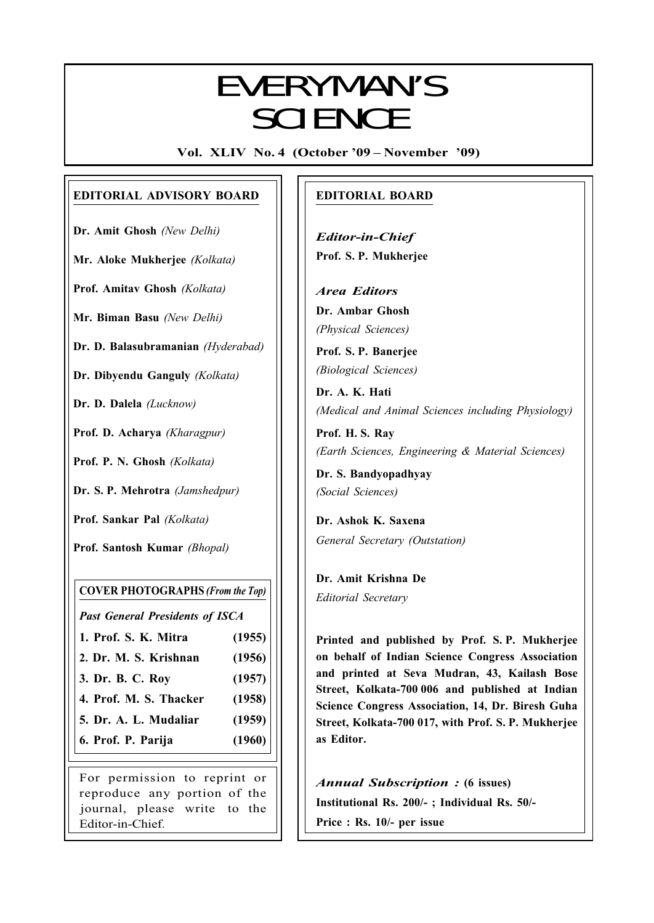# $E$  VCDVMANI/C EVERYMAN'S **SCIENCE**

Vol. XLIV No. 4 (October '09 – November '09)

# EDITORIAL ADVISORY BOARD

Dr. Amit Ghosh (New Delhi)

Mr. Aloke Mukherjee (Kolkata)

Prof. Amitav Ghosh (Kolkata)

Mr. Biman Basu (New Delhi)

Dr. D. Balasubramanian (Hyderabad)

Dr. Dibyendu Ganguly (Kolkata)

Dr. D. Dalela (Lucknow)

Prof. D. Acharya (Kharagpur)

Prof. P. N. Ghosh (Kolkata)

Dr. S. P. Mehrotra (Jamshedpur)

Prof. Sankar Pal (Kolkata)

Prof. Santosh Kumar (Bhopal)

#### COVER PHOTOGRAPHS (From the Top)

Past General Presidents of ISCA

- 1. Prof. S. K. Mitra (1955)
- 2. Dr. M. S. Krishnan (1956)
- 3. Dr. B. C. Roy (1957)
- 4. Prof. M. S. Thacker (1958)
- 5. Dr. A. L. Mudaliar (1959)
- 6. Prof. P. Parija (1960)

For permission to reprint or reproduce any portion of the journal, please write to the Editor-in-Chief.

## EDITORIAL BOARD

Editor-in-Chief Prof. S. P. Mukherjee

Area Editors Dr. Ambar Ghosh (Physical Sciences)

Prof. S. P. Banerjee (Biological Sciences)

Dr. A. K. Hati (Medical and Animal Sciences including Physiology)

Prof. H. S. Ray (Earth Sciences, Engineering & Material Sciences)

Dr. S. Bandyopadhyay (Social Sciences)

Dr. Ashok K. Saxena General Secretary (Outstation)

Dr. Amit Krishna De Editorial Secretary

205

Printed and published by Prof. S. P. Mukherjee on behalf of Indian Science Congress Association and printed at Seva Mudran, 43, Kailash Bose Street, Kolkata-700 006 and published at Indian Science Congress Association, 14, Dr. Biresh Guha Street, Kolkata-700 017, with Prof. S. P. Mukherjee as Editor.

Annual Subscription : (6 issues) Institutional Rs. 200/- ; Individual Rs. 50/- Price : Rs. 10/- per issue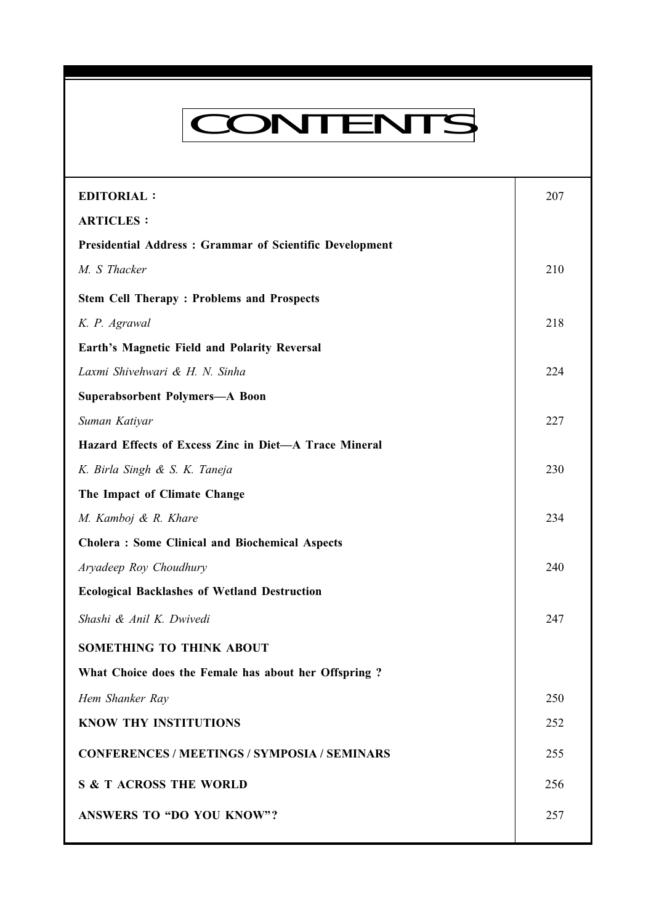# CONTENTS

Everyman's Science VOL. XLIV NO. 4, Oct. — Nov. '09

| <b>EDITORIAL:</b>                                       | 207 |
|---------------------------------------------------------|-----|
| <b>ARTICLES:</b>                                        |     |
| Presidential Address: Grammar of Scientific Development |     |
| M. S Thacker                                            | 210 |
| <b>Stem Cell Therapy: Problems and Prospects</b>        |     |
| K. P. Agrawal                                           | 218 |
| Earth's Magnetic Field and Polarity Reversal            |     |
| Laxmi Shivehwari & H. N. Sinha                          | 224 |
| <b>Superabsorbent Polymers-A Boon</b>                   |     |
| Suman Katiyar                                           | 227 |
| Hazard Effects of Excess Zinc in Diet-A Trace Mineral   |     |
| K. Birla Singh & S. K. Taneja                           | 230 |
| The Impact of Climate Change                            |     |
| M. Kamboj & R. Khare                                    | 234 |
| <b>Cholera: Some Clinical and Biochemical Aspects</b>   |     |
| Aryadeep Roy Choudhury                                  | 240 |
| <b>Ecological Backlashes of Wetland Destruction</b>     |     |
| Shashi & Anil K. Dwivedi                                | 247 |
| <b>SOMETHING TO THINK ABOUT</b>                         |     |
| What Choice does the Female has about her Offspring?    |     |
| Hem Shanker Ray                                         | 250 |
| <b>KNOW THY INSTITUTIONS</b>                            | 252 |
| <b>CONFERENCES / MEETINGS / SYMPOSIA / SEMINARS</b>     | 255 |
| <b>S &amp; T ACROSS THE WORLD</b>                       | 256 |
| <b>ANSWERS TO "DO YOU KNOW"?</b>                        | 257 |
|                                                         |     |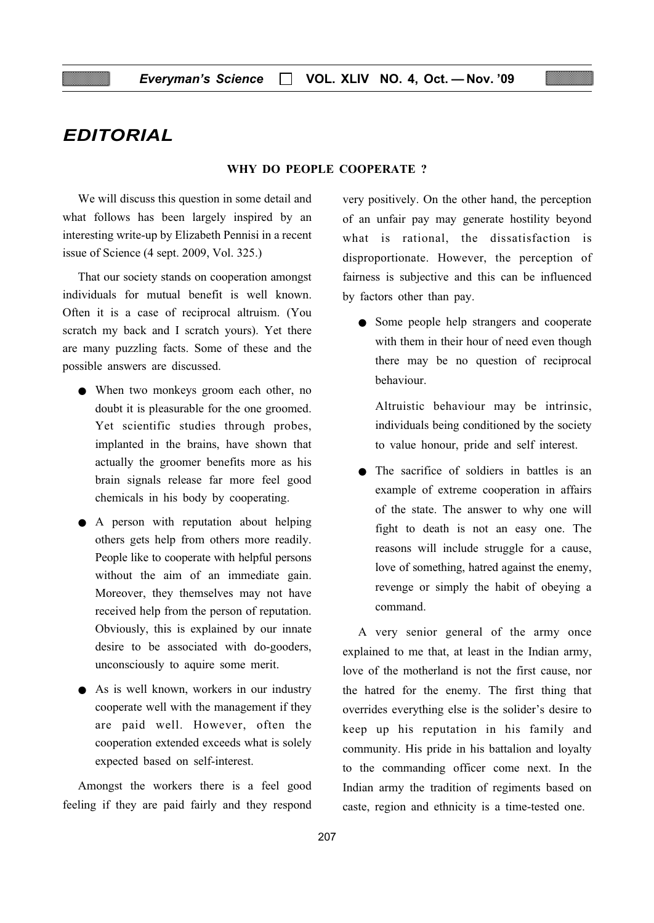# EDITORIAL

#### WHY DO PEOPLE COOPERATE ?

We will discuss this question in some detail and what follows has been largely inspired by an interesting write-up by Elizabeth Pennisi in a recent issue of Science (4 sept. 2009, Vol. 325.)

That our society stands on cooperation amongst individuals for mutual benefit is well known. Often it is a case of reciprocal altruism. (You scratch my back and I scratch yours). Yet there are many puzzling facts. Some of these and the possible answers are discussed.

- When two monkeys groom each other, no doubt it is pleasurable for the one groomed. Yet scientific studies through probes, implanted in the brains, have shown that actually the groomer benefits more as his brain signals release far more feel good chemicals in his body by cooperating.
- A person with reputation about helping others gets help from others more readily. People like to cooperate with helpful persons without the aim of an immediate gain. Moreover, they themselves may not have received help from the person of reputation. Obviously, this is explained by our innate desire to be associated with do-gooders, unconsciously to aquire some merit.
- As is well known, workers in our industry cooperate well with the management if they are paid well. However, often the cooperation extended exceeds what is solely expected based on self-interest.

Amongst the workers there is a feel good feeling if they are paid fairly and they respond very positively. On the other hand, the perception of an unfair pay may generate hostility beyond what is rational, the dissatisfaction is disproportionate. However, the perception of fairness is subjective and this can be influenced by factors other than pay.

● Some people help strangers and cooperate with them in their hour of need even though there may be no question of reciprocal behaviour.

Altruistic behaviour may be intrinsic, individuals being conditioned by the society to value honour, pride and self interest.

● The sacrifice of soldiers in battles is an example of extreme cooperation in affairs of the state. The answer to why one will fight to death is not an easy one. The reasons will include struggle for a cause, love of something, hatred against the enemy, revenge or simply the habit of obeying a command.

A very senior general of the army once explained to me that, at least in the Indian army, love of the motherland is not the first cause, nor the hatred for the enemy. The first thing that overrides everything else is the solider's desire to keep up his reputation in his family and community. His pride in his battalion and loyalty to the commanding officer come next. In the Indian army the tradition of regiments based on caste, region and ethnicity is a time-tested one.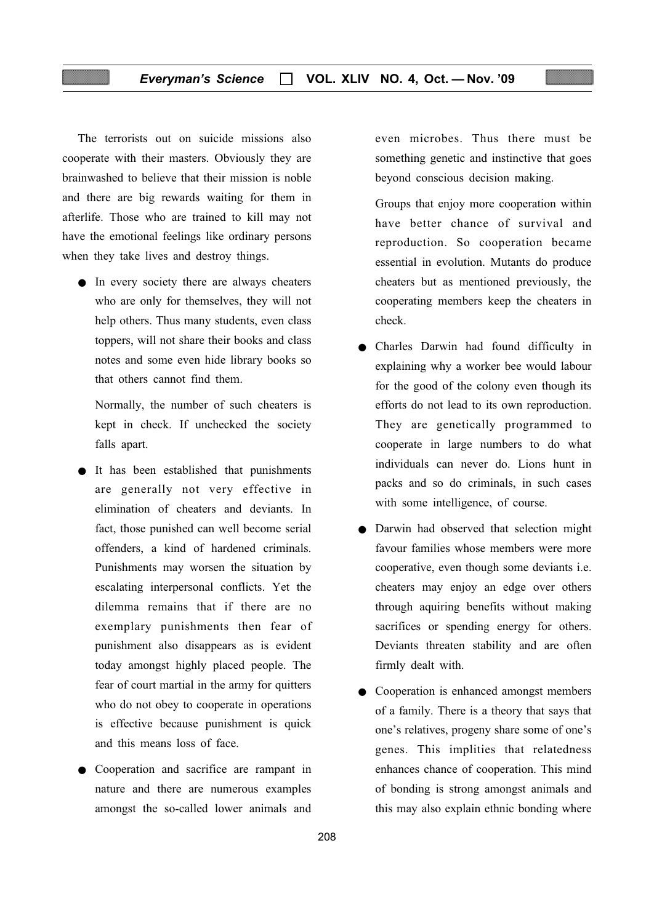The terrorists out on suicide missions also cooperate with their masters. Obviously they are brainwashed to believe that their mission is noble and there are big rewards waiting for them in afterlife. Those who are trained to kill may not have the emotional feelings like ordinary persons when they take lives and destroy things.

● In every society there are always cheaters who are only for themselves, they will not help others. Thus many students, even class toppers, will not share their books and class notes and some even hide library books so that others cannot find them.

Normally, the number of such cheaters is kept in check. If unchecked the society falls apart.

- It has been established that punishments are generally not very effective in elimination of cheaters and deviants. In fact, those punished can well become serial offenders, a kind of hardened criminals. Punishments may worsen the situation by escalating interpersonal conflicts. Yet the dilemma remains that if there are no exemplary punishments then fear of punishment also disappears as is evident today amongst highly placed people. The fear of court martial in the army for quitters who do not obey to cooperate in operations is effective because punishment is quick and this means loss of face.
- Cooperation and sacrifice are rampant in nature and there are numerous examples amongst the so-called lower animals and

even microbes. Thus there must be something genetic and instinctive that goes beyond conscious decision making.

Groups that enjoy more cooperation within have better chance of survival and reproduction. So cooperation became essential in evolution. Mutants do produce cheaters but as mentioned previously, the cooperating members keep the cheaters in check.

- Charles Darwin had found difficulty in explaining why a worker bee would labour for the good of the colony even though its efforts do not lead to its own reproduction. They are genetically programmed to cooperate in large numbers to do what individuals can never do. Lions hunt in packs and so do criminals, in such cases with some intelligence, of course.
- Darwin had observed that selection might favour families whose members were more cooperative, even though some deviants i.e. cheaters may enjoy an edge over others through aquiring benefits without making sacrifices or spending energy for others. Deviants threaten stability and are often firmly dealt with.
- Cooperation is enhanced amongst members of a family. There is a theory that says that one's relatives, progeny share some of one's genes. This implities that relatedness enhances chance of cooperation. This mind of bonding is strong amongst animals and this may also explain ethnic bonding where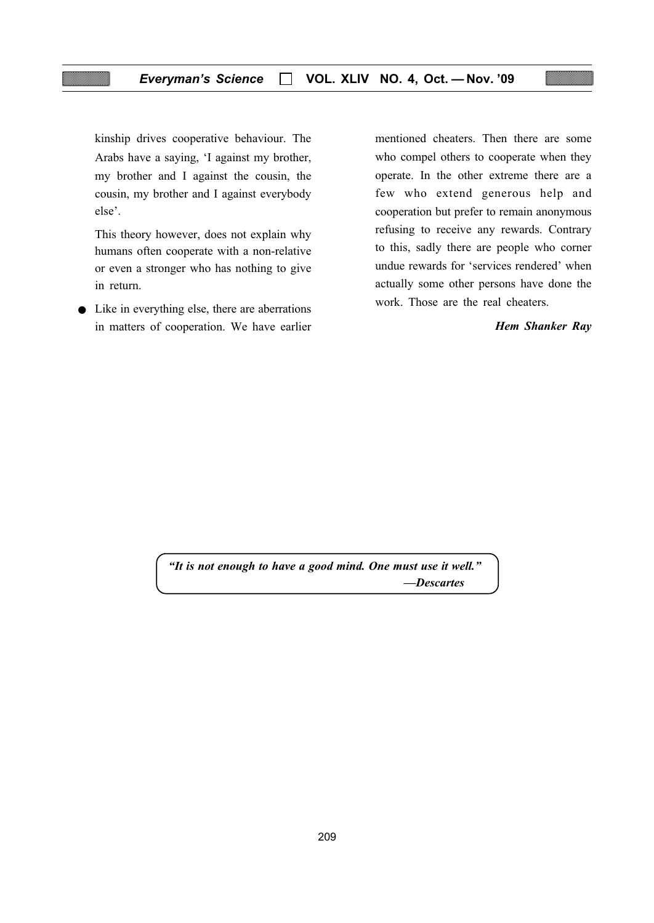kinship drives cooperative behaviour. The Arabs have a saying, 'I against my brother, my brother and I against the cousin, the cousin, my brother and I against everybody else'.

This theory however, does not explain why humans often cooperate with a non-relative or even a stronger who has nothing to give in return.

● Like in everything else, there are aberrations in matters of cooperation. We have earlier

mentioned cheaters. Then there are some who compel others to cooperate when they operate. In the other extreme there are a few who extend generous help and cooperation but prefer to remain anonymous refusing to receive any rewards. Contrary to this, sadly there are people who corner undue rewards for 'services rendered' when actually some other persons have done the work. Those are the real cheaters.

#### Hem Shanker Ray

"It is not enough to have a good mind. One must use it well." —Descartes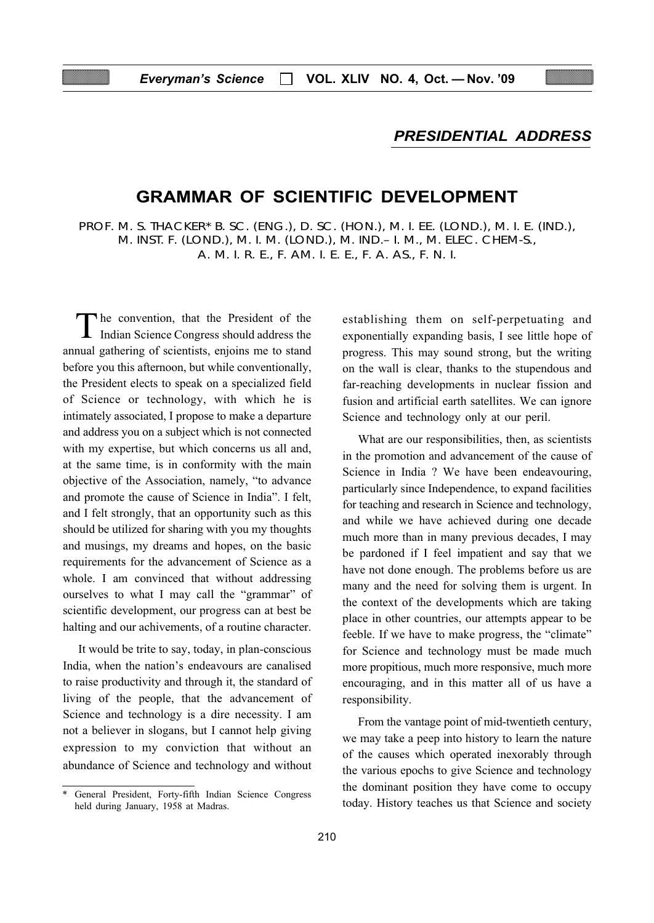# PRESIDENTIAL ADDRESS

# GRAMMAR OF SCIENTIFIC DEVELOPMENT

PROF. M. S. THACKER\* B. SC. (ENG.), D. SC. (HON.), M. I. EE. (LOND.), M. I. E. (IND.), M. INST. F. (LOND.), M. I. M. (LOND.), M. IND.– I. M., M. ELEC. CHEM-S., A. M. I. R. E., F. AM. I. E. E., F. A. AS., F. N. I.

The convention, that the President of the Indian Science Congress should address the annual gathering of scientists, enjoins me to stand before you this afternoon, but while conventionally, the President elects to speak on a specialized field of Science or technology, with which he is intimately associated, I propose to make a departure and address you on a subject which is not connected with my expertise, but which concerns us all and, at the same time, is in conformity with the main objective of the Association, namely, "to advance and promote the cause of Science in India". I felt, and I felt strongly, that an opportunity such as this should be utilized for sharing with you my thoughts and musings, my dreams and hopes, on the basic requirements for the advancement of Science as a whole. I am convinced that without addressing ourselves to what I may call the "grammar" of scientific development, our progress can at best be halting and our achivements, of a routine character.

It would be trite to say, today, in plan-conscious India, when the nation's endeavours are canalised to raise productivity and through it, the standard of living of the people, that the advancement of Science and technology is a dire necessity. I am not a believer in slogans, but I cannot help giving expression to my conviction that without an abundance of Science and technology and without establishing them on self-perpetuating and exponentially expanding basis, I see little hope of progress. This may sound strong, but the writing on the wall is clear, thanks to the stupendous and far-reaching developments in nuclear fission and fusion and artificial earth satellites. We can ignore Science and technology only at our peril.

What are our responsibilities, then, as scientists in the promotion and advancement of the cause of Science in India ? We have been endeavouring, particularly since Independence, to expand facilities for teaching and research in Science and technology, and while we have achieved during one decade much more than in many previous decades, I may be pardoned if I feel impatient and say that we have not done enough. The problems before us are many and the need for solving them is urgent. In the context of the developments which are taking place in other countries, our attempts appear to be feeble. If we have to make progress, the "climate" for Science and technology must be made much more propitious, much more responsive, much more encouraging, and in this matter all of us have a responsibility.

From the vantage point of mid-twentieth century, we may take a peep into history to learn the nature of the causes which operated inexorably through the various epochs to give Science and technology the dominant position they have come to occupy today. History teaches us that Science and society

General President, Forty-fifth Indian Science Congress held during January, 1958 at Madras.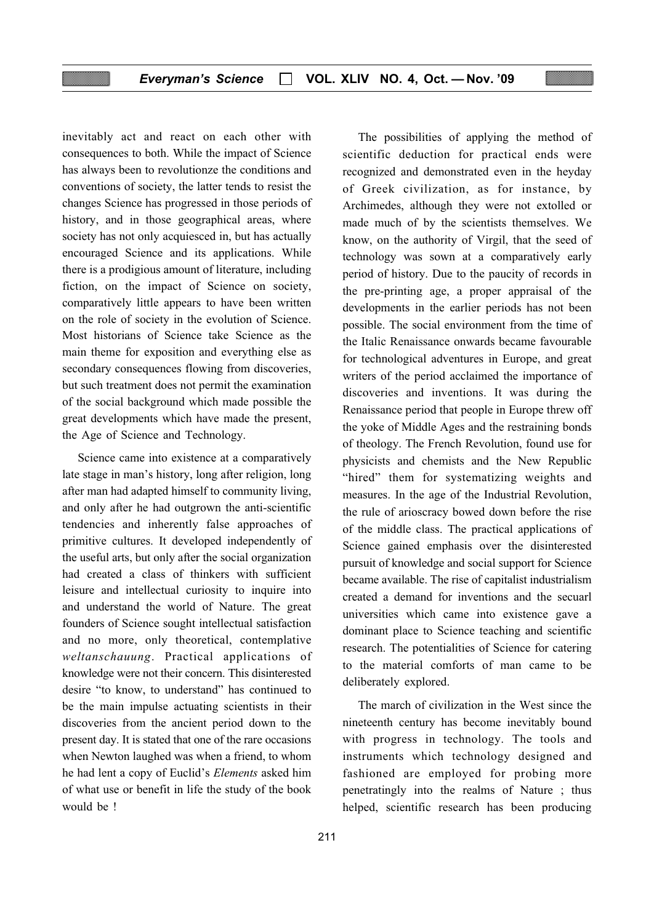inevitably act and react on each other with consequences to both. While the impact of Science has always been to revolutionze the conditions and conventions of society, the latter tends to resist the changes Science has progressed in those periods of history, and in those geographical areas, where society has not only acquiesced in, but has actually encouraged Science and its applications. While there is a prodigious amount of literature, including fiction, on the impact of Science on society, comparatively little appears to have been written on the role of society in the evolution of Science. Most historians of Science take Science as the main theme for exposition and everything else as secondary consequences flowing from discoveries, but such treatment does not permit the examination of the social background which made possible the great developments which have made the present, the Age of Science and Technology.

Science came into existence at a comparatively late stage in man's history, long after religion, long after man had adapted himself to community living, and only after he had outgrown the anti-scientific tendencies and inherently false approaches of primitive cultures. It developed independently of the useful arts, but only after the social organization had created a class of thinkers with sufficient leisure and intellectual curiosity to inquire into and understand the world of Nature. The great founders of Science sought intellectual satisfaction and no more, only theoretical, contemplative weltanschauung. Practical applications of knowledge were not their concern. This disinterested desire "to know, to understand" has continued to be the main impulse actuating scientists in their discoveries from the ancient period down to the present day. It is stated that one of the rare occasions when Newton laughed was when a friend, to whom he had lent a copy of Euclid's Elements asked him of what use or benefit in life the study of the book would be !

The possibilities of applying the method of scientific deduction for practical ends were recognized and demonstrated even in the heyday of Greek civilization, as for instance, by Archimedes, although they were not extolled or made much of by the scientists themselves. We know, on the authority of Virgil, that the seed of technology was sown at a comparatively early period of history. Due to the paucity of records in the pre-printing age, a proper appraisal of the developments in the earlier periods has not been possible. The social environment from the time of the Italic Renaissance onwards became favourable for technological adventures in Europe, and great writers of the period acclaimed the importance of discoveries and inventions. It was during the Renaissance period that people in Europe threw off the yoke of Middle Ages and the restraining bonds of theology. The French Revolution, found use for physicists and chemists and the New Republic "hired" them for systematizing weights and measures. In the age of the Industrial Revolution, the rule of arioscracy bowed down before the rise of the middle class. The practical applications of Science gained emphasis over the disinterested pursuit of knowledge and social support for Science became available. The rise of capitalist industrialism created a demand for inventions and the secuarl universities which came into existence gave a dominant place to Science teaching and scientific research. The potentialities of Science for catering to the material comforts of man came to be deliberately explored.

The march of civilization in the West since the nineteenth century has become inevitably bound with progress in technology. The tools and instruments which technology designed and fashioned are employed for probing more penetratingly into the realms of Nature ; thus helped, scientific research has been producing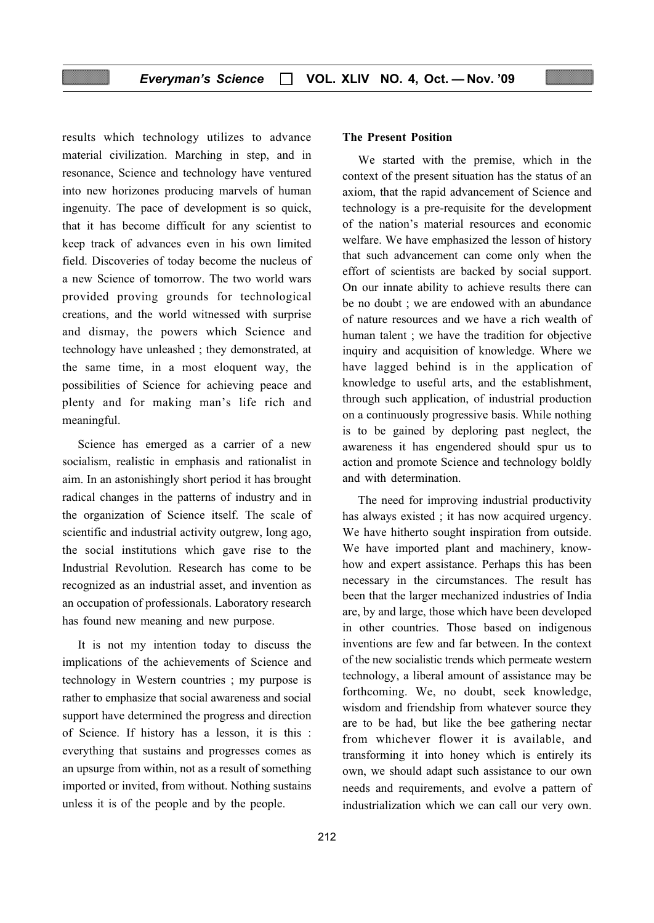results which technology utilizes to advance material civilization. Marching in step, and in resonance, Science and technology have ventured into new horizones producing marvels of human ingenuity. The pace of development is so quick, that it has become difficult for any scientist to keep track of advances even in his own limited field. Discoveries of today become the nucleus of a new Science of tomorrow. The two world wars provided proving grounds for technological creations, and the world witnessed with surprise and dismay, the powers which Science and technology have unleashed ; they demonstrated, at the same time, in a most eloquent way, the possibilities of Science for achieving peace and plenty and for making man's life rich and meaningful.

Science has emerged as a carrier of a new socialism, realistic in emphasis and rationalist in aim. In an astonishingly short period it has brought radical changes in the patterns of industry and in the organization of Science itself. The scale of scientific and industrial activity outgrew, long ago, the social institutions which gave rise to the Industrial Revolution. Research has come to be recognized as an industrial asset, and invention as an occupation of professionals. Laboratory research has found new meaning and new purpose.

It is not my intention today to discuss the implications of the achievements of Science and technology in Western countries ; my purpose is rather to emphasize that social awareness and social support have determined the progress and direction of Science. If history has a lesson, it is this : everything that sustains and progresses comes as an upsurge from within, not as a result of something imported or invited, from without. Nothing sustains unless it is of the people and by the people.

#### The Present Position

We started with the premise, which in the context of the present situation has the status of an axiom, that the rapid advancement of Science and technology is a pre-requisite for the development of the nation's material resources and economic welfare. We have emphasized the lesson of history that such advancement can come only when the effort of scientists are backed by social support. On our innate ability to achieve results there can be no doubt ; we are endowed with an abundance of nature resources and we have a rich wealth of human talent ; we have the tradition for objective inquiry and acquisition of knowledge. Where we have lagged behind is in the application of knowledge to useful arts, and the establishment, through such application, of industrial production on a continuously progressive basis. While nothing is to be gained by deploring past neglect, the awareness it has engendered should spur us to action and promote Science and technology boldly and with determination.

The need for improving industrial productivity has always existed ; it has now acquired urgency. We have hitherto sought inspiration from outside. We have imported plant and machinery, knowhow and expert assistance. Perhaps this has been necessary in the circumstances. The result has been that the larger mechanized industries of India are, by and large, those which have been developed in other countries. Those based on indigenous inventions are few and far between. In the context of the new socialistic trends which permeate western technology, a liberal amount of assistance may be forthcoming. We, no doubt, seek knowledge, wisdom and friendship from whatever source they are to be had, but like the bee gathering nectar from whichever flower it is available, and transforming it into honey which is entirely its own, we should adapt such assistance to our own needs and requirements, and evolve a pattern of industrialization which we can call our very own.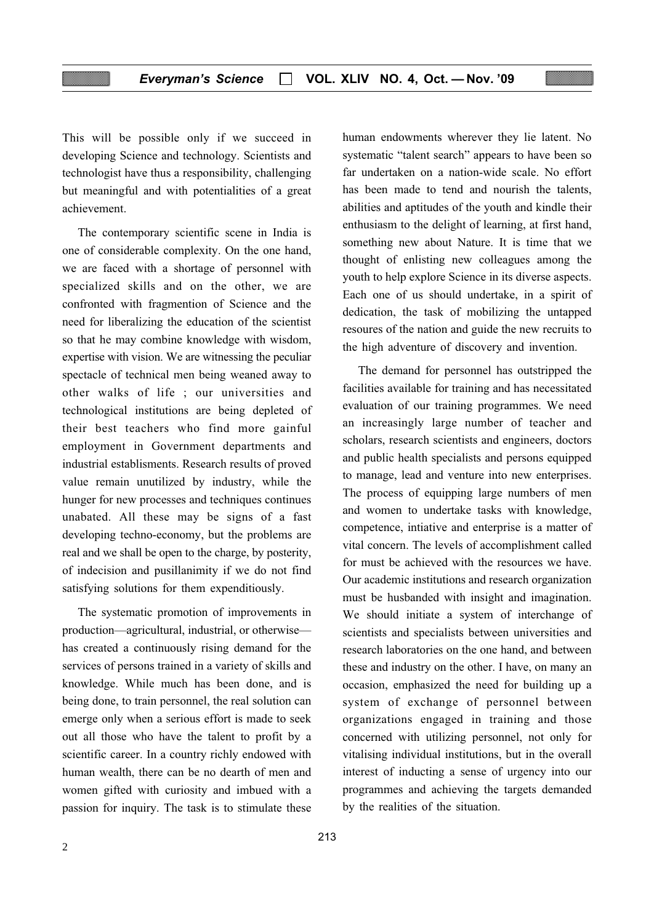This will be possible only if we succeed in developing Science and technology. Scientists and technologist have thus a responsibility, challenging but meaningful and with potentialities of a great achievement.

The contemporary scientific scene in India is one of considerable complexity. On the one hand, we are faced with a shortage of personnel with specialized skills and on the other, we are confronted with fragmention of Science and the need for liberalizing the education of the scientist so that he may combine knowledge with wisdom, expertise with vision. We are witnessing the peculiar spectacle of technical men being weaned away to other walks of life ; our universities and technological institutions are being depleted of their best teachers who find more gainful employment in Government departments and industrial establisments. Research results of proved value remain unutilized by industry, while the hunger for new processes and techniques continues unabated. All these may be signs of a fast developing techno-economy, but the problems are real and we shall be open to the charge, by posterity, of indecision and pusillanimity if we do not find satisfying solutions for them expenditiously.

The systematic promotion of improvements in production—agricultural, industrial, or otherwise has created a continuously rising demand for the services of persons trained in a variety of skills and knowledge. While much has been done, and is being done, to train personnel, the real solution can emerge only when a serious effort is made to seek out all those who have the talent to profit by a scientific career. In a country richly endowed with human wealth, there can be no dearth of men and women gifted with curiosity and imbued with a passion for inquiry. The task is to stimulate these

human endowments wherever they lie latent. No systematic "talent search" appears to have been so far undertaken on a nation-wide scale. No effort has been made to tend and nourish the talents, abilities and aptitudes of the youth and kindle their enthusiasm to the delight of learning, at first hand, something new about Nature. It is time that we thought of enlisting new colleagues among the youth to help explore Science in its diverse aspects. Each one of us should undertake, in a spirit of dedication, the task of mobilizing the untapped resoures of the nation and guide the new recruits to the high adventure of discovery and invention.

The demand for personnel has outstripped the facilities available for training and has necessitated evaluation of our training programmes. We need an increasingly large number of teacher and scholars, research scientists and engineers, doctors and public health specialists and persons equipped to manage, lead and venture into new enterprises. The process of equipping large numbers of men and women to undertake tasks with knowledge, competence, intiative and enterprise is a matter of vital concern. The levels of accomplishment called for must be achieved with the resources we have. Our academic institutions and research organization must be husbanded with insight and imagination. We should initiate a system of interchange of scientists and specialists between universities and research laboratories on the one hand, and between these and industry on the other. I have, on many an occasion, emphasized the need for building up a system of exchange of personnel between organizations engaged in training and those concerned with utilizing personnel, not only for vitalising individual institutions, but in the overall interest of inducting a sense of urgency into our programmes and achieving the targets demanded by the realities of the situation.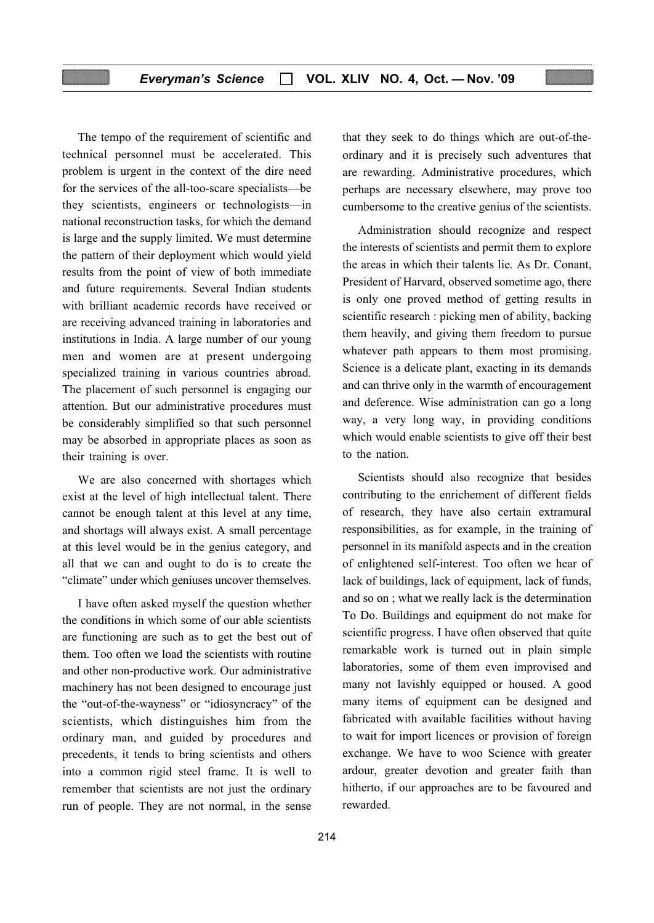The tempo of the requirement of scientific and technical personnel must be accelerated. This problem is urgent in the context of the dire need for the services of the all-too-scare specialists—be they scientists, engineers or technologists—in national reconstruction tasks, for which the demand is large and the supply limited. We must determine the pattern of their deployment which would yield results from the point of view of both immediate and future requirements. Several Indian students with brilliant academic records have received or are receiving advanced training in laboratories and institutions in India. A large number of our young men and women are at present undergoing specialized training in various countries abroad. The placement of such personnel is engaging our attention. But our administrative procedures must be considerably simplified so that such personnel may be absorbed in appropriate places as soon as their training is over.

We are also concerned with shortages which exist at the level of high intellectual talent. There cannot be enough talent at this level at any time, and shortags will always exist. A small percentage at this level would be in the genius category, and all that we can and ought to do is to create the "climate" under which geniuses uncover themselves.

I have often asked myself the question whether the conditions in which some of our able scientists are functioning are such as to get the best out of them. Too often we load the scientists with routine and other non-productive work. Our administrative machinery has not been designed to encourage just the "out-of-the-wayness" or "idiosyncracy" of the scientists, which distinguishes him from the ordinary man, and guided by procedures and precedents, it tends to bring scientists and others into a common rigid steel frame. It is well to remember that scientists are not just the ordinary run of people. They are not normal, in the sense

that they seek to do things which are out-of-theordinary and it is precisely such adventures that are rewarding. Administrative procedures, which perhaps are necessary elsewhere, may prove too cumbersome to the creative genius of the scientists.

Administration should recognize and respect the interests of scientists and permit them to explore the areas in which their talents lie. As Dr. Conant, President of Harvard, observed sometime ago, there is only one proved method of getting results in scientific research : picking men of ability, backing them heavily, and giving them freedom to pursue whatever path appears to them most promising. Science is a delicate plant, exacting in its demands and can thrive only in the warmth of encouragement and deference. Wise administration can go a long way, a very long way, in providing conditions which would enable scientists to give off their best to the nation.

Scientists should also recognize that besides contributing to the enrichement of different fields of research, they have also certain extramural responsibilities, as for example, in the training of personnel in its manifold aspects and in the creation of enlightened self-interest. Too often we hear of lack of buildings, lack of equipment, lack of funds, and so on ; what we really lack is the determination To Do. Buildings and equipment do not make for scientific progress. I have often observed that quite remarkable work is turned out in plain simple laboratories, some of them even improvised and many not lavishly equipped or housed. A good many items of equipment can be designed and fabricated with available facilities without having to wait for import licences or provision of foreign exchange. We have to woo Science with greater ardour, greater devotion and greater faith than hitherto, if our approaches are to be favoured and rewarded.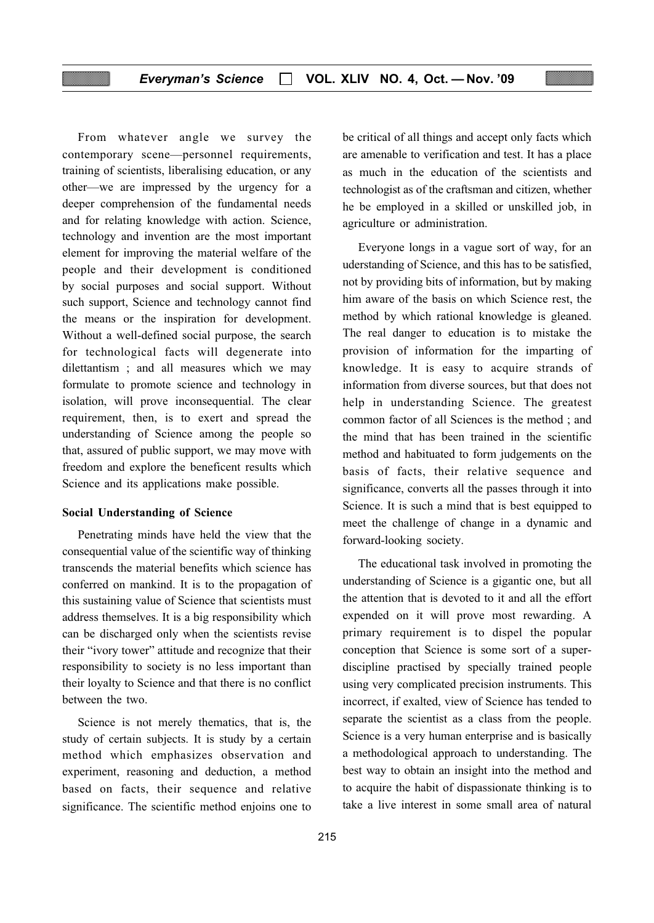From whatever angle we survey the contemporary scene—personnel requirements, training of scientists, liberalising education, or any other—we are impressed by the urgency for a deeper comprehension of the fundamental needs and for relating knowledge with action. Science, technology and invention are the most important element for improving the material welfare of the people and their development is conditioned by social purposes and social support. Without such support, Science and technology cannot find the means or the inspiration for development. Without a well-defined social purpose, the search for technological facts will degenerate into dilettantism ; and all measures which we may formulate to promote science and technology in isolation, will prove inconsequential. The clear requirement, then, is to exert and spread the understanding of Science among the people so that, assured of public support, we may move with freedom and explore the beneficent results which Science and its applications make possible.

#### Social Understanding of Science

Penetrating minds have held the view that the consequential value of the scientific way of thinking transcends the material benefits which science has conferred on mankind. It is to the propagation of this sustaining value of Science that scientists must address themselves. It is a big responsibility which can be discharged only when the scientists revise their "ivory tower" attitude and recognize that their responsibility to society is no less important than their loyalty to Science and that there is no conflict between the two.

Science is not merely thematics, that is, the study of certain subjects. It is study by a certain method which emphasizes observation and experiment, reasoning and deduction, a method based on facts, their sequence and relative significance. The scientific method enjoins one to

be critical of all things and accept only facts which are amenable to verification and test. It has a place as much in the education of the scientists and technologist as of the craftsman and citizen, whether he be employed in a skilled or unskilled job, in agriculture or administration.

Everyone longs in a vague sort of way, for an uderstanding of Science, and this has to be satisfied, not by providing bits of information, but by making him aware of the basis on which Science rest, the method by which rational knowledge is gleaned. The real danger to education is to mistake the provision of information for the imparting of knowledge. It is easy to acquire strands of information from diverse sources, but that does not help in understanding Science. The greatest common factor of all Sciences is the method ; and the mind that has been trained in the scientific method and habituated to form judgements on the basis of facts, their relative sequence and significance, converts all the passes through it into Science. It is such a mind that is best equipped to meet the challenge of change in a dynamic and forward-looking society.

The educational task involved in promoting the understanding of Science is a gigantic one, but all the attention that is devoted to it and all the effort expended on it will prove most rewarding. A primary requirement is to dispel the popular conception that Science is some sort of a superdiscipline practised by specially trained people using very complicated precision instruments. This incorrect, if exalted, view of Science has tended to separate the scientist as a class from the people. Science is a very human enterprise and is basically a methodological approach to understanding. The best way to obtain an insight into the method and to acquire the habit of dispassionate thinking is to take a live interest in some small area of natural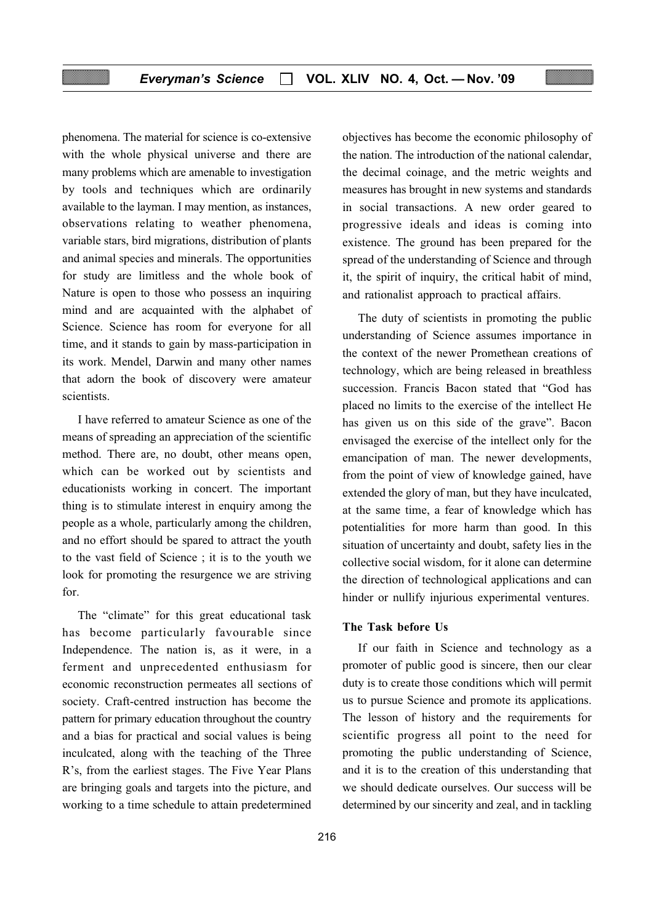phenomena. The material for science is co-extensive with the whole physical universe and there are many problems which are amenable to investigation by tools and techniques which are ordinarily available to the layman. I may mention, as instances, observations relating to weather phenomena, variable stars, bird migrations, distribution of plants and animal species and minerals. The opportunities for study are limitless and the whole book of Nature is open to those who possess an inquiring mind and are acquainted with the alphabet of Science. Science has room for everyone for all time, and it stands to gain by mass-participation in its work. Mendel, Darwin and many other names that adorn the book of discovery were amateur scientists.

I have referred to amateur Science as one of the means of spreading an appreciation of the scientific method. There are, no doubt, other means open, which can be worked out by scientists and educationists working in concert. The important thing is to stimulate interest in enquiry among the people as a whole, particularly among the children, and no effort should be spared to attract the youth to the vast field of Science ; it is to the youth we look for promoting the resurgence we are striving for.

The "climate" for this great educational task has become particularly favourable since Independence. The nation is, as it were, in a ferment and unprecedented enthusiasm for economic reconstruction permeates all sections of society. Craft-centred instruction has become the pattern for primary education throughout the country and a bias for practical and social values is being inculcated, along with the teaching of the Three R's, from the earliest stages. The Five Year Plans are bringing goals and targets into the picture, and working to a time schedule to attain predetermined

objectives has become the economic philosophy of the nation. The introduction of the national calendar, the decimal coinage, and the metric weights and measures has brought in new systems and standards in social transactions. A new order geared to progressive ideals and ideas is coming into existence. The ground has been prepared for the spread of the understanding of Science and through it, the spirit of inquiry, the critical habit of mind, and rationalist approach to practical affairs.

The duty of scientists in promoting the public understanding of Science assumes importance in the context of the newer Promethean creations of technology, which are being released in breathless succession. Francis Bacon stated that "God has placed no limits to the exercise of the intellect He has given us on this side of the grave". Bacon envisaged the exercise of the intellect only for the emancipation of man. The newer developments, from the point of view of knowledge gained, have extended the glory of man, but they have inculcated, at the same time, a fear of knowledge which has potentialities for more harm than good. In this situation of uncertainty and doubt, safety lies in the collective social wisdom, for it alone can determine the direction of technological applications and can hinder or nullify injurious experimental ventures.

#### The Task before Us

If our faith in Science and technology as a promoter of public good is sincere, then our clear duty is to create those conditions which will permit us to pursue Science and promote its applications. The lesson of history and the requirements for scientific progress all point to the need for promoting the public understanding of Science, and it is to the creation of this understanding that we should dedicate ourselves. Our success will be determined by our sincerity and zeal, and in tackling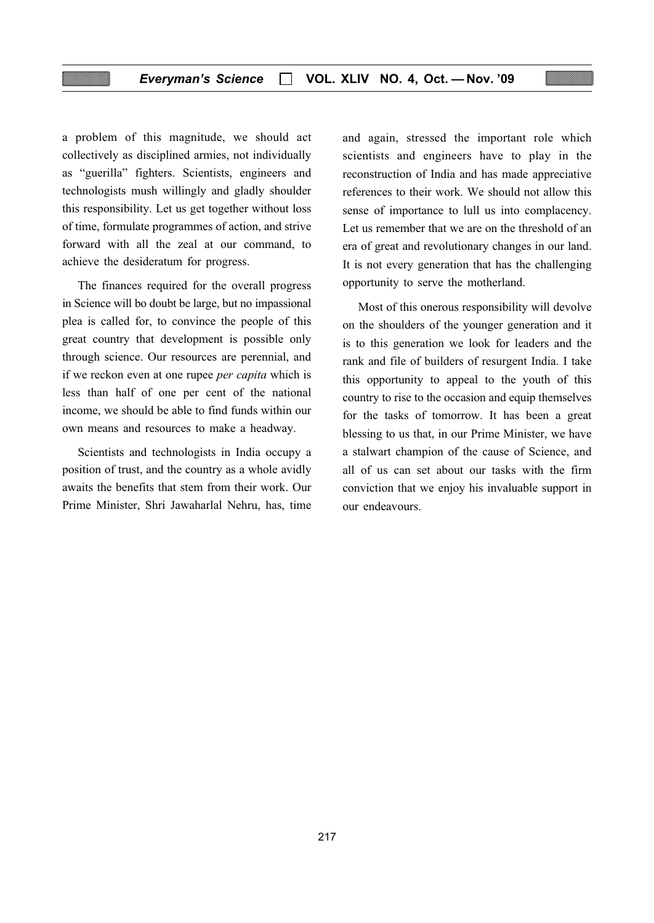a problem of this magnitude, we should act collectively as disciplined armies, not individually as "guerilla" fighters. Scientists, engineers and technologists mush willingly and gladly shoulder this responsibility. Let us get together without loss of time, formulate programmes of action, and strive forward with all the zeal at our command, to achieve the desideratum for progress.

The finances required for the overall progress in Science will bo doubt be large, but no impassional plea is called for, to convince the people of this great country that development is possible only through science. Our resources are perennial, and if we reckon even at one rupee per capita which is less than half of one per cent of the national income, we should be able to find funds within our own means and resources to make a headway.

Scientists and technologists in India occupy a position of trust, and the country as a whole avidly awaits the benefits that stem from their work. Our Prime Minister, Shri Jawaharlal Nehru, has, time and again, stressed the important role which scientists and engineers have to play in the reconstruction of India and has made appreciative references to their work. We should not allow this sense of importance to lull us into complacency. Let us remember that we are on the threshold of an era of great and revolutionary changes in our land. It is not every generation that has the challenging opportunity to serve the motherland.

Most of this onerous responsibility will devolve on the shoulders of the younger generation and it is to this generation we look for leaders and the rank and file of builders of resurgent India. I take this opportunity to appeal to the youth of this country to rise to the occasion and equip themselves for the tasks of tomorrow. It has been a great blessing to us that, in our Prime Minister, we have a stalwart champion of the cause of Science, and all of us can set about our tasks with the firm conviction that we enjoy his invaluable support in our endeavours.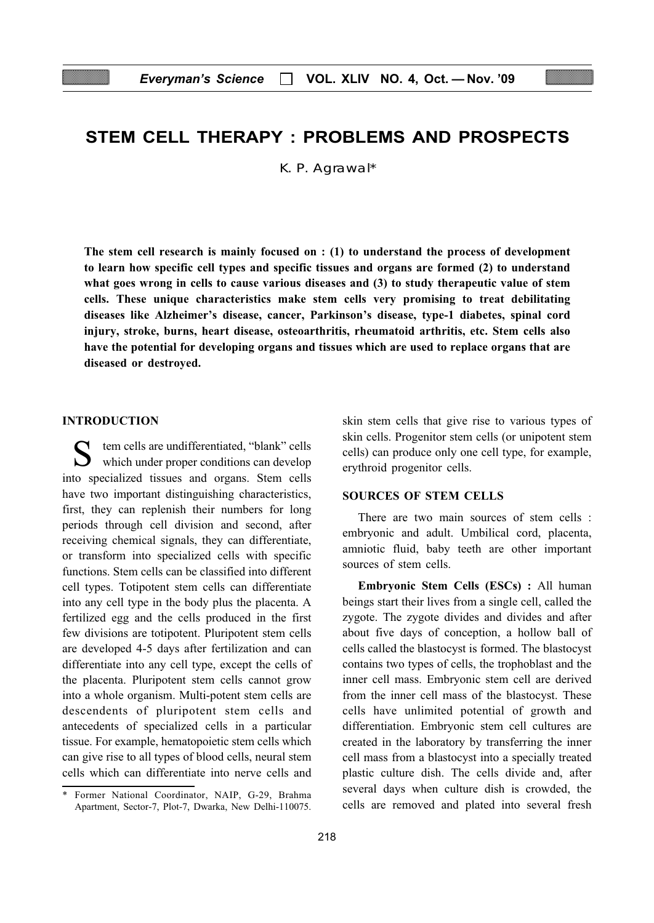# STEM CELL THERAPY : PROBLEMS AND PROSPECTS

K. P. Agrawal\*

The stem cell research is mainly focused on : (1) to understand the process of development to learn how specific cell types and specific tissues and organs are formed (2) to understand what goes wrong in cells to cause various diseases and (3) to study therapeutic value of stem cells. These unique characteristics make stem cells very promising to treat debilitating diseases like Alzheimer's disease, cancer, Parkinson's disease, type-1 diabetes, spinal cord injury, stroke, burns, heart disease, osteoarthritis, rheumatoid arthritis, etc. Stem cells also have the potential for developing organs and tissues which are used to replace organs that are diseased or destroyed.

#### INTRODUCTION

tem cells are undifferentiated, "blank" cells which under proper conditions can develop into specialized tissues and organs. Stem cells have two important distinguishing characteristics, first, they can replenish their numbers for long periods through cell division and second, after receiving chemical signals, they can differentiate, or transform into specialized cells with specific functions. Stem cells can be classified into different cell types. Totipotent stem cells can differentiate into any cell type in the body plus the placenta. A fertilized egg and the cells produced in the first few divisions are totipotent. Pluripotent stem cells are developed 4-5 days after fertilization and can differentiate into any cell type, except the cells of the placenta. Pluripotent stem cells cannot grow into a whole organism. Multi-potent stem cells are descendents of pluripotent stem cells and antecedents of specialized cells in a particular tissue. For example, hematopoietic stem cells which can give rise to all types of blood cells, neural stem cells which can differentiate into nerve cells and skin stem cells that give rise to various types of skin cells. Progenitor stem cells (or unipotent stem cells) can produce only one cell type, for example, erythroid progenitor cells.

#### SOURCES OF STEM CELLS

There are two main sources of stem cells : embryonic and adult. Umbilical cord, placenta, amniotic fluid, baby teeth are other important sources of stem cells.

Embryonic Stem Cells (ESCs) : All human beings start their lives from a single cell, called the zygote. The zygote divides and divides and after about five days of conception, a hollow ball of cells called the blastocyst is formed. The blastocyst contains two types of cells, the trophoblast and the inner cell mass. Embryonic stem cell are derived from the inner cell mass of the blastocyst. These cells have unlimited potential of growth and differentiation. Embryonic stem cell cultures are created in the laboratory by transferring the inner cell mass from a blastocyst into a specially treated plastic culture dish. The cells divide and, after several days when culture dish is crowded, the cells are removed and plated into several fresh

<sup>\*</sup> Former National Coordinator, NAIP, G-29, Brahma Apartment, Sector-7, Plot-7, Dwarka, New Delhi-110075.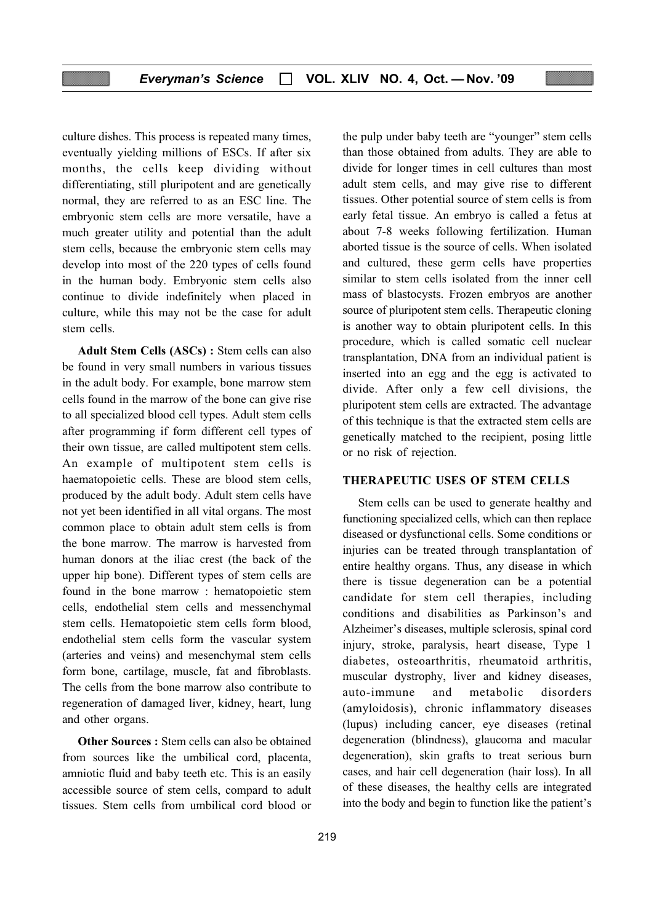culture dishes. This process is repeated many times, eventually yielding millions of ESCs. If after six months, the cells keep dividing without differentiating, still pluripotent and are genetically normal, they are referred to as an ESC line. The embryonic stem cells are more versatile, have a much greater utility and potential than the adult stem cells, because the embryonic stem cells may develop into most of the 220 types of cells found in the human body. Embryonic stem cells also continue to divide indefinitely when placed in culture, while this may not be the case for adult stem cells.

Adult Stem Cells (ASCs) : Stem cells can also be found in very small numbers in various tissues in the adult body. For example, bone marrow stem cells found in the marrow of the bone can give rise to all specialized blood cell types. Adult stem cells after programming if form different cell types of their own tissue, are called multipotent stem cells. An example of multipotent stem cells is haematopoietic cells. These are blood stem cells, produced by the adult body. Adult stem cells have not yet been identified in all vital organs. The most common place to obtain adult stem cells is from the bone marrow. The marrow is harvested from human donors at the iliac crest (the back of the upper hip bone). Different types of stem cells are found in the bone marrow : hematopoietic stem cells, endothelial stem cells and messenchymal stem cells. Hematopoietic stem cells form blood, endothelial stem cells form the vascular system (arteries and veins) and mesenchymal stem cells form bone, cartilage, muscle, fat and fibroblasts. The cells from the bone marrow also contribute to regeneration of damaged liver, kidney, heart, lung and other organs.

Other Sources : Stem cells can also be obtained from sources like the umbilical cord, placenta, amniotic fluid and baby teeth etc. This is an easily accessible source of stem cells, compard to adult tissues. Stem cells from umbilical cord blood or

the pulp under baby teeth are "younger" stem cells than those obtained from adults. They are able to divide for longer times in cell cultures than most adult stem cells, and may give rise to different tissues. Other potential source of stem cells is from early fetal tissue. An embryo is called a fetus at about 7-8 weeks following fertilization. Human aborted tissue is the source of cells. When isolated and cultured, these germ cells have properties similar to stem cells isolated from the inner cell mass of blastocysts. Frozen embryos are another source of pluripotent stem cells. Therapeutic cloning is another way to obtain pluripotent cells. In this procedure, which is called somatic cell nuclear transplantation, DNA from an individual patient is inserted into an egg and the egg is activated to divide. After only a few cell divisions, the pluripotent stem cells are extracted. The advantage of this technique is that the extracted stem cells are genetically matched to the recipient, posing little or no risk of rejection.

#### THERAPEUTIC USES OF STEM CELLS

Stem cells can be used to generate healthy and functioning specialized cells, which can then replace diseased or dysfunctional cells. Some conditions or injuries can be treated through transplantation of entire healthy organs. Thus, any disease in which there is tissue degeneration can be a potential candidate for stem cell therapies, including conditions and disabilities as Parkinson's and Alzheimer's diseases, multiple sclerosis, spinal cord injury, stroke, paralysis, heart disease, Type 1 diabetes, osteoarthritis, rheumatoid arthritis, muscular dystrophy, liver and kidney diseases, auto-immune and metabolic disorders (amyloidosis), chronic inflammatory diseases (lupus) including cancer, eye diseases (retinal degeneration (blindness), glaucoma and macular degeneration), skin grafts to treat serious burn cases, and hair cell degeneration (hair loss). In all of these diseases, the healthy cells are integrated into the body and begin to function like the patient's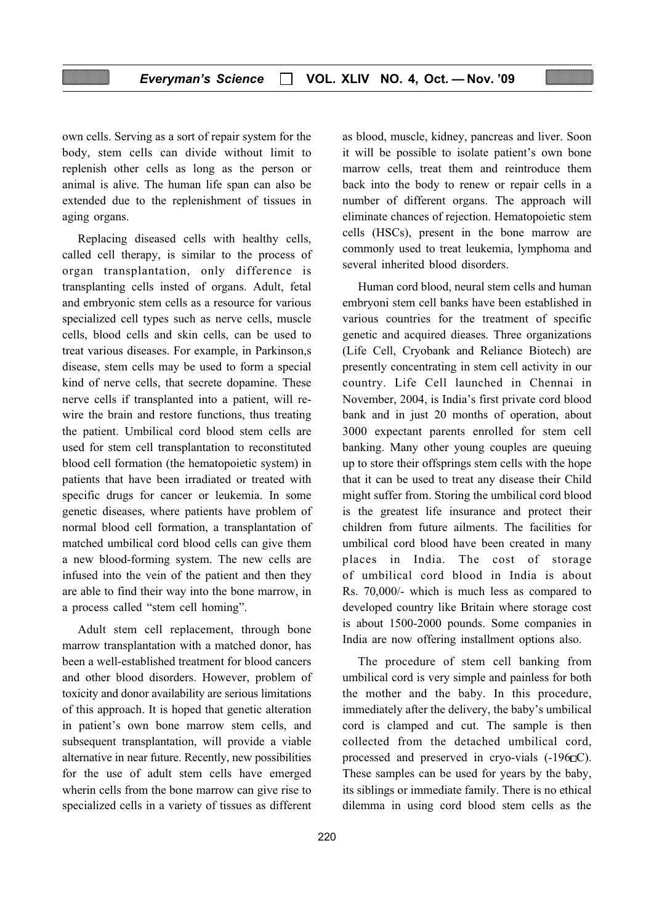own cells. Serving as a sort of repair system for the body, stem cells can divide without limit to replenish other cells as long as the person or animal is alive. The human life span can also be extended due to the replenishment of tissues in aging organs.

Replacing diseased cells with healthy cells, called cell therapy, is similar to the process of organ transplantation, only difference is transplanting cells insted of organs. Adult, fetal and embryonic stem cells as a resource for various specialized cell types such as nerve cells, muscle cells, blood cells and skin cells, can be used to treat various diseases. For example, in Parkinson,s disease, stem cells may be used to form a special kind of nerve cells, that secrete dopamine. These nerve cells if transplanted into a patient, will rewire the brain and restore functions, thus treating the patient. Umbilical cord blood stem cells are used for stem cell transplantation to reconstituted blood cell formation (the hematopoietic system) in patients that have been irradiated or treated with specific drugs for cancer or leukemia. In some genetic diseases, where patients have problem of normal blood cell formation, a transplantation of matched umbilical cord blood cells can give them a new blood-forming system. The new cells are infused into the vein of the patient and then they are able to find their way into the bone marrow, in a process called "stem cell homing".

Adult stem cell replacement, through bone marrow transplantation with a matched donor, has been a well-established treatment for blood cancers and other blood disorders. However, problem of toxicity and donor availability are serious limitations of this approach. It is hoped that genetic alteration in patient's own bone marrow stem cells, and subsequent transplantation, will provide a viable alternative in near future. Recently, new possibilities for the use of adult stem cells have emerged wherin cells from the bone marrow can give rise to specialized cells in a variety of tissues as different as blood, muscle, kidney, pancreas and liver. Soon it will be possible to isolate patient's own bone marrow cells, treat them and reintroduce them back into the body to renew or repair cells in a number of different organs. The approach will eliminate chances of rejection. Hematopoietic stem cells (HSCs), present in the bone marrow are commonly used to treat leukemia, lymphoma and several inherited blood disorders.

Human cord blood, neural stem cells and human embryoni stem cell banks have been established in various countries for the treatment of specific genetic and acquired dieases. Three organizations (Life Cell, Cryobank and Reliance Biotech) are presently concentrating in stem cell activity in our country. Life Cell launched in Chennai in November, 2004, is India's first private cord blood bank and in just 20 months of operation, about 3000 expectant parents enrolled for stem cell banking. Many other young couples are queuing up to store their offsprings stem cells with the hope that it can be used to treat any disease their Child might suffer from. Storing the umbilical cord blood is the greatest life insurance and protect their children from future ailments. The facilities for umbilical cord blood have been created in many places in India. The cost of storage of umbilical cord blood in India is about Rs. 70,000/- which is much less as compared to developed country like Britain where storage cost is about 1500-2000 pounds. Some companies in India are now offering installment options also.

The procedure of stem cell banking from umbilical cord is very simple and painless for both the mother and the baby. In this procedure, immediately after the delivery, the baby's umbilical cord is clamped and cut. The sample is then collected from the detached umbilical cord, processed and preserved in cryo-vials  $(-196\Box C)$ . These samples can be used for years by the baby, its siblings or immediate family. There is no ethical dilemma in using cord blood stem cells as the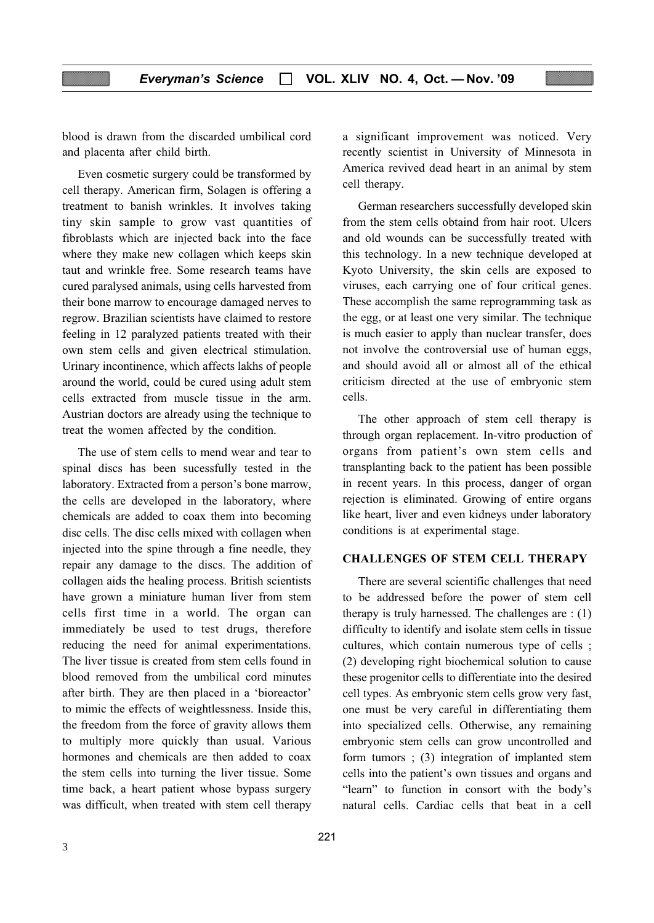blood is drawn from the discarded umbilical cord and placenta after child birth.

Even cosmetic surgery could be transformed by cell therapy. American firm, Solagen is offering a treatment to banish wrinkles. It involves taking tiny skin sample to grow vast quantities of fibroblasts which are injected back into the face where they make new collagen which keeps skin taut and wrinkle free. Some research teams have cured paralysed animals, using cells harvested from their bone marrow to encourage damaged nerves to regrow. Brazilian scientists have claimed to restore feeling in 12 paralyzed patients treated with their own stem cells and given electrical stimulation. Urinary incontinence, which affects lakhs of people around the world, could be cured using adult stem cells extracted from muscle tissue in the arm. Austrian doctors are already using the technique to treat the women affected by the condition.

The use of stem cells to mend wear and tear to spinal discs has been sucessfully tested in the laboratory. Extracted from a person's bone marrow, the cells are developed in the laboratory, where chemicals are added to coax them into becoming disc cells. The disc cells mixed with collagen when injected into the spine through a fine needle, they repair any damage to the discs. The addition of collagen aids the healing process. British scientists have grown a miniature human liver from stem cells first time in a world. The organ can immediately be used to test drugs, therefore reducing the need for animal experimentations. The liver tissue is created from stem cells found in blood removed from the umbilical cord minutes after birth. They are then placed in a 'bioreactor' to mimic the effects of weightlessness. Inside this, the freedom from the force of gravity allows them to multiply more quickly than usual. Various hormones and chemicals are then added to coax the stem cells into turning the liver tissue. Some time back, a heart patient whose bypass surgery was difficult, when treated with stem cell therapy

a significant improvement was noticed. Very recently scientist in University of Minnesota in America revived dead heart in an animal by stem cell therapy.

German researchers successfully developed skin from the stem cells obtaind from hair root. Ulcers and old wounds can be successfully treated with this technology. In a new technique developed at Kyoto University, the skin cells are exposed to viruses, each carrying one of four critical genes. These accomplish the same reprogramming task as the egg, or at least one very similar. The technique is much easier to apply than nuclear transfer, does not involve the controversial use of human eggs, and should avoid all or almost all of the ethical criticism directed at the use of embryonic stem cells.

The other approach of stem cell therapy is through organ replacement. In-vitro production of organs from patient's own stem cells and transplanting back to the patient has been possible in recent years. In this process, danger of organ rejection is eliminated. Growing of entire organs like heart, liver and even kidneys under laboratory conditions is at experimental stage.

#### CHALLENGES OF STEM CELL THERAPY

There are several scientific challenges that need to be addressed before the power of stem cell therapy is truly harnessed. The challenges are : (1) difficulty to identify and isolate stem cells in tissue cultures, which contain numerous type of cells ; (2) developing right biochemical solution to cause these progenitor cells to differentiate into the desired cell types. As embryonic stem cells grow very fast, one must be very careful in differentiating them into specialized cells. Otherwise, any remaining embryonic stem cells can grow uncontrolled and form tumors ; (3) integration of implanted stem cells into the patient's own tissues and organs and "learn" to function in consort with the body's natural cells. Cardiac cells that beat in a cell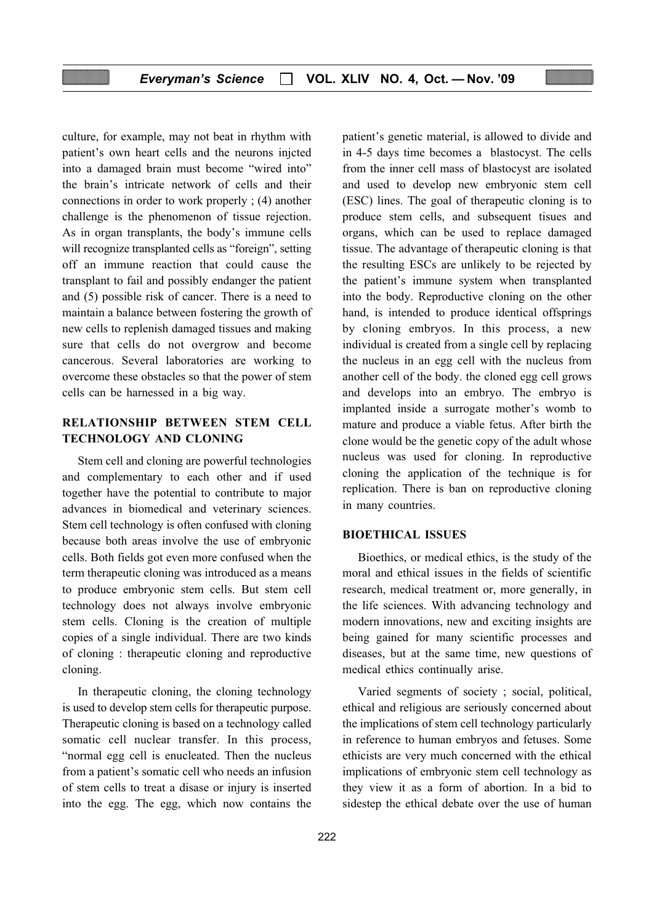culture, for example, may not beat in rhythm with patient's own heart cells and the neurons injcted into a damaged brain must become "wired into" the brain's intricate network of cells and their connections in order to work properly ; (4) another challenge is the phenomenon of tissue rejection. As in organ transplants, the body's immune cells will recognize transplanted cells as "foreign", setting off an immune reaction that could cause the transplant to fail and possibly endanger the patient and (5) possible risk of cancer. There is a need to maintain a balance between fostering the growth of new cells to replenish damaged tissues and making sure that cells do not overgrow and become cancerous. Several laboratories are working to overcome these obstacles so that the power of stem cells can be harnessed in a big way.

# RELATIONSHIP BETWEEN STEM CELL TECHNOLOGY AND CLONING

Stem cell and cloning are powerful technologies and complementary to each other and if used together have the potential to contribute to major advances in biomedical and veterinary sciences. Stem cell technology is often confused with cloning because both areas involve the use of embryonic cells. Both fields got even more confused when the term therapeutic cloning was introduced as a means to produce embryonic stem cells. But stem cell technology does not always involve embryonic stem cells. Cloning is the creation of multiple copies of a single individual. There are two kinds of cloning : therapeutic cloning and reproductive cloning.

In therapeutic cloning, the cloning technology is used to develop stem cells for therapeutic purpose. Therapeutic cloning is based on a technology called somatic cell nuclear transfer. In this process, "normal egg cell is enucleated. Then the nucleus from a patient's somatic cell who needs an infusion of stem cells to treat a disase or injury is inserted into the egg. The egg, which now contains the patient's genetic material, is allowed to divide and in 4-5 days time becomes a blastocyst. The cells from the inner cell mass of blastocyst are isolated and used to develop new embryonic stem cell (ESC) lines. The goal of therapeutic cloning is to produce stem cells, and subsequent tisues and organs, which can be used to replace damaged tissue. The advantage of therapeutic cloning is that the resulting ESCs are unlikely to be rejected by the patient's immune system when transplanted into the body. Reproductive cloning on the other hand, is intended to produce identical offsprings by cloning embryos. In this process, a new individual is created from a single cell by replacing the nucleus in an egg cell with the nucleus from another cell of the body. the cloned egg cell grows and develops into an embryo. The embryo is implanted inside a surrogate mother's womb to mature and produce a viable fetus. After birth the clone would be the genetic copy of the adult whose nucleus was used for cloning. In reproductive cloning the application of the technique is for replication. There is ban on reproductive cloning in many countries.

#### BIOETHICAL ISSUES

Bioethics, or medical ethics, is the study of the moral and ethical issues in the fields of scientific research, medical treatment or, more generally, in the life sciences. With advancing technology and modern innovations, new and exciting insights are being gained for many scientific processes and diseases, but at the same time, new questions of medical ethics continually arise.

Varied segments of society ; social, political, ethical and religious are seriously concerned about the implications of stem cell technology particularly in reference to human embryos and fetuses. Some ethicists are very much concerned with the ethical implications of embryonic stem cell technology as they view it as a form of abortion. In a bid to sidestep the ethical debate over the use of human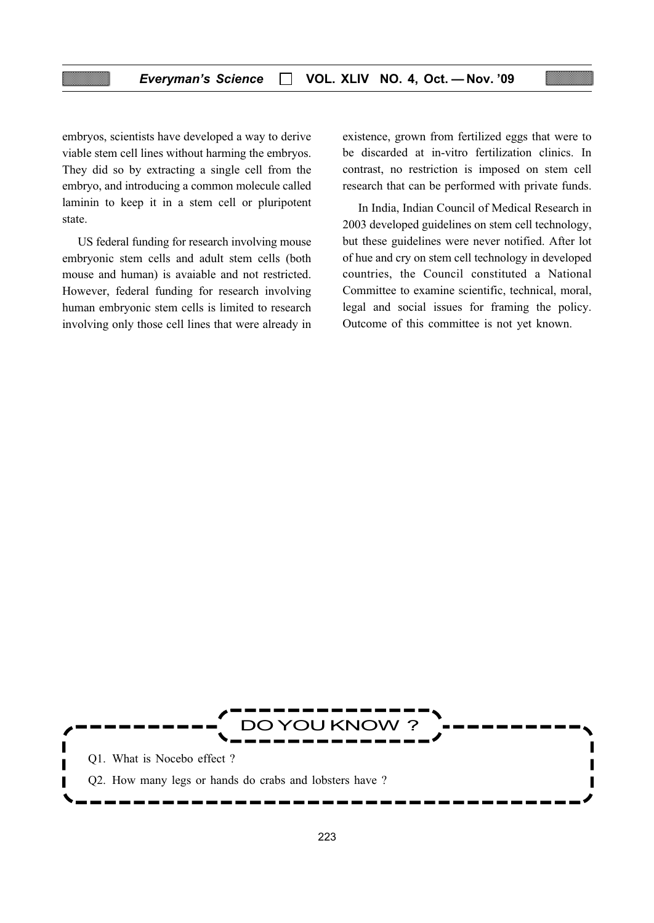embryos, scientists have developed a way to derive viable stem cell lines without harming the embryos. They did so by extracting a single cell from the embryo, and introducing a common molecule called laminin to keep it in a stem cell or pluripotent state.

US federal funding for research involving mouse embryonic stem cells and adult stem cells (both mouse and human) is avaiable and not restricted. However, federal funding for research involving human embryonic stem cells is limited to research involving only those cell lines that were already in existence, grown from fertilized eggs that were to be discarded at in-vitro fertilization clinics. In contrast, no restriction is imposed on stem cell research that can be performed with private funds.

In India, Indian Council of Medical Research in 2003 developed guidelines on stem cell technology, but these guidelines were never notified. After lot of hue and cry on stem cell technology in developed countries, the Council constituted a National Committee to examine scientific, technical, moral, legal and social issues for framing the policy. Outcome of this committee is not yet known.

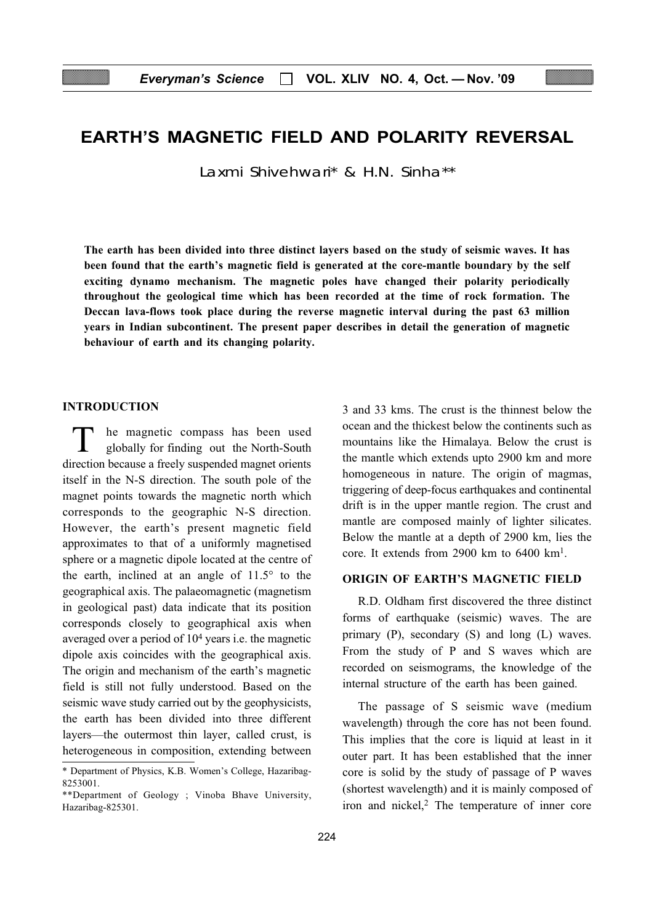# EARTH'S MAGNETIC FIELD AND POLARITY REVERSAL

Laxmi Shivehwari\* & H.N. Sinha\*\*

The earth has been divided into three distinct layers based on the study of seismic waves. It has been found that the earth's magnetic field is generated at the core-mantle boundary by the self exciting dynamo mechanism. The magnetic poles have changed their polarity periodically throughout the geological time which has been recorded at the time of rock formation. The Deccan lava-flows took place during the reverse magnetic interval during the past 63 million years in Indian subcontinent. The present paper describes in detail the generation of magnetic behaviour of earth and its changing polarity.

#### INTRODUCTION

he magnetic compass has been used globally for finding out the North-South direction because a freely suspended magnet orients itself in the N-S direction. The south pole of the magnet points towards the magnetic north which corresponds to the geographic N-S direction. However, the earth's present magnetic field approximates to that of a uniformly magnetised sphere or a magnetic dipole located at the centre of the earth, inclined at an angle of 11.5° to the geographical axis. The palaeomagnetic (magnetism in geological past) data indicate that its position corresponds closely to geographical axis when averaged over a period of 104 years i.e. the magnetic dipole axis coincides with the geographical axis. The origin and mechanism of the earth's magnetic field is still not fully understood. Based on the seismic wave study carried out by the geophysicists, the earth has been divided into three different layers—the outermost thin layer, called crust, is heterogeneous in composition, extending between

3 and 33 kms. The crust is the thinnest below the ocean and the thickest below the continents such as mountains like the Himalaya. Below the crust is the mantle which extends upto 2900 km and more homogeneous in nature. The origin of magmas, triggering of deep-focus earthquakes and continental drift is in the upper mantle region. The crust and mantle are composed mainly of lighter silicates. Below the mantle at a depth of 2900 km, lies the core. It extends from 2900 km to  $6400 \text{ km}^1$ .

#### ORIGIN OF EARTH'S MAGNETIC FIELD

R.D. Oldham first discovered the three distinct forms of earthquake (seismic) waves. The are primary (P), secondary (S) and long (L) waves. From the study of P and S waves which are recorded on seismograms, the knowledge of the internal structure of the earth has been gained.

The passage of S seismic wave (medium wavelength) through the core has not been found. This implies that the core is liquid at least in it outer part. It has been established that the inner core is solid by the study of passage of P waves (shortest wavelength) and it is mainly composed of iron and nickel, $2$  The temperature of inner core

<sup>\*</sup> Department of Physics, K.B. Women's College, Hazaribag-8253001.

<sup>\*\*</sup>Department of Geology ; Vinoba Bhave University, Hazaribag-825301.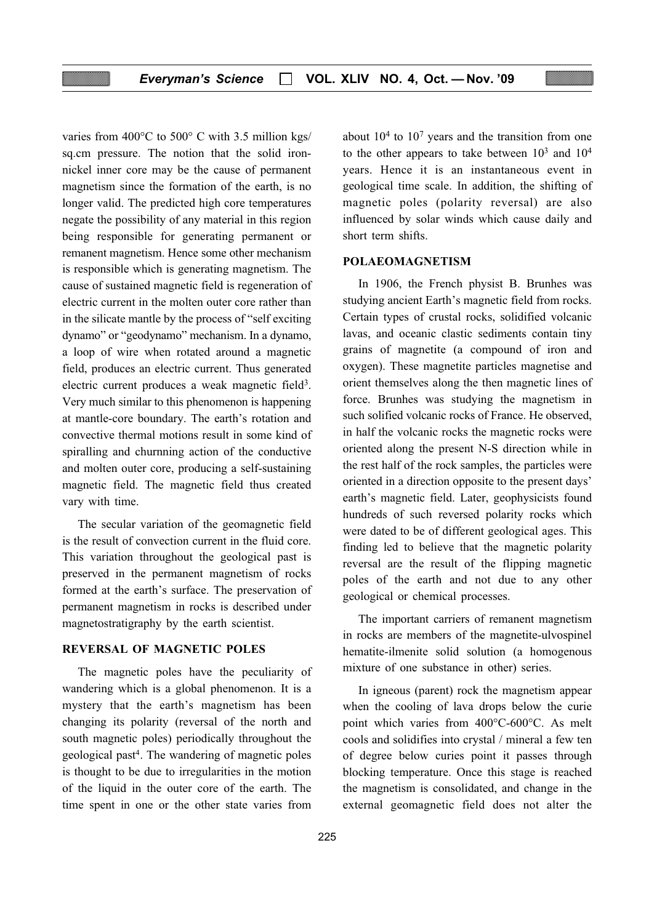varies from 400°C to 500° C with 3.5 million kgs/ sq.cm pressure. The notion that the solid ironnickel inner core may be the cause of permanent magnetism since the formation of the earth, is no longer valid. The predicted high core temperatures negate the possibility of any material in this region being responsible for generating permanent or remanent magnetism. Hence some other mechanism is responsible which is generating magnetism. The cause of sustained magnetic field is regeneration of electric current in the molten outer core rather than in the silicate mantle by the process of "self exciting dynamo" or "geodynamo" mechanism. In a dynamo, a loop of wire when rotated around a magnetic field, produces an electric current. Thus generated electric current produces a weak magnetic field<sup>3</sup>. Very much similar to this phenomenon is happening at mantle-core boundary. The earth's rotation and convective thermal motions result in some kind of spiralling and churnning action of the conductive and molten outer core, producing a self-sustaining magnetic field. The magnetic field thus created vary with time.

The secular variation of the geomagnetic field is the result of convection current in the fluid core. This variation throughout the geological past is preserved in the permanent magnetism of rocks formed at the earth's surface. The preservation of permanent magnetism in rocks is described under magnetostratigraphy by the earth scientist.

## REVERSAL OF MAGNETIC POLES

The magnetic poles have the peculiarity of wandering which is a global phenomenon. It is a mystery that the earth's magnetism has been changing its polarity (reversal of the north and south magnetic poles) periodically throughout the geological past4. The wandering of magnetic poles is thought to be due to irregularities in the motion of the liquid in the outer core of the earth. The time spent in one or the other state varies from

about  $10<sup>4</sup>$  to  $10<sup>7</sup>$  years and the transition from one to the other appears to take between  $10^3$  and  $10^4$ years. Hence it is an instantaneous event in geological time scale. In addition, the shifting of magnetic poles (polarity reversal) are also influenced by solar winds which cause daily and short term shifts.

#### POLAEOMAGNETISM

In 1906, the French physist B. Brunhes was studying ancient Earth's magnetic field from rocks. Certain types of crustal rocks, solidified volcanic lavas, and oceanic clastic sediments contain tiny grains of magnetite (a compound of iron and oxygen). These magnetite particles magnetise and orient themselves along the then magnetic lines of force. Brunhes was studying the magnetism in such solified volcanic rocks of France. He observed, in half the volcanic rocks the magnetic rocks were oriented along the present N-S direction while in the rest half of the rock samples, the particles were oriented in a direction opposite to the present days' earth's magnetic field. Later, geophysicists found hundreds of such reversed polarity rocks which were dated to be of different geological ages. This finding led to believe that the magnetic polarity reversal are the result of the flipping magnetic poles of the earth and not due to any other geological or chemical processes.

The important carriers of remanent magnetism in rocks are members of the magnetite-ulvospinel hematite-ilmenite solid solution (a homogenous mixture of one substance in other) series.

In igneous (parent) rock the magnetism appear when the cooling of lava drops below the curie point which varies from 400°C-600°C. As melt cools and solidifies into crystal / mineral a few ten of degree below curies point it passes through blocking temperature. Once this stage is reached the magnetism is consolidated, and change in the external geomagnetic field does not alter the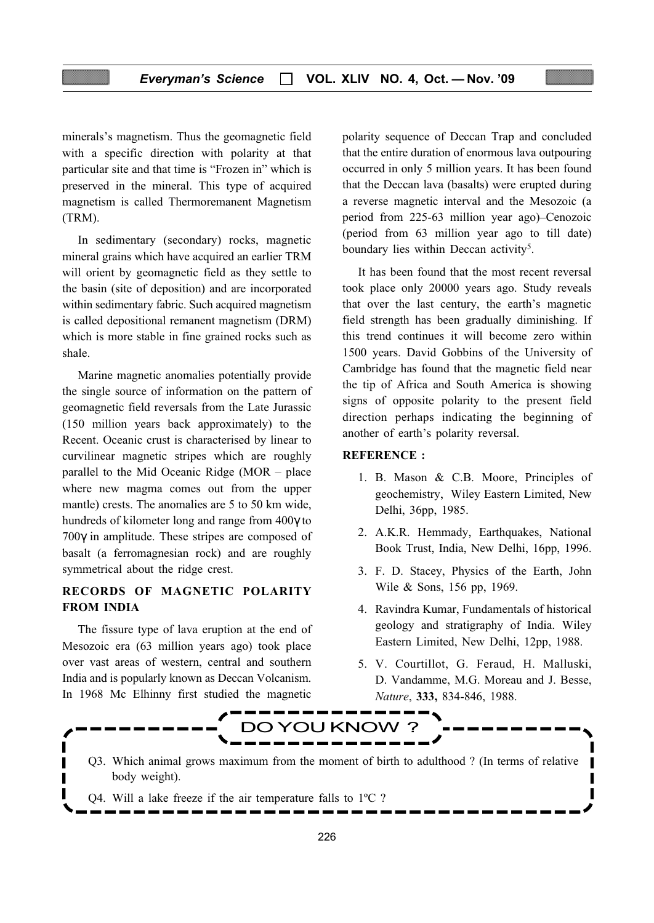minerals's magnetism. Thus the geomagnetic field with a specific direction with polarity at that particular site and that time is "Frozen in" which is preserved in the mineral. This type of acquired magnetism is called Thermoremanent Magnetism (TRM).

In sedimentary (secondary) rocks, magnetic mineral grains which have acquired an earlier TRM will orient by geomagnetic field as they settle to the basin (site of deposition) and are incorporated within sedimentary fabric. Such acquired magnetism is called depositional remanent magnetism (DRM) which is more stable in fine grained rocks such as shale.

Marine magnetic anomalies potentially provide the single source of information on the pattern of geomagnetic field reversals from the Late Jurassic (150 million years back approximately) to the Recent. Oceanic crust is characterised by linear to curvilinear magnetic stripes which are roughly parallel to the Mid Oceanic Ridge (MOR – place where new magma comes out from the upper mantle) crests. The anomalies are 5 to 50 km wide, hundreds of kilometer long and range from 400γ to 700γ in amplitude. These stripes are composed of basalt (a ferromagnesian rock) and are roughly symmetrical about the ridge crest.

# RECORDS OF MAGNETIC POLARITY FROM INDIA

The fissure type of lava eruption at the end of Mesozoic era (63 million years ago) took place over vast areas of western, central and southern India and is popularly known as Deccan Volcanism. In 1968 Mc Elhinny first studied the magnetic

I

polarity sequence of Deccan Trap and concluded that the entire duration of enormous lava outpouring occurred in only 5 million years. It has been found that the Deccan lava (basalts) were erupted during a reverse magnetic interval and the Mesozoic (a period from 225-63 million year ago)–Cenozoic (period from 63 million year ago to till date) boundary lies within Deccan activity<sup>5</sup>.

It has been found that the most recent reversal took place only 20000 years ago. Study reveals that over the last century, the earth's magnetic field strength has been gradually diminishing. If this trend continues it will become zero within 1500 years. David Gobbins of the University of Cambridge has found that the magnetic field near the tip of Africa and South America is showing signs of opposite polarity to the present field direction perhaps indicating the beginning of another of earth's polarity reversal.

#### REFERENCE :

- 1. B. Mason & C.B. Moore, Principles of geochemistry, Wiley Eastern Limited, New Delhi, 36pp, 1985.
- 2. A.K.R. Hemmady, Earthquakes, National Book Trust, India, New Delhi, 16pp, 1996.
- 3. F. D. Stacey, Physics of the Earth, John Wile & Sons, 156 pp, 1969.
- 4. Ravindra Kumar, Fundamentals of historical geology and stratigraphy of India. Wiley Eastern Limited, New Delhi, 12pp, 1988.
- 5. V. Courtillot, G. Feraud, H. Malluski, D. Vandamme, M.G. Moreau and J. Besse, Nature, 333, 834-846, 1988.

П



- Q3. Which animal grows maximum from the moment of birth to adulthood ? (In terms of relative body weight).
- Q4. Will a lake freeze if the air temperature falls to 1ºC ?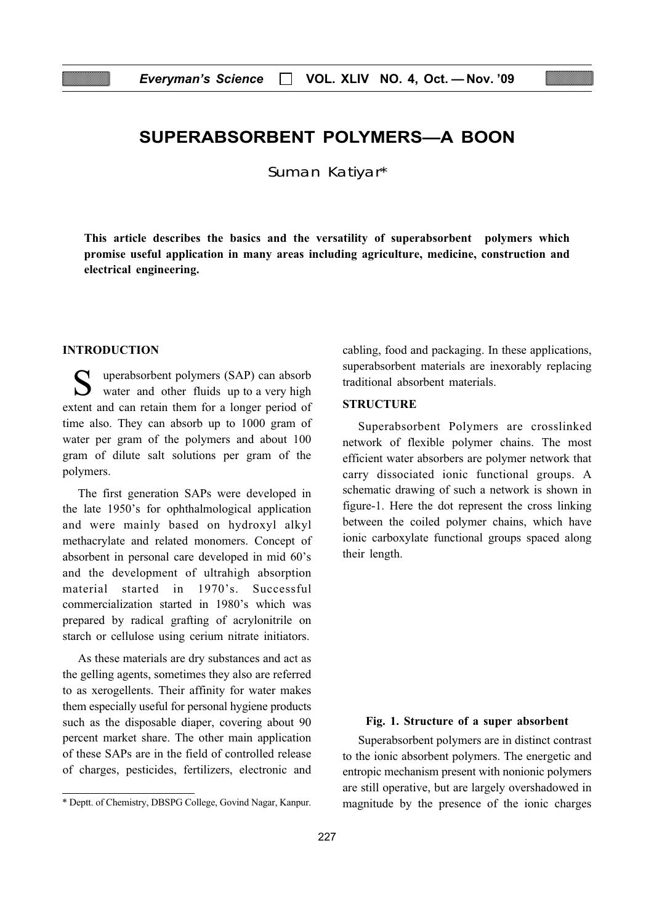# SUPERABSORBENT POLYMERS—A BOON

Suman Katiyar\*

This article describes the basics and the versatility of superabsorbent polymers which promise useful application in many areas including agriculture, medicine, construction and electrical engineering.

#### INTRODUCTION

uperabsorbent polymers (SAP) can absorb water and other fluids up to a very high extent and can retain them for a longer period of time also. They can absorb up to 1000 gram of water per gram of the polymers and about 100 gram of dilute salt solutions per gram of the polymers.

The first generation SAPs were developed in the late 1950's for ophthalmological application and were mainly based on hydroxyl alkyl methacrylate and related monomers. Concept of absorbent in personal care developed in mid 60's and the development of ultrahigh absorption material started in 1970's Successful commercialization started in 1980's which was prepared by radical grafting of acrylonitrile on starch or cellulose using cerium nitrate initiators.

As these materials are dry substances and act as the gelling agents, sometimes they also are referred to as xerogellents. Their affinity for water makes them especially useful for personal hygiene products such as the disposable diaper, covering about 90 percent market share. The other main application of these SAPs are in the field of controlled release of charges, pesticides, fertilizers, electronic and cabling, food and packaging. In these applications, superabsorbent materials are inexorably replacing traditional absorbent materials.

# **STRUCTURE**

Superabsorbent Polymers are crosslinked network of flexible polymer chains. The most efficient water absorbers are polymer network that carry dissociated ionic functional groups. A schematic drawing of such a network is shown in figure-1. Here the dot represent the cross linking between the coiled polymer chains, which have ionic carboxylate functional groups spaced along their length.

#### Fig. 1. Structure of a super absorbent

Superabsorbent polymers are in distinct contrast to the ionic absorbent polymers. The energetic and entropic mechanism present with nonionic polymers are still operative, but are largely overshadowed in magnitude by the presence of the ionic charges

<sup>\*</sup> Deptt. of Chemistry, DBSPG College, Govind Nagar, Kanpur.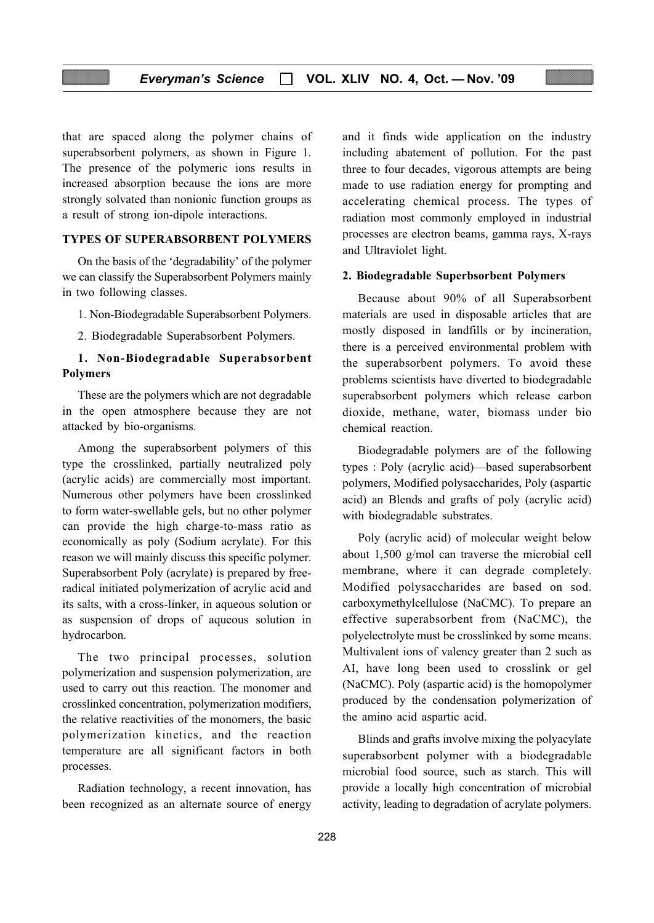that are spaced along the polymer chains of superabsorbent polymers, as shown in Figure 1. The presence of the polymeric ions results in increased absorption because the ions are more strongly solvated than nonionic function groups as a result of strong ion-dipole interactions.

## TYPES OF SUPERABSORBENT POLYMERS

On the basis of the 'degradability' of the polymer we can classify the Superabsorbent Polymers mainly in two following classes.

1. Non-Biodegradable Superabsorbent Polymers.

2. Biodegradable Superabsorbent Polymers.

## 1. Non-Biodegradable Superabsorbent Polymers

These are the polymers which are not degradable in the open atmosphere because they are not attacked by bio-organisms.

Among the superabsorbent polymers of this type the crosslinked, partially neutralized poly (acrylic acids) are commercially most important. Numerous other polymers have been crosslinked to form water-swellable gels, but no other polymer can provide the high charge-to-mass ratio as economically as poly (Sodium acrylate). For this reason we will mainly discuss this specific polymer. Superabsorbent Poly (acrylate) is prepared by freeradical initiated polymerization of acrylic acid and its salts, with a cross-linker, in aqueous solution or as suspension of drops of aqueous solution in hydrocarbon.

The two principal processes, solution polymerization and suspension polymerization, are used to carry out this reaction. The monomer and crosslinked concentration, polymerization modifiers, the relative reactivities of the monomers, the basic polymerization kinetics, and the reaction temperature are all significant factors in both processes.

Radiation technology, a recent innovation, has been recognized as an alternate source of energy

and it finds wide application on the industry including abatement of pollution. For the past three to four decades, vigorous attempts are being made to use radiation energy for prompting and accelerating chemical process. The types of radiation most commonly employed in industrial processes are electron beams, gamma rays, X-rays and Ultraviolet light.

#### 2. Biodegradable Superbsorbent Polymers

Because about 90% of all Superabsorbent materials are used in disposable articles that are mostly disposed in landfills or by incineration, there is a perceived environmental problem with the superabsorbent polymers. To avoid these problems scientists have diverted to biodegradable superabsorbent polymers which release carbon dioxide, methane, water, biomass under bio chemical reaction.

Biodegradable polymers are of the following types : Poly (acrylic acid)—based superabsorbent polymers, Modified polysaccharides, Poly (aspartic acid) an Blends and grafts of poly (acrylic acid) with biodegradable substrates.

Poly (acrylic acid) of molecular weight below about 1,500 g/mol can traverse the microbial cell membrane, where it can degrade completely. Modified polysaccharides are based on sod. carboxymethylcellulose (NaCMC). To prepare an effective superabsorbent from (NaCMC), the polyelectrolyte must be crosslinked by some means. Multivalent ions of valency greater than 2 such as AI, have long been used to crosslink or gel (NaCMC). Poly (aspartic acid) is the homopolymer produced by the condensation polymerization of the amino acid aspartic acid.

Blinds and grafts involve mixing the polyacylate superabsorbent polymer with a biodegradable microbial food source, such as starch. This will provide a locally high concentration of microbial activity, leading to degradation of acrylate polymers.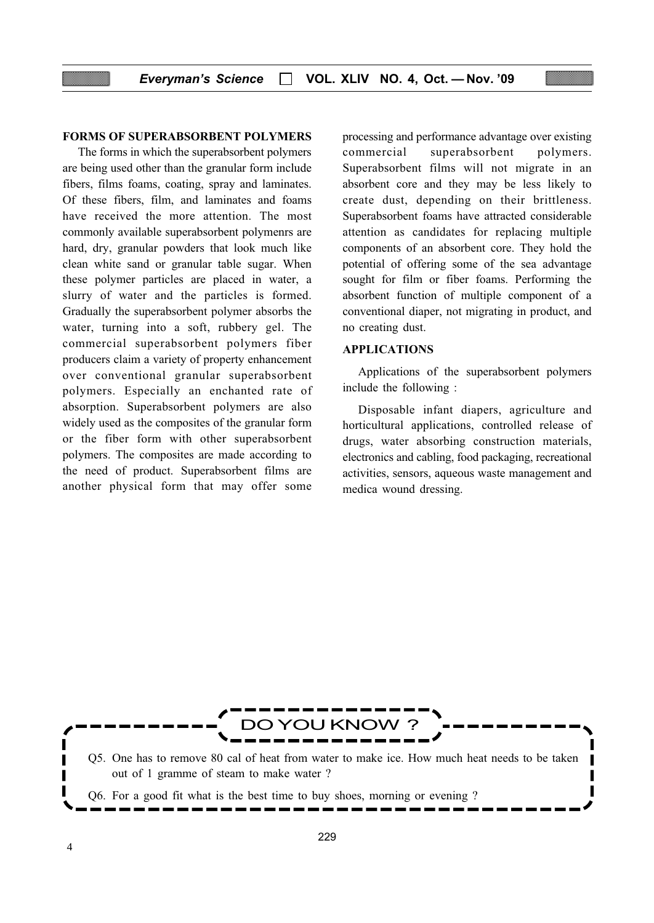#### FORMS OF SUPERABSORBENT POLYMERS

The forms in which the superabsorbent polymers are being used other than the granular form include fibers, films foams, coating, spray and laminates. Of these fibers, film, and laminates and foams have received the more attention. The most commonly available superabsorbent polymenrs are hard, dry, granular powders that look much like clean white sand or granular table sugar. When these polymer particles are placed in water, a slurry of water and the particles is formed. Gradually the superabsorbent polymer absorbs the water, turning into a soft, rubbery gel. The commercial superabsorbent polymers fiber producers claim a variety of property enhancement over conventional granular superabsorbent polymers. Especially an enchanted rate of absorption. Superabsorbent polymers are also widely used as the composites of the granular form or the fiber form with other superabsorbent polymers. The composites are made according to the need of product. Superabsorbent films are another physical form that may offer some

processing and performance advantage over existing commercial superabsorbent polymers. Superabsorbent films will not migrate in an absorbent core and they may be less likely to create dust, depending on their brittleness. Superabsorbent foams have attracted considerable attention as candidates for replacing multiple components of an absorbent core. They hold the potential of offering some of the sea advantage sought for film or fiber foams. Performing the absorbent function of multiple component of a conventional diaper, not migrating in product, and no creating dust.

#### APPLICATIONS

Applications of the superabsorbent polymers include the following :

Disposable infant diapers, agriculture and horticultural applications, controlled release of drugs, water absorbing construction materials, electronics and cabling, food packaging, recreational activities, sensors, aqueous waste management and medica wound dressing.

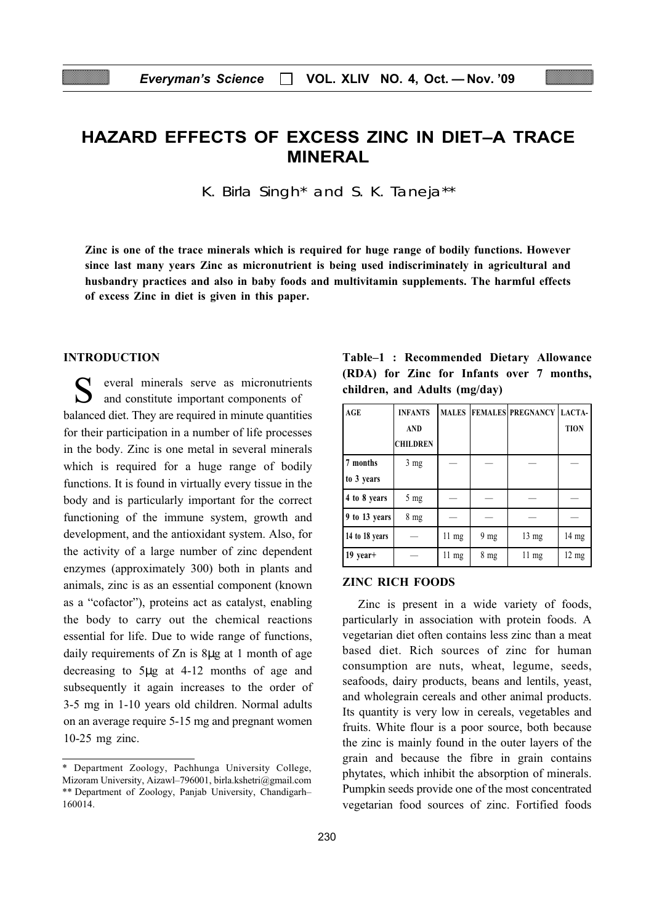# HAZARD EFFECTS OF EXCESS ZINC IN DIET–A TRACE MINERAL

K. Birla Singh\* and S. K. Taneja\*\*

Zinc is one of the trace minerals which is required for huge range of bodily functions. However since last many years Zinc as micronutrient is being used indiscriminately in agricultural and husbandry practices and also in baby foods and multivitamin supplements. The harmful effects of excess Zinc in diet is given in this paper.

#### INTRODUCTION

S everal minerals serve as micronutrients and constitute important components of balanced diet. They are required in minute quantities for their participation in a number of life processes in the body. Zinc is one metal in several minerals which is required for a huge range of bodily functions. It is found in virtually every tissue in the body and is particularly important for the correct functioning of the immune system, growth and development, and the antioxidant system. Also, for the activity of a large number of zinc dependent enzymes (approximately 300) both in plants and animals, zinc is as an essential component (known as a "cofactor"), proteins act as catalyst, enabling the body to carry out the chemical reactions essential for life. Due to wide range of functions, daily requirements of Zn is 8µg at 1 month of age decreasing to 5µg at 4-12 months of age and subsequently it again increases to the order of 3-5 mg in 1-10 years old children. Normal adults on an average require 5-15 mg and pregnant women 10-25 mg zinc.

Table–1 : Recommended Dietary Allowance (RDA) for Zinc for Infants over 7 months, children, and Adults (mg/day)

| <b>AGE</b>     | <b>INFANTS</b>  |                 |                | MALES  FEMALES PREGNANCY LACTA- |                 |
|----------------|-----------------|-----------------|----------------|---------------------------------|-----------------|
|                | <b>AND</b>      |                 |                |                                 | <b>TION</b>     |
|                | <b>CHILDREN</b> |                 |                |                                 |                 |
| 7 months       | $3 \text{ mg}$  |                 |                |                                 |                 |
| to 3 years     |                 |                 |                |                                 |                 |
| 4 to 8 years   | $5 \text{ mg}$  |                 |                |                                 |                 |
| 9 to 13 years  | $8 \text{ mg}$  |                 |                |                                 |                 |
| 14 to 18 years |                 | $11 \text{ mg}$ | $9 \text{ mg}$ | $13 \text{ mg}$                 | 14 mg           |
| $19$ year+     |                 | $11 \text{ mg}$ | $8 \text{ mg}$ | $11 \text{ mg}$                 | $12 \text{ mg}$ |

#### ZINC RICH FOODS

Zinc is present in a wide variety of foods, particularly in association with protein foods. A vegetarian diet often contains less zinc than a meat based diet. Rich sources of zinc for human consumption are nuts, wheat, legume, seeds, seafoods, dairy products, beans and lentils, yeast, and wholegrain cereals and other animal products. Its quantity is very low in cereals, vegetables and fruits. White flour is a poor source, both because the zinc is mainly found in the outer layers of the grain and because the fibre in grain contains phytates, which inhibit the absorption of minerals. Pumpkin seeds provide one of the most concentrated vegetarian food sources of zinc. Fortified foods

<sup>\*</sup> Department Zoology, Pachhunga University College, Mizoram University, Aizawl–796001, birla.kshetri@gmail.com \*\* Department of Zoology, Panjab University, Chandigarh– 160014.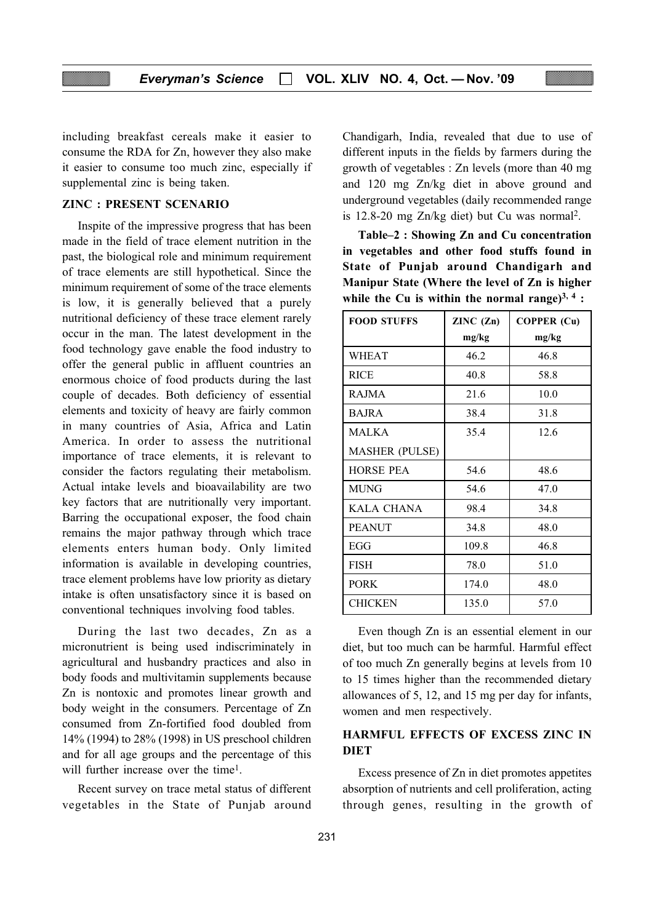including breakfast cereals make it easier to consume the RDA for Zn, however they also make it easier to consume too much zinc, especially if supplemental zinc is being taken.

#### ZINC : PRESENT SCENARIO

Inspite of the impressive progress that has been made in the field of trace element nutrition in the past, the biological role and minimum requirement of trace elements are still hypothetical. Since the minimum requirement of some of the trace elements is low, it is generally believed that a purely nutritional deficiency of these trace element rarely occur in the man. The latest development in the food technology gave enable the food industry to offer the general public in affluent countries an enormous choice of food products during the last couple of decades. Both deficiency of essential elements and toxicity of heavy are fairly common in many countries of Asia, Africa and Latin America. In order to assess the nutritional importance of trace elements, it is relevant to consider the factors regulating their metabolism. Actual intake levels and bioavailability are two key factors that are nutritionally very important. Barring the occupational exposer, the food chain remains the major pathway through which trace elements enters human body. Only limited information is available in developing countries, trace element problems have low priority as dietary intake is often unsatisfactory since it is based on conventional techniques involving food tables.

During the last two decades, Zn as a micronutrient is being used indiscriminately in agricultural and husbandry practices and also in body foods and multivitamin supplements because Zn is nontoxic and promotes linear growth and body weight in the consumers. Percentage of Zn consumed from Zn-fortified food doubled from 14% (1994) to 28% (1998) in US preschool children and for all age groups and the percentage of this will further increase over the time<sup>1</sup>.

Recent survey on trace metal status of different vegetables in the State of Punjab around

Chandigarh, India, revealed that due to use of different inputs in the fields by farmers during the growth of vegetables : Zn levels (more than 40 mg and 120 mg Zn/kg diet in above ground and underground vegetables (daily recommended range is 12.8-20 mg Zn/kg diet) but Cu was normal2.

Table–2 : Showing Zn and Cu concentration in vegetables and other food stuffs found in State of Punjab around Chandigarh and Manipur State (Where the level of Zn is higher while the Cu is within the normal range) $^{3, 4}$ :

| <b>FOOD STUFFS</b>    | ZINC (Zn) | <b>COPPER (Cu)</b> |
|-----------------------|-----------|--------------------|
|                       | mg/kg     | mg/kg              |
| <b>WHEAT</b>          | 46.2      | 46.8               |
| <b>RICE</b>           | 40.8      | 58.8               |
| <b>RAJMA</b>          | 21.6      | 10.0               |
| <b>BAJRA</b>          | 38.4      | 31.8               |
| <b>MALKA</b>          | 35.4      | 12.6               |
| <b>MASHER (PULSE)</b> |           |                    |
| <b>HORSE PEA</b>      | 54.6      | 48.6               |
| <b>MUNG</b>           | 54.6      | 47.0               |
| <b>KALA CHANA</b>     | 98.4      | 34.8               |
| <b>PEANUT</b>         | 34.8      | 48.0               |
| EGG                   | 109.8     | 46.8               |
| <b>FISH</b>           | 78.0      | 51.0               |
| <b>PORK</b>           | 174.0     | 48.0               |
| <b>CHICKEN</b>        | 135.0     | 57.0               |

Even though Zn is an essential element in our diet, but too much can be harmful. Harmful effect of too much Zn generally begins at levels from 10 to 15 times higher than the recommended dietary allowances of 5, 12, and 15 mg per day for infants, women and men respectively.

# HARMFUL EFFECTS OF EXCESS ZINC IN **DIET**

Excess presence of Zn in diet promotes appetites absorption of nutrients and cell proliferation, acting through genes, resulting in the growth of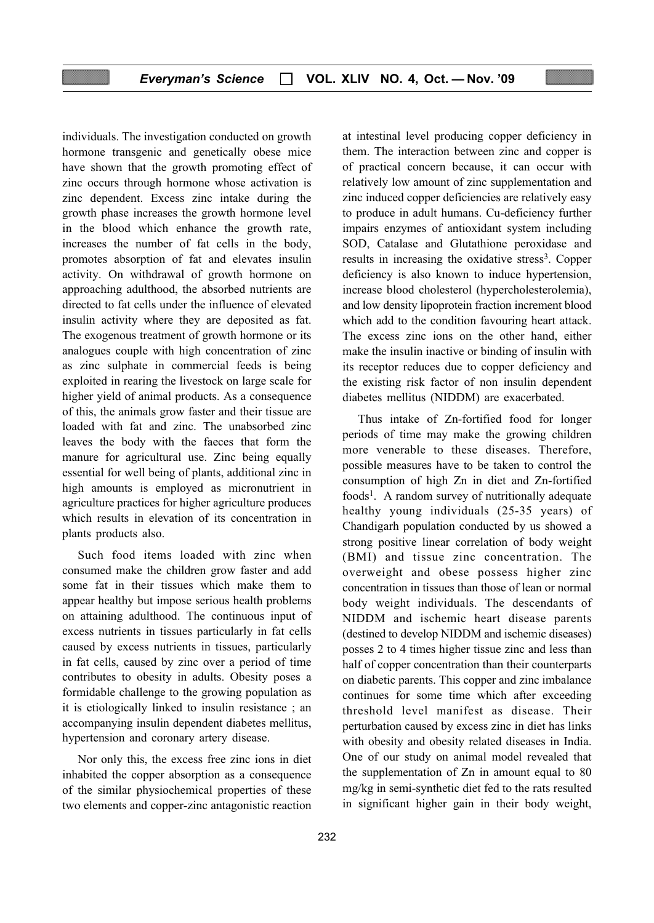individuals. The investigation conducted on growth hormone transgenic and genetically obese mice have shown that the growth promoting effect of zinc occurs through hormone whose activation is zinc dependent. Excess zinc intake during the growth phase increases the growth hormone level in the blood which enhance the growth rate, increases the number of fat cells in the body, promotes absorption of fat and elevates insulin activity. On withdrawal of growth hormone on approaching adulthood, the absorbed nutrients are directed to fat cells under the influence of elevated insulin activity where they are deposited as fat. The exogenous treatment of growth hormone or its analogues couple with high concentration of zinc as zinc sulphate in commercial feeds is being exploited in rearing the livestock on large scale for higher yield of animal products. As a consequence of this, the animals grow faster and their tissue are loaded with fat and zinc. The unabsorbed zinc leaves the body with the faeces that form the manure for agricultural use. Zinc being equally essential for well being of plants, additional zinc in high amounts is employed as micronutrient in agriculture practices for higher agriculture produces which results in elevation of its concentration in plants products also.

Such food items loaded with zinc when consumed make the children grow faster and add some fat in their tissues which make them to appear healthy but impose serious health problems on attaining adulthood. The continuous input of excess nutrients in tissues particularly in fat cells caused by excess nutrients in tissues, particularly in fat cells, caused by zinc over a period of time contributes to obesity in adults. Obesity poses a formidable challenge to the growing population as it is etiologically linked to insulin resistance ; an accompanying insulin dependent diabetes mellitus, hypertension and coronary artery disease.

Nor only this, the excess free zinc ions in diet inhabited the copper absorption as a consequence of the similar physiochemical properties of these two elements and copper-zinc antagonistic reaction at intestinal level producing copper deficiency in them. The interaction between zinc and copper is of practical concern because, it can occur with relatively low amount of zinc supplementation and zinc induced copper deficiencies are relatively easy to produce in adult humans. Cu-deficiency further impairs enzymes of antioxidant system including SOD, Catalase and Glutathione peroxidase and results in increasing the oxidative stress<sup>3</sup>. Copper deficiency is also known to induce hypertension, increase blood cholesterol (hypercholesterolemia), and low density lipoprotein fraction increment blood which add to the condition favouring heart attack. The excess zinc ions on the other hand, either make the insulin inactive or binding of insulin with its receptor reduces due to copper deficiency and the existing risk factor of non insulin dependent diabetes mellitus (NIDDM) are exacerbated.

Thus intake of Zn-fortified food for longer periods of time may make the growing children more venerable to these diseases. Therefore, possible measures have to be taken to control the consumption of high Zn in diet and Zn-fortified foods<sup>1</sup>. A random survey of nutritionally adequate healthy young individuals (25-35 years) of Chandigarh population conducted by us showed a strong positive linear correlation of body weight (BMI) and tissue zinc concentration. The overweight and obese possess higher zinc concentration in tissues than those of lean or normal body weight individuals. The descendants of NIDDM and ischemic heart disease parents (destined to develop NIDDM and ischemic diseases) posses 2 to 4 times higher tissue zinc and less than half of copper concentration than their counterparts on diabetic parents. This copper and zinc imbalance continues for some time which after exceeding threshold level manifest as disease. Their perturbation caused by excess zinc in diet has links with obesity and obesity related diseases in India. One of our study on animal model revealed that the supplementation of Zn in amount equal to 80 mg/kg in semi-synthetic diet fed to the rats resulted in significant higher gain in their body weight,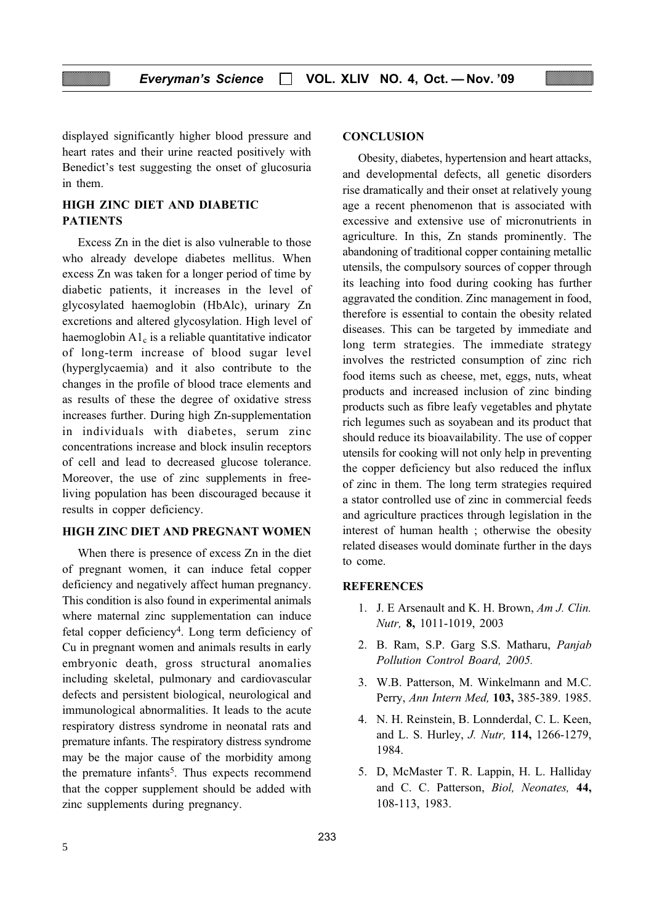displayed significantly higher blood pressure and heart rates and their urine reacted positively with Benedict's test suggesting the onset of glucosuria in them.

# HIGH ZINC DIET AND DIABETIC PATIENTS

Excess Zn in the diet is also vulnerable to those who already develope diabetes mellitus. When excess Zn was taken for a longer period of time by diabetic patients, it increases in the level of glycosylated haemoglobin (HbAlc), urinary Zn excretions and altered glycosylation. High level of haemoglobin  $A1_c$  is a reliable quantitative indicator of long-term increase of blood sugar level (hyperglycaemia) and it also contribute to the changes in the profile of blood trace elements and as results of these the degree of oxidative stress increases further. During high Zn-supplementation in individuals with diabetes, serum zinc concentrations increase and block insulin receptors of cell and lead to decreased glucose tolerance. Moreover, the use of zinc supplements in freeliving population has been discouraged because it results in copper deficiency.

#### HIGH ZINC DIET AND PREGNANT WOMEN

When there is presence of excess Zn in the diet of pregnant women, it can induce fetal copper deficiency and negatively affect human pregnancy. This condition is also found in experimental animals where maternal zinc supplementation can induce fetal copper deficiency<sup>4</sup>. Long term deficiency of Cu in pregnant women and animals results in early embryonic death, gross structural anomalies including skeletal, pulmonary and cardiovascular defects and persistent biological, neurological and immunological abnormalities. It leads to the acute respiratory distress syndrome in neonatal rats and premature infants. The respiratory distress syndrome may be the major cause of the morbidity among the premature infants<sup>5</sup>. Thus expects recommend that the copper supplement should be added with zinc supplements during pregnancy.

#### **CONCLUSION**

Obesity, diabetes, hypertension and heart attacks, and developmental defects, all genetic disorders rise dramatically and their onset at relatively young age a recent phenomenon that is associated with excessive and extensive use of micronutrients in agriculture. In this, Zn stands prominently. The abandoning of traditional copper containing metallic utensils, the compulsory sources of copper through its leaching into food during cooking has further aggravated the condition. Zinc management in food, therefore is essential to contain the obesity related diseases. This can be targeted by immediate and long term strategies. The immediate strategy involves the restricted consumption of zinc rich food items such as cheese, met, eggs, nuts, wheat products and increased inclusion of zinc binding products such as fibre leafy vegetables and phytate rich legumes such as soyabean and its product that should reduce its bioavailability. The use of copper utensils for cooking will not only help in preventing the copper deficiency but also reduced the influx of zinc in them. The long term strategies required a stator controlled use of zinc in commercial feeds and agriculture practices through legislation in the interest of human health ; otherwise the obesity related diseases would dominate further in the days to come.

#### **REFERENCES**

- 1. J. E Arsenault and K. H. Brown, Am J. Clin. Nutr, 8, 1011-1019, 2003
- 2. B. Ram, S.P. Garg S.S. Matharu, Panjab Pollution Control Board, 2005.
- 3. W.B. Patterson, M. Winkelmann and M.C. Perry, Ann Intern Med, 103, 385-389. 1985.
- 4. N. H. Reinstein, B. Lonnderdal, C. L. Keen, and L. S. Hurley, *J. Nutr*, **114,** 1266-1279, 1984.
- 5. D, McMaster T. R. Lappin, H. L. Halliday and C. C. Patterson, Biol, Neonates, 44, 108-113, 1983.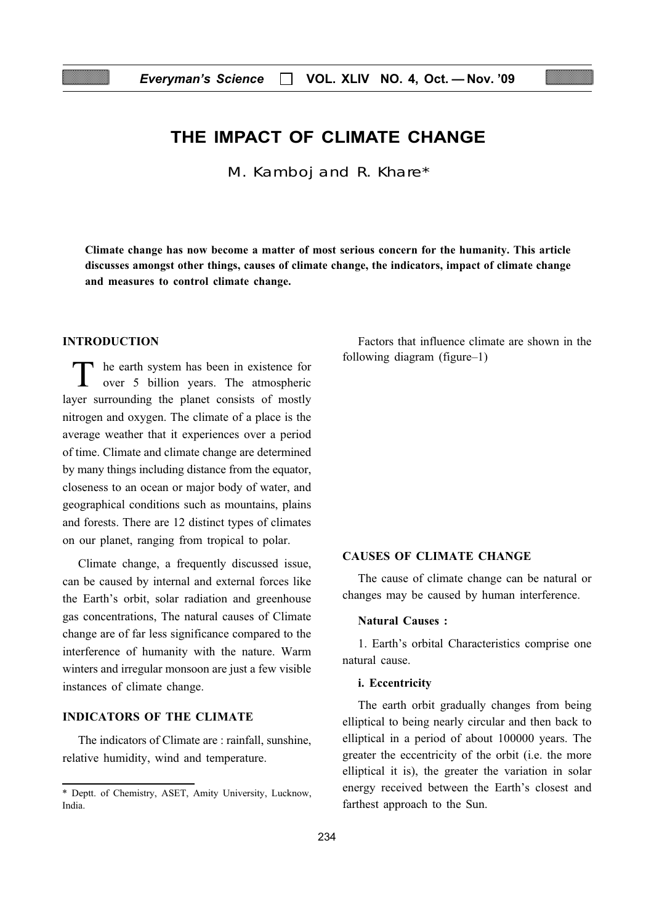# THE IMPACT OF CLIMATE CHANGE

M. Kamboj and R. Khare\*

Climate change has now become a matter of most serious concern for the humanity. This article discusses amongst other things, causes of climate change, the indicators, impact of climate change and measures to control climate change.

#### INTRODUCTION

T he earth system has been in existence for<br>over 5 billion years. The atmospheric layer surrounding the planet consists of mostly nitrogen and oxygen. The climate of a place is the average weather that it experiences over a period of time. Climate and climate change are determined by many things including distance from the equator, closeness to an ocean or major body of water, and geographical conditions such as mountains, plains and forests. There are 12 distinct types of climates on our planet, ranging from tropical to polar.

Climate change, a frequently discussed issue, can be caused by internal and external forces like the Earth's orbit, solar radiation and greenhouse gas concentrations, The natural causes of Climate change are of far less significance compared to the interference of humanity with the nature. Warm winters and irregular monsoon are just a few visible instances of climate change.

## INDICATORS OF THE CLIMATE

The indicators of Climate are : rainfall, sunshine, relative humidity, wind and temperature.

Factors that influence climate are shown in the following diagram (figure–1)

#### CAUSES OF CLIMATE CHANGE

The cause of climate change can be natural or changes may be caused by human interference.

#### Natural Causes :

1. Earth's orbital Characteristics comprise one natural cause.

#### i. Eccentricity

The earth orbit gradually changes from being elliptical to being nearly circular and then back to elliptical in a period of about 100000 years. The greater the eccentricity of the orbit (i.e. the more elliptical it is), the greater the variation in solar energy received between the Earth's closest and farthest approach to the Sun.

<sup>\*</sup> Deptt. of Chemistry, ASET, Amity University, Lucknow, India.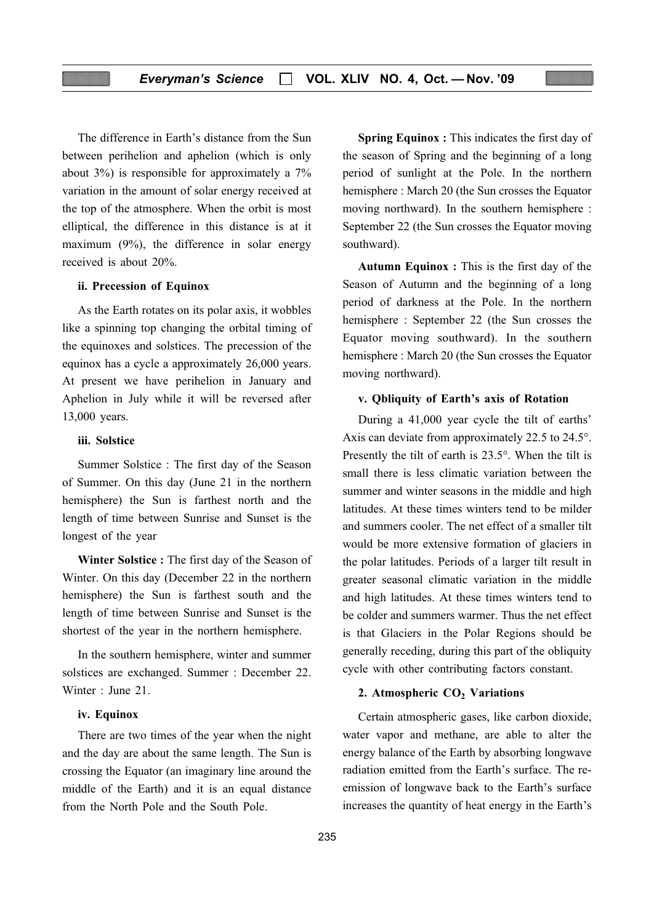The difference in Earth's distance from the Sun between perihelion and aphelion (which is only about 3%) is responsible for approximately a 7% variation in the amount of solar energy received at the top of the atmosphere. When the orbit is most elliptical, the difference in this distance is at it maximum (9%), the difference in solar energy received is about 20%.

#### ii. Precession of Equinox

As the Earth rotates on its polar axis, it wobbles like a spinning top changing the orbital timing of the equinoxes and solstices. The precession of the equinox has a cycle a approximately 26,000 years. At present we have perihelion in January and Aphelion in July while it will be reversed after 13,000 years.

#### iii. Solstice

Summer Solstice : The first day of the Season of Summer. On this day (June 21 in the northern hemisphere) the Sun is farthest north and the length of time between Sunrise and Sunset is the longest of the year

Winter Solstice : The first day of the Season of Winter. On this day (December 22 in the northern hemisphere) the Sun is farthest south and the length of time between Sunrise and Sunset is the shortest of the year in the northern hemisphere.

In the southern hemisphere, winter and summer solstices are exchanged. Summer : December 22. Winter : June 21.

#### iv. Equinox

There are two times of the year when the night and the day are about the same length. The Sun is crossing the Equator (an imaginary line around the middle of the Earth) and it is an equal distance from the North Pole and the South Pole.

Spring Equinox : This indicates the first day of the season of Spring and the beginning of a long period of sunlight at the Pole. In the northern hemisphere : March 20 (the Sun crosses the Equator moving northward). In the southern hemisphere : September 22 (the Sun crosses the Equator moving southward).

Autumn Equinox : This is the first day of the Season of Autumn and the beginning of a long period of darkness at the Pole. In the northern hemisphere : September 22 (the Sun crosses the Equator moving southward). In the southern hemisphere : March 20 (the Sun crosses the Equator moving northward).

#### v. Qbliquity of Earth's axis of Rotation

During a 41,000 year cycle the tilt of earths' Axis can deviate from approximately 22.5 to 24.5°. Presently the tilt of earth is 23.5°. When the tilt is small there is less climatic variation between the summer and winter seasons in the middle and high latitudes. At these times winters tend to be milder and summers cooler. The net effect of a smaller tilt would be more extensive formation of glaciers in the polar latitudes. Periods of a larger tilt result in greater seasonal climatic variation in the middle and high latitudes. At these times winters tend to be colder and summers warmer. Thus the net effect is that Glaciers in the Polar Regions should be generally receding, during this part of the obliquity cycle with other contributing factors constant.

## 2. Atmospheric  $CO<sub>2</sub>$  Variations

Certain atmospheric gases, like carbon dioxide, water vapor and methane, are able to alter the energy balance of the Earth by absorbing longwave radiation emitted from the Earth's surface. The reemission of longwave back to the Earth's surface increases the quantity of heat energy in the Earth's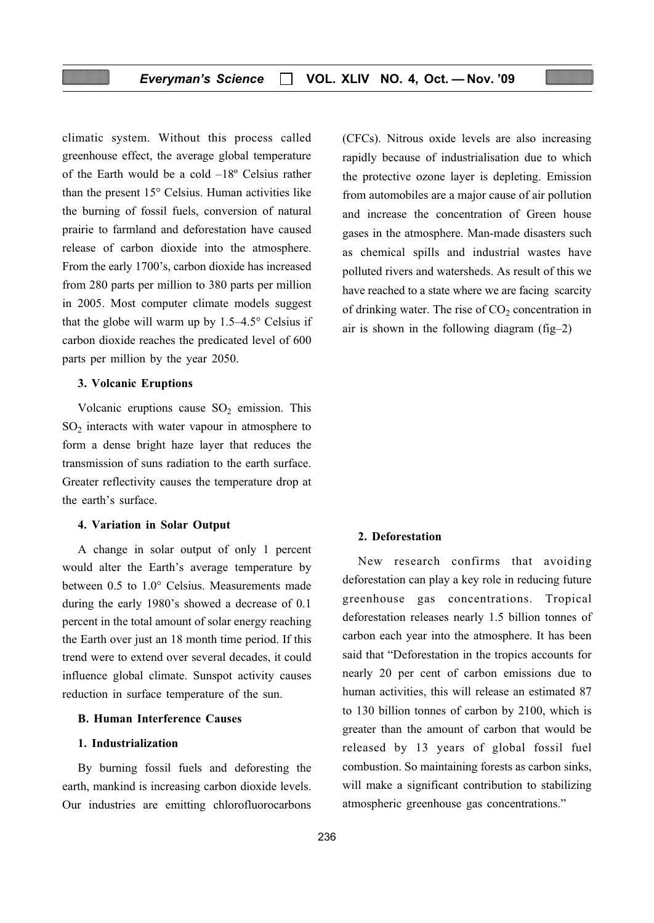climatic system. Without this process called greenhouse effect, the average global temperature of the Earth would be a cold –18º Celsius rather than the present 15° Celsius. Human activities like the burning of fossil fuels, conversion of natural prairie to farmland and deforestation have caused release of carbon dioxide into the atmosphere. From the early 1700's, carbon dioxide has increased from 280 parts per million to 380 parts per million in 2005. Most computer climate models suggest that the globe will warm up by 1.5–4.5° Celsius if carbon dioxide reaches the predicated level of 600 parts per million by the year 2050.

#### 3. Volcanic Eruptions

Volcanic eruptions cause  $SO_2$  emission. This  $SO<sub>2</sub>$  interacts with water vapour in atmosphere to form a dense bright haze layer that reduces the transmission of suns radiation to the earth surface. Greater reflectivity causes the temperature drop at the earth's surface.

#### 4. Variation in Solar Output

A change in solar output of only 1 percent would alter the Earth's average temperature by between 0.5 to 1.0° Celsius. Measurements made during the early 1980's showed a decrease of 0.1 percent in the total amount of solar energy reaching the Earth over just an 18 month time period. If this trend were to extend over several decades, it could influence global climate. Sunspot activity causes reduction in surface temperature of the sun.

## B. Human Interference Causes

#### 1. Industrialization

By burning fossil fuels and deforesting the earth, mankind is increasing carbon dioxide levels. Our industries are emitting chlorofluorocarbons (CFCs). Nitrous oxide levels are also increasing rapidly because of industrialisation due to which the protective ozone layer is depleting. Emission from automobiles are a major cause of air pollution and increase the concentration of Green house gases in the atmosphere. Man-made disasters such as chemical spills and industrial wastes have polluted rivers and watersheds. As result of this we have reached to a state where we are facing scarcity of drinking water. The rise of  $CO<sub>2</sub>$  concentration in air is shown in the following diagram (fig–2)

#### 2. Deforestation

New research confirms that avoiding deforestation can play a key role in reducing future greenhouse gas concentrations. Tropical deforestation releases nearly 1.5 billion tonnes of carbon each year into the atmosphere. It has been said that "Deforestation in the tropics accounts for nearly 20 per cent of carbon emissions due to human activities, this will release an estimated 87 to 130 billion tonnes of carbon by 2100, which is greater than the amount of carbon that would be released by 13 years of global fossil fuel combustion. So maintaining forests as carbon sinks, will make a significant contribution to stabilizing atmospheric greenhouse gas concentrations."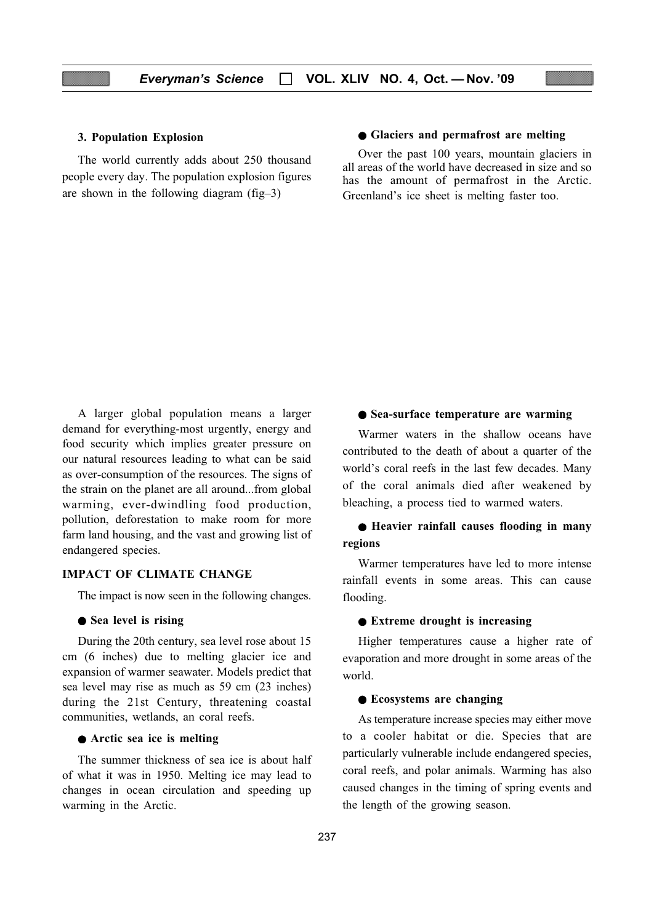#### 3. Population Explosion

The world currently adds about 250 thousand people every day. The population explosion figures are shown in the following diagram (fig–3)

#### ● Glaciers and permafrost are melting

Over the past 100 years, mountain glaciers in all areas of the world have decreased in size and so has the amount of permafrost in the Arctic. Greenland's ice sheet is melting faster too.

A larger global population means a larger demand for everything-most urgently, energy and food security which implies greater pressure on our natural resources leading to what can be said as over-consumption of the resources. The signs of the strain on the planet are all around...from global warming, ever-dwindling food production, pollution, deforestation to make room for more farm land housing, and the vast and growing list of endangered species.

#### IMPACT OF CLIMATE CHANGE

The impact is now seen in the following changes.

#### ● Sea level is rising

During the 20th century, sea level rose about 15 cm (6 inches) due to melting glacier ice and expansion of warmer seawater. Models predict that sea level may rise as much as 59 cm (23 inches) during the 21st Century, threatening coastal communities, wetlands, an coral reefs.

#### ● Arctic sea ice is melting

The summer thickness of sea ice is about half of what it was in 1950. Melting ice may lead to changes in ocean circulation and speeding up warming in the Arctic.

#### ● Sea-surface temperature are warming

Warmer waters in the shallow oceans have contributed to the death of about a quarter of the world's coral reefs in the last few decades. Many of the coral animals died after weakened by bleaching, a process tied to warmed waters.

# ● Heavier rainfall causes flooding in many regions

Warmer temperatures have led to more intense rainfall events in some areas. This can cause flooding.

#### ● Extreme drought is increasing

Higher temperatures cause a higher rate of evaporation and more drought in some areas of the world.

#### ● Ecosystems are changing

As temperature increase species may either move to a cooler habitat or die. Species that are particularly vulnerable include endangered species, coral reefs, and polar animals. Warming has also caused changes in the timing of spring events and the length of the growing season.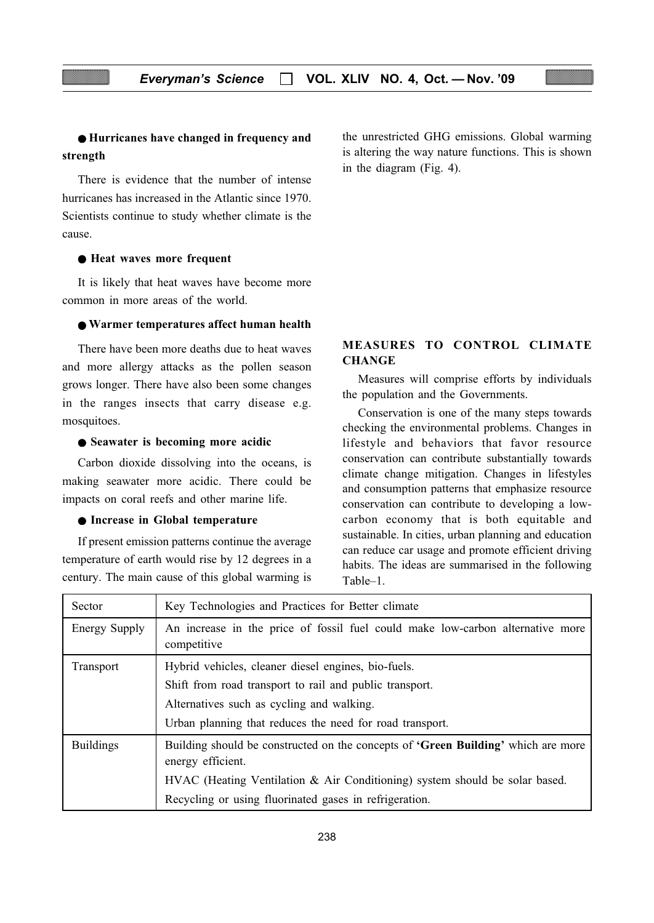# ● Hurricanes have changed in frequency and strength

There is evidence that the number of intense hurricanes has increased in the Atlantic since 1970. Scientists continue to study whether climate is the cause.

#### ● Heat waves more frequent

It is likely that heat waves have become more common in more areas of the world.

## ● Warmer temperatures affect human health

There have been more deaths due to heat waves and more allergy attacks as the pollen season grows longer. There have also been some changes in the ranges insects that carry disease e.g. mosquitoes.

#### ● Seawater is becoming more acidic

Carbon dioxide dissolving into the oceans, is making seawater more acidic. There could be impacts on coral reefs and other marine life.

#### ● Increase in Global temperature

If present emission patterns continue the average temperature of earth would rise by 12 degrees in a century. The main cause of this global warming is

the unrestricted GHG emissions. Global warming is altering the way nature functions. This is shown in the diagram (Fig. 4).

# MEASURES TO CONTROL CLIMATE **CHANGE**

Measures will comprise efforts by individuals the population and the Governments.

Conservation is one of the many steps towards checking the environmental problems. Changes in lifestyle and behaviors that favor resource conservation can contribute substantially towards climate change mitigation. Changes in lifestyles and consumption patterns that emphasize resource conservation can contribute to developing a lowcarbon economy that is both equitable and sustainable. In cities, urban planning and education can reduce car usage and promote efficient driving habits. The ideas are summarised in the following Table–1.

| Sector               | Key Technologies and Practices for Better climate                                                             |  |  |  |  |
|----------------------|---------------------------------------------------------------------------------------------------------------|--|--|--|--|
| <b>Energy Supply</b> | An increase in the price of fossil fuel could make low-carbon alternative more<br>competitive                 |  |  |  |  |
| Transport            | Hybrid vehicles, cleaner diesel engines, bio-fuels.                                                           |  |  |  |  |
|                      | Shift from road transport to rail and public transport.                                                       |  |  |  |  |
|                      | Alternatives such as cycling and walking.                                                                     |  |  |  |  |
|                      | Urban planning that reduces the need for road transport.                                                      |  |  |  |  |
| <b>Buildings</b>     | Building should be constructed on the concepts of <b>'Green Building'</b> which are more<br>energy efficient. |  |  |  |  |
|                      | $HVAC$ (Heating Ventilation & Air Conditioning) system should be solar based.                                 |  |  |  |  |
|                      | Recycling or using fluorinated gases in refrigeration.                                                        |  |  |  |  |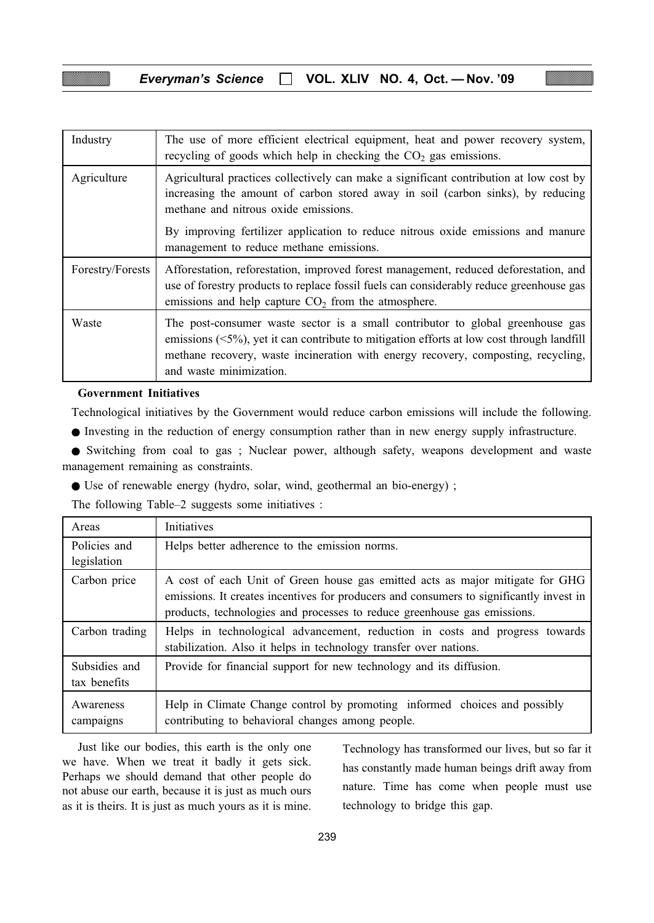| <b>Everyman's Science</b> |  | $\Box$ VOL. XLIV NO. 4, Oct. — Nov. '09 |  |  |  |  |
|---------------------------|--|-----------------------------------------|--|--|--|--|
|---------------------------|--|-----------------------------------------|--|--|--|--|

| Industry         | The use of more efficient electrical equipment, heat and power recovery system,<br>recycling of goods which help in checking the $CO2$ gas emissions.                                                                                                                                               |
|------------------|-----------------------------------------------------------------------------------------------------------------------------------------------------------------------------------------------------------------------------------------------------------------------------------------------------|
| Agriculture      | Agricultural practices collectively can make a significant contribution at low cost by<br>increasing the amount of carbon stored away in soil (carbon sinks), by reducing<br>methane and nitrous oxide emissions.                                                                                   |
|                  | By improving fertilizer application to reduce nitrous oxide emissions and manure<br>management to reduce methane emissions.                                                                                                                                                                         |
| Forestry/Forests | Afforestation, reforestation, improved forest management, reduced deforestation, and<br>use of forestry products to replace fossil fuels can considerably reduce greenhouse gas<br>emissions and help capture $CO2$ from the atmosphere.                                                            |
| Waste            | The post-consumer waste sector is a small contributor to global greenhouse gas<br>emissions $(\leq 5\%)$ , yet it can contribute to mitigation efforts at low cost through landfill<br>methane recovery, waste incineration with energy recovery, composting, recycling,<br>and waste minimization. |

#### Government Initiatives

Technological initiatives by the Government would reduce carbon emissions will include the following.

● Investing in the reduction of energy consumption rather than in new energy supply infrastructure.

● Switching from coal to gas ; Nuclear power, although safety, weapons development and waste management remaining as constraints.

● Use of renewable energy (hydro, solar, wind, geothermal an bio-energy) ;

The following Table–2 suggests some initiatives :

| Areas                         | Initiatives                                                                                                                                                                                                                                          |
|-------------------------------|------------------------------------------------------------------------------------------------------------------------------------------------------------------------------------------------------------------------------------------------------|
| Policies and<br>legislation   | Helps better adherence to the emission norms.                                                                                                                                                                                                        |
| Carbon price                  | A cost of each Unit of Green house gas emitted acts as major mitigate for GHG<br>emissions. It creates incentives for producers and consumers to significantly invest in<br>products, technologies and processes to reduce greenhouse gas emissions. |
| Carbon trading                | Helps in technological advancement, reduction in costs and progress towards<br>stabilization. Also it helps in technology transfer over nations.                                                                                                     |
| Subsidies and<br>tax benefits | Provide for financial support for new technology and its diffusion.                                                                                                                                                                                  |
| Awareness<br>campaigns        | Help in Climate Change control by promoting informed choices and possibly<br>contributing to behavioral changes among people.                                                                                                                        |

Just like our bodies, this earth is the only one we have. When we treat it badly it gets sick. Perhaps we should demand that other people do not abuse our earth, because it is just as much ours as it is theirs. It is just as much yours as it is mine.

Technology has transformed our lives, but so far it has constantly made human beings drift away from nature. Time has come when people must use technology to bridge this gap.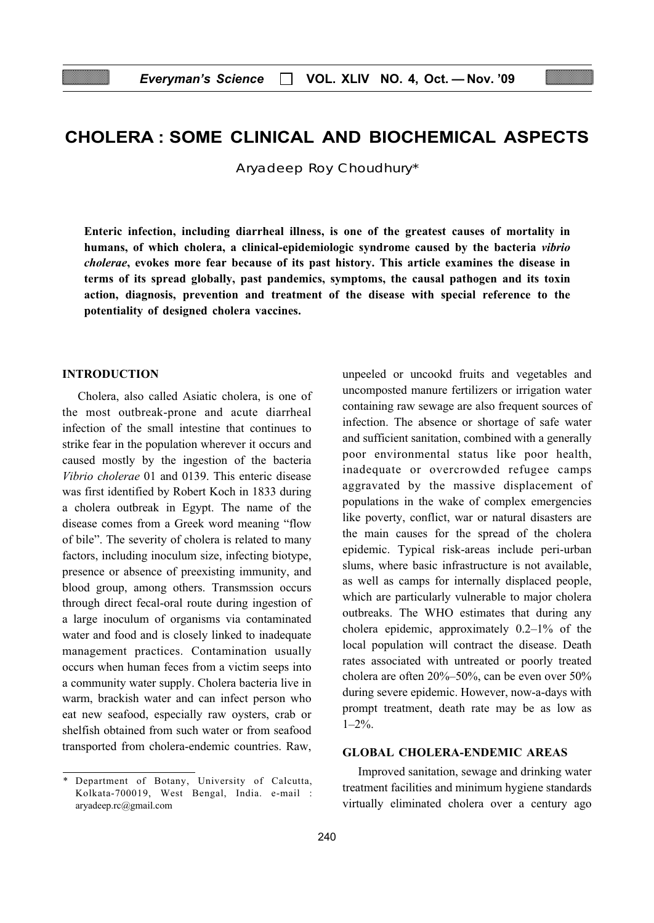# CHOLERA : SOME CLINICAL AND BIOCHEMICAL ASPECTS

Aryadeep Roy Choudhury\*

Enteric infection, including diarrheal illness, is one of the greatest causes of mortality in humans, of which cholera, a clinical-epidemiologic syndrome caused by the bacteria vibrio cholerae, evokes more fear because of its past history. This article examines the disease in terms of its spread globally, past pandemics, symptoms, the causal pathogen and its toxin action, diagnosis, prevention and treatment of the disease with special reference to the potentiality of designed cholera vaccines.

## INTRODUCTION

Cholera, also called Asiatic cholera, is one of the most outbreak-prone and acute diarrheal infection of the small intestine that continues to strike fear in the population wherever it occurs and caused mostly by the ingestion of the bacteria Vibrio cholerae 01 and 0139. This enteric disease was first identified by Robert Koch in 1833 during a cholera outbreak in Egypt. The name of the disease comes from a Greek word meaning "flow of bile". The severity of cholera is related to many factors, including inoculum size, infecting biotype, presence or absence of preexisting immunity, and blood group, among others. Transmssion occurs through direct fecal-oral route during ingestion of a large inoculum of organisms via contaminated water and food and is closely linked to inadequate management practices. Contamination usually occurs when human feces from a victim seeps into a community water supply. Cholera bacteria live in warm, brackish water and can infect person who eat new seafood, especially raw oysters, crab or shelfish obtained from such water or from seafood transported from cholera-endemic countries. Raw, unpeeled or uncookd fruits and vegetables and uncomposted manure fertilizers or irrigation water containing raw sewage are also frequent sources of infection. The absence or shortage of safe water and sufficient sanitation, combined with a generally poor environmental status like poor health, inadequate or overcrowded refugee camps aggravated by the massive displacement of populations in the wake of complex emergencies like poverty, conflict, war or natural disasters are the main causes for the spread of the cholera epidemic. Typical risk-areas include peri-urban slums, where basic infrastructure is not available, as well as camps for internally displaced people, which are particularly vulnerable to major cholera outbreaks. The WHO estimates that during any cholera epidemic, approximately 0.2–1% of the local population will contract the disease. Death rates associated with untreated or poorly treated cholera are often 20%–50%, can be even over 50% during severe epidemic. However, now-a-days with prompt treatment, death rate may be as low as  $1-2\%$ .

## GLOBAL CHOLERA-ENDEMIC AREAS

Improved sanitation, sewage and drinking water treatment facilities and minimum hygiene standards virtually eliminated cholera over a century ago

Department of Botany, University of Calcutta, Kolkata-700019, West Bengal, India. e-mail : aryadeep.rc@gmail.com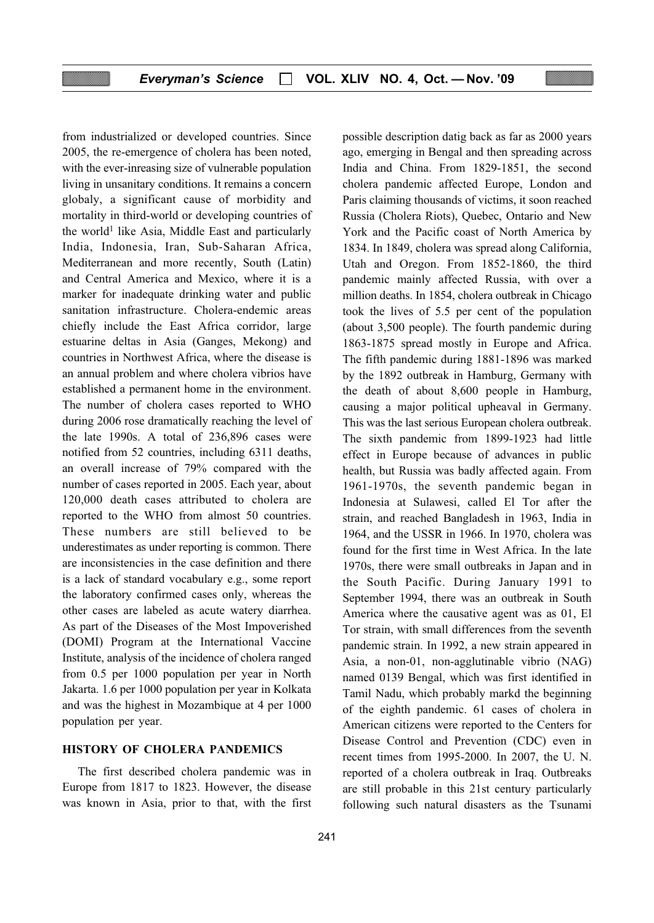from industrialized or developed countries. Since 2005, the re-emergence of cholera has been noted, with the ever-inreasing size of vulnerable population living in unsanitary conditions. It remains a concern globaly, a significant cause of morbidity and mortality in third-world or developing countries of the world<sup>1</sup> like Asia, Middle East and particularly India, Indonesia, Iran, Sub-Saharan Africa, Mediterranean and more recently, South (Latin) and Central America and Mexico, where it is a marker for inadequate drinking water and public sanitation infrastructure. Cholera-endemic areas chiefly include the East Africa corridor, large estuarine deltas in Asia (Ganges, Mekong) and countries in Northwest Africa, where the disease is an annual problem and where cholera vibrios have established a permanent home in the environment. The number of cholera cases reported to WHO during 2006 rose dramatically reaching the level of the late 1990s. A total of 236,896 cases were notified from 52 countries, including 6311 deaths, an overall increase of 79% compared with the number of cases reported in 2005. Each year, about 120,000 death cases attributed to cholera are reported to the WHO from almost 50 countries. These numbers are still believed to be underestimates as under reporting is common. There are inconsistencies in the case definition and there is a lack of standard vocabulary e.g., some report the laboratory confirmed cases only, whereas the other cases are labeled as acute watery diarrhea. As part of the Diseases of the Most Impoverished (DOMI) Program at the International Vaccine Institute, analysis of the incidence of cholera ranged from 0.5 per 1000 population per year in North Jakarta. 1.6 per 1000 population per year in Kolkata and was the highest in Mozambique at 4 per 1000 population per year.

## HISTORY OF CHOLERA PANDEMICS

The first described cholera pandemic was in Europe from 1817 to 1823. However, the disease was known in Asia, prior to that, with the first possible description datig back as far as 2000 years ago, emerging in Bengal and then spreading across India and China. From 1829-1851, the second cholera pandemic affected Europe, London and Paris claiming thousands of victims, it soon reached Russia (Cholera Riots), Quebec, Ontario and New York and the Pacific coast of North America by 1834. In 1849, cholera was spread along California, Utah and Oregon. From 1852-1860, the third pandemic mainly affected Russia, with over a million deaths. In 1854, cholera outbreak in Chicago took the lives of 5.5 per cent of the population (about 3,500 people). The fourth pandemic during 1863-1875 spread mostly in Europe and Africa. The fifth pandemic during 1881-1896 was marked by the 1892 outbreak in Hamburg, Germany with the death of about 8,600 people in Hamburg, causing a major political upheaval in Germany. This was the last serious European cholera outbreak. The sixth pandemic from 1899-1923 had little effect in Europe because of advances in public health, but Russia was badly affected again. From 1961-1970s, the seventh pandemic began in Indonesia at Sulawesi, called El Tor after the strain, and reached Bangladesh in 1963, India in 1964, and the USSR in 1966. In 1970, cholera was found for the first time in West Africa. In the late 1970s, there were small outbreaks in Japan and in the South Pacific. During January 1991 to September 1994, there was an outbreak in South America where the causative agent was as 01, El Tor strain, with small differences from the seventh pandemic strain. In 1992, a new strain appeared in Asia, a non-01, non-agglutinable vibrio (NAG) named 0139 Bengal, which was first identified in Tamil Nadu, which probably markd the beginning of the eighth pandemic. 61 cases of cholera in American citizens were reported to the Centers for Disease Control and Prevention (CDC) even in recent times from 1995-2000. In 2007, the U. N. reported of a cholera outbreak in Iraq. Outbreaks are still probable in this 21st century particularly following such natural disasters as the Tsunami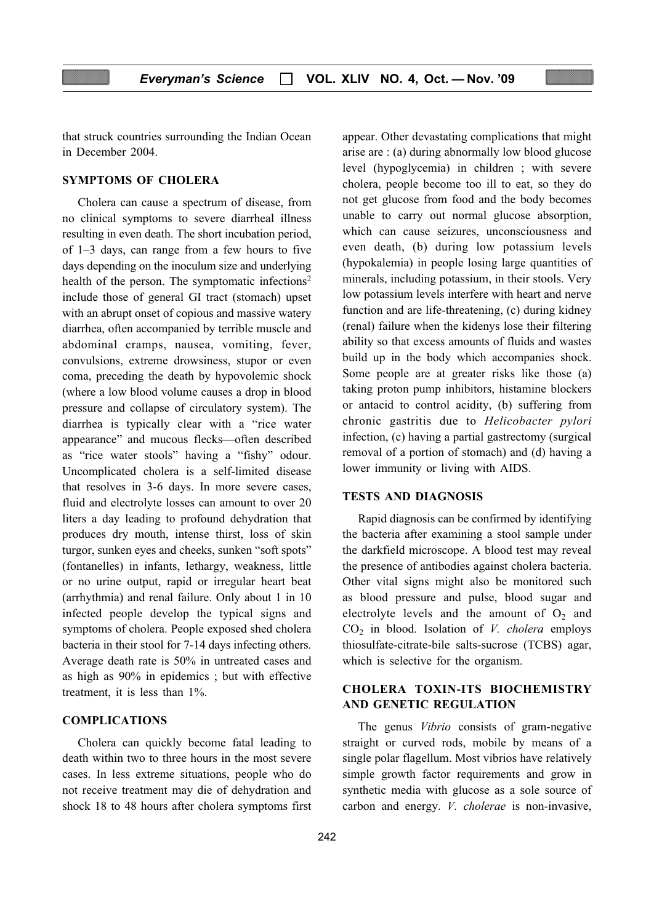that struck countries surrounding the Indian Ocean in December 2004.

#### SYMPTOMS OF CHOLERA

Cholera can cause a spectrum of disease, from no clinical symptoms to severe diarrheal illness resulting in even death. The short incubation period, of 1–3 days, can range from a few hours to five days depending on the inoculum size and underlying health of the person. The symptomatic infections<sup>2</sup> include those of general GI tract (stomach) upset with an abrupt onset of copious and massive watery diarrhea, often accompanied by terrible muscle and abdominal cramps, nausea, vomiting, fever, convulsions, extreme drowsiness, stupor or even coma, preceding the death by hypovolemic shock (where a low blood volume causes a drop in blood pressure and collapse of circulatory system). The diarrhea is typically clear with a "rice water appearance" and mucous flecks—often described as "rice water stools" having a "fishy" odour. Uncomplicated cholera is a self-limited disease that resolves in 3-6 days. In more severe cases, fluid and electrolyte losses can amount to over 20 liters a day leading to profound dehydration that produces dry mouth, intense thirst, loss of skin turgor, sunken eyes and cheeks, sunken "soft spots" (fontanelles) in infants, lethargy, weakness, little or no urine output, rapid or irregular heart beat (arrhythmia) and renal failure. Only about 1 in 10 infected people develop the typical signs and symptoms of cholera. People exposed shed cholera bacteria in their stool for 7-14 days infecting others. Average death rate is 50% in untreated cases and as high as 90% in epidemics ; but with effective treatment, it is less than 1%.

#### COMPLICATIONS

Cholera can quickly become fatal leading to death within two to three hours in the most severe cases. In less extreme situations, people who do not receive treatment may die of dehydration and shock 18 to 48 hours after cholera symptoms first appear. Other devastating complications that might arise are : (a) during abnormally low blood glucose level (hypoglycemia) in children ; with severe cholera, people become too ill to eat, so they do not get glucose from food and the body becomes unable to carry out normal glucose absorption, which can cause seizures, unconsciousness and even death, (b) during low potassium levels (hypokalemia) in people losing large quantities of minerals, including potassium, in their stools. Very low potassium levels interfere with heart and nerve function and are life-threatening, (c) during kidney (renal) failure when the kidenys lose their filtering ability so that excess amounts of fluids and wastes build up in the body which accompanies shock. Some people are at greater risks like those (a) taking proton pump inhibitors, histamine blockers or antacid to control acidity, (b) suffering from chronic gastritis due to Helicobacter pylori infection, (c) having a partial gastrectomy (surgical removal of a portion of stomach) and (d) having a lower immunity or living with AIDS.

#### TESTS AND DIAGNOSIS

Rapid diagnosis can be confirmed by identifying the bacteria after examining a stool sample under the darkfield microscope. A blood test may reveal the presence of antibodies against cholera bacteria. Other vital signs might also be monitored such as blood pressure and pulse, blood sugar and electrolyte levels and the amount of  $O_2$  and  $CO<sub>2</sub>$  in blood. Isolation of *V. cholera* employs thiosulfate-citrate-bile salts-sucrose (TCBS) agar, which is selective for the organism.

# CHOLERA TOXIN-ITS BIOCHEMISTRY AND GENETIC REGULATION

The genus *Vibrio* consists of gram-negative straight or curved rods, mobile by means of a single polar flagellum. Most vibrios have relatively simple growth factor requirements and grow in synthetic media with glucose as a sole source of carbon and energy. V. cholerae is non-invasive,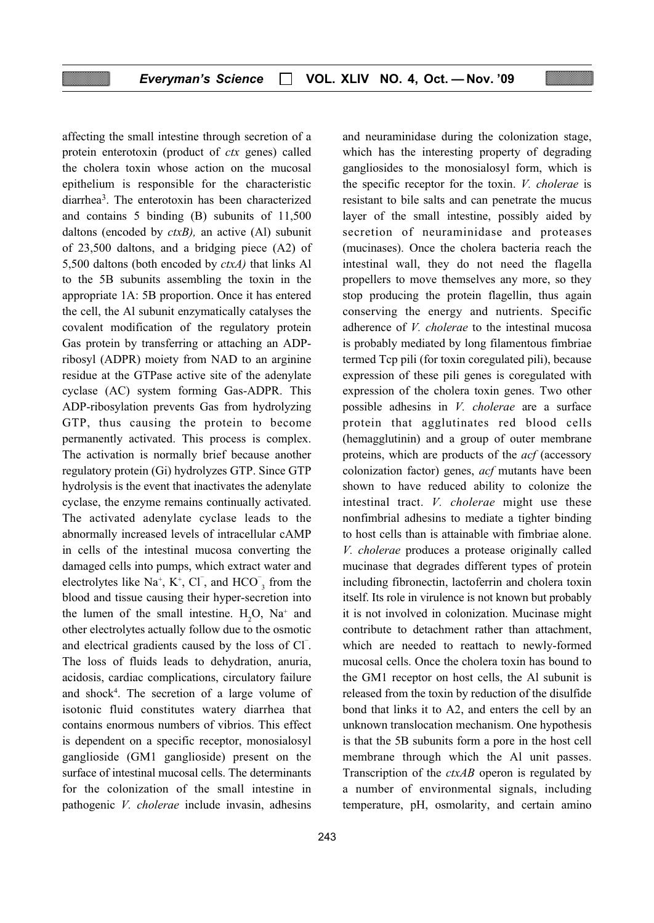affecting the small intestine through secretion of a protein enterotoxin (product of *ctx* genes) called the cholera toxin whose action on the mucosal epithelium is responsible for the characteristic diarrhea3. The enterotoxin has been characterized and contains 5 binding (B) subunits of 11,500 daltons (encoded by  $\text{ctxB}$ ), an active (Al) subunit of 23,500 daltons, and a bridging piece (A2) of 5,500 daltons (both encoded by  $\text{ctxA}$ ) that links Al to the 5B subunits assembling the toxin in the appropriate 1A: 5B proportion. Once it has entered the cell, the Al subunit enzymatically catalyses the covalent modification of the regulatory protein Gas protein by transferring or attaching an ADPribosyl (ADPR) moiety from NAD to an arginine residue at the GTPase active site of the adenylate cyclase (AC) system forming Gas-ADPR. This ADP-ribosylation prevents Gas from hydrolyzing GTP, thus causing the protein to become permanently activated. This process is complex. The activation is normally brief because another regulatory protein (Gi) hydrolyzes GTP. Since GTP hydrolysis is the event that inactivates the adenylate cyclase, the enzyme remains continually activated. The activated adenylate cyclase leads to the abnormally increased levels of intracellular cAMP in cells of the intestinal mucosa converting the damaged cells into pumps, which extract water and electrolytes like  $Na^+$ ,  $K^+$ ,  $Cl^-$ , and  $HCO^-$ <sub>3</sub> from the blood and tissue causing their hyper-secretion into the lumen of the small intestine.  $H_2O$ ,  $Na^+$  and other electrolytes actually follow due to the osmotic and electrical gradients caused by the loss of Cl<sup>-</sup>. The loss of fluids leads to dehydration, anuria, acidosis, cardiac complications, circulatory failure and shock4 . The secretion of a large volume of isotonic fluid constitutes watery diarrhea that contains enormous numbers of vibrios. This effect is dependent on a specific receptor, monosialosyl ganglioside (GM1 ganglioside) present on the surface of intestinal mucosal cells. The determinants for the colonization of the small intestine in pathogenic V. cholerae include invasin, adhesins

and neuraminidase during the colonization stage, which has the interesting property of degrading gangliosides to the monosialosyl form, which is the specific receptor for the toxin. V. cholerae is resistant to bile salts and can penetrate the mucus layer of the small intestine, possibly aided by secretion of neuraminidase and proteases (mucinases). Once the cholera bacteria reach the intestinal wall, they do not need the flagella propellers to move themselves any more, so they stop producing the protein flagellin, thus again conserving the energy and nutrients. Specific adherence of V. cholerae to the intestinal mucosa is probably mediated by long filamentous fimbriae termed Tcp pili (for toxin coregulated pili), because expression of these pili genes is coregulated with expression of the cholera toxin genes. Two other possible adhesins in V. cholerae are a surface protein that agglutinates red blood cells (hemagglutinin) and a group of outer membrane proteins, which are products of the acf (accessory colonization factor) genes, acf mutants have been shown to have reduced ability to colonize the intestinal tract. V. cholerae might use these nonfimbrial adhesins to mediate a tighter binding to host cells than is attainable with fimbriae alone. V. cholerae produces a protease originally called mucinase that degrades different types of protein including fibronectin, lactoferrin and cholera toxin itself. Its role in virulence is not known but probably it is not involved in colonization. Mucinase might contribute to detachment rather than attachment, which are needed to reattach to newly-formed mucosal cells. Once the cholera toxin has bound to the GM1 receptor on host cells, the Al subunit is released from the toxin by reduction of the disulfide bond that links it to A2, and enters the cell by an unknown translocation mechanism. One hypothesis is that the 5B subunits form a pore in the host cell membrane through which the Al unit passes. Transcription of the  $\text{ctxAB}$  operon is regulated by a number of environmental signals, including temperature, pH, osmolarity, and certain amino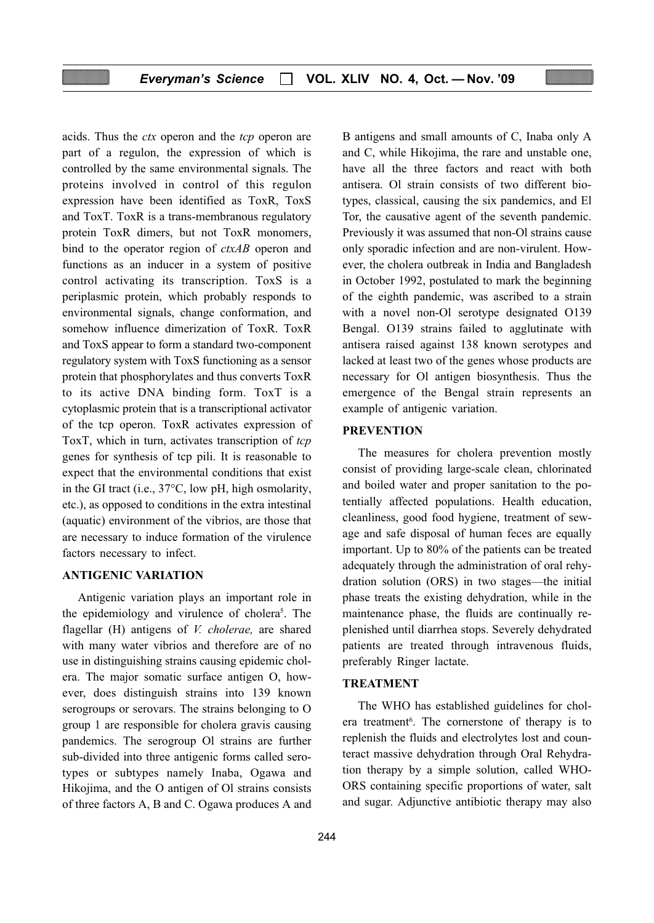acids. Thus the *ctx* operon and the *tcp* operon are part of a regulon, the expression of which is controlled by the same environmental signals. The proteins involved in control of this regulon expression have been identified as ToxR, ToxS and ToxT. ToxR is a trans-membranous regulatory protein ToxR dimers, but not ToxR monomers, bind to the operator region of *ctxAB* operon and functions as an inducer in a system of positive control activating its transcription. ToxS is a periplasmic protein, which probably responds to environmental signals, change conformation, and somehow influence dimerization of ToxR. ToxR and ToxS appear to form a standard two-component regulatory system with ToxS functioning as a sensor protein that phosphorylates and thus converts ToxR to its active DNA binding form. ToxT is a cytoplasmic protein that is a transcriptional activator of the tcp operon. ToxR activates expression of ToxT, which in turn, activates transcription of tcp genes for synthesis of tcp pili. It is reasonable to expect that the environmental conditions that exist in the GI tract (i.e., 37°C, low pH, high osmolarity, etc.), as opposed to conditions in the extra intestinal (aquatic) environment of the vibrios, are those that are necessary to induce formation of the virulence factors necessary to infect.

#### ANTIGENIC VARIATION

Antigenic variation plays an important role in the epidemiology and virulence of cholera<sup>5</sup>. The flagellar (H) antigens of *V. cholerae*, are shared with many water vibrios and therefore are of no use in distinguishing strains causing epidemic cholera. The major somatic surface antigen O, however, does distinguish strains into 139 known serogroups or serovars. The strains belonging to O group 1 are responsible for cholera gravis causing pandemics. The serogroup Ol strains are further sub-divided into three antigenic forms called serotypes or subtypes namely Inaba, Ogawa and Hikojima, and the O antigen of Ol strains consists of three factors A, B and C. Ogawa produces A and B antigens and small amounts of C, Inaba only A and C, while Hikojima, the rare and unstable one, have all the three factors and react with both antisera. Ol strain consists of two different biotypes, classical, causing the six pandemics, and El Tor, the causative agent of the seventh pandemic. Previously it was assumed that non-Ol strains cause only sporadic infection and are non-virulent. However, the cholera outbreak in India and Bangladesh in October 1992, postulated to mark the beginning of the eighth pandemic, was ascribed to a strain with a novel non-Ol serotype designated O139 Bengal. O139 strains failed to agglutinate with antisera raised against 138 known serotypes and lacked at least two of the genes whose products are necessary for Ol antigen biosynthesis. Thus the emergence of the Bengal strain represents an example of antigenic variation.

#### **PREVENTION**

The measures for cholera prevention mostly consist of providing large-scale clean, chlorinated and boiled water and proper sanitation to the potentially affected populations. Health education, cleanliness, good food hygiene, treatment of sewage and safe disposal of human feces are equally important. Up to 80% of the patients can be treated adequately through the administration of oral rehydration solution (ORS) in two stages—the initial phase treats the existing dehydration, while in the maintenance phase, the fluids are continually replenished until diarrhea stops. Severely dehydrated patients are treated through intravenous fluids, preferably Ringer lactate.

#### TREATMENT

The WHO has established guidelines for cholera treatment<sup>6</sup>. The cornerstone of therapy is to replenish the fluids and electrolytes lost and counteract massive dehydration through Oral Rehydration therapy by a simple solution, called WHO-ORS containing specific proportions of water, salt and sugar. Adjunctive antibiotic therapy may also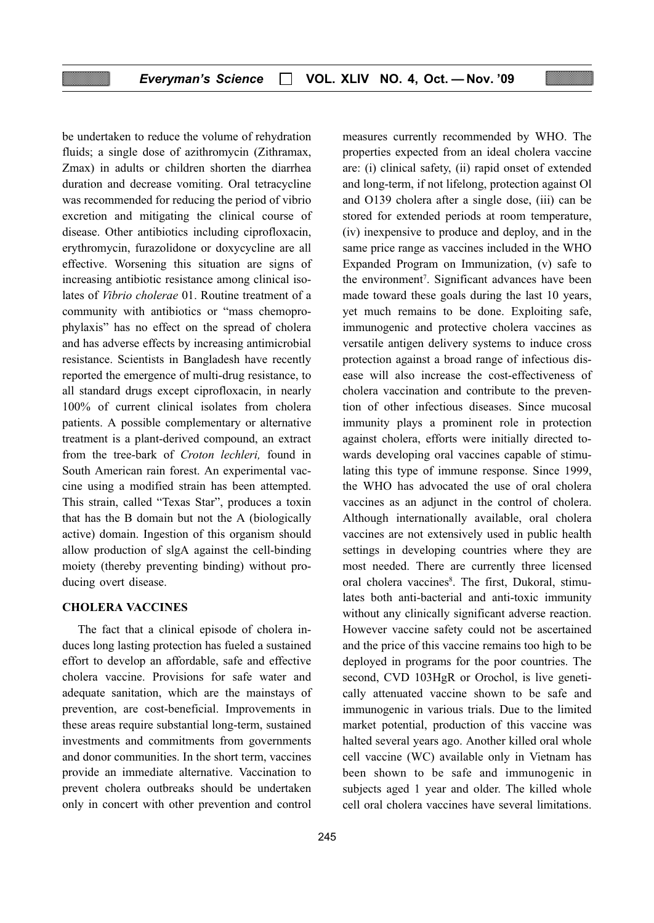be undertaken to reduce the volume of rehydration fluids; a single dose of azithromycin (Zithramax, Zmax) in adults or children shorten the diarrhea duration and decrease vomiting. Oral tetracycline was recommended for reducing the period of vibrio excretion and mitigating the clinical course of disease. Other antibiotics including ciprofloxacin, erythromycin, furazolidone or doxycycline are all effective. Worsening this situation are signs of increasing antibiotic resistance among clinical isolates of Vibrio cholerae 01. Routine treatment of a community with antibiotics or "mass chemoprophylaxis" has no effect on the spread of cholera and has adverse effects by increasing antimicrobial resistance. Scientists in Bangladesh have recently reported the emergence of multi-drug resistance, to all standard drugs except ciprofloxacin, in nearly 100% of current clinical isolates from cholera patients. A possible complementary or alternative treatment is a plant-derived compound, an extract from the tree-bark of Croton lechleri, found in South American rain forest. An experimental vaccine using a modified strain has been attempted. This strain, called "Texas Star", produces a toxin that has the B domain but not the A (biologically active) domain. Ingestion of this organism should allow production of slgA against the cell-binding moiety (thereby preventing binding) without producing overt disease.

#### CHOLERA VACCINES

The fact that a clinical episode of cholera induces long lasting protection has fueled a sustained effort to develop an affordable, safe and effective cholera vaccine. Provisions for safe water and adequate sanitation, which are the mainstays of prevention, are cost-beneficial. Improvements in these areas require substantial long-term, sustained investments and commitments from governments and donor communities. In the short term, vaccines provide an immediate alternative. Vaccination to prevent cholera outbreaks should be undertaken only in concert with other prevention and control

measures currently recommended by WHO. The properties expected from an ideal cholera vaccine are: (i) clinical safety, (ii) rapid onset of extended and long-term, if not lifelong, protection against Ol and O139 cholera after a single dose, (iii) can be stored for extended periods at room temperature, (iv) inexpensive to produce and deploy, and in the same price range as vaccines included in the WHO Expanded Program on Immunization, (v) safe to the environment<sup>7</sup>. Significant advances have been made toward these goals during the last 10 years, yet much remains to be done. Exploiting safe, immunogenic and protective cholera vaccines as versatile antigen delivery systems to induce cross protection against a broad range of infectious disease will also increase the cost-effectiveness of cholera vaccination and contribute to the prevention of other infectious diseases. Since mucosal immunity plays a prominent role in protection against cholera, efforts were initially directed towards developing oral vaccines capable of stimulating this type of immune response. Since 1999, the WHO has advocated the use of oral cholera vaccines as an adjunct in the control of cholera. Although internationally available, oral cholera vaccines are not extensively used in public health settings in developing countries where they are most needed. There are currently three licensed oral cholera vaccines<sup>8</sup>. The first, Dukoral, stimulates both anti-bacterial and anti-toxic immunity without any clinically significant adverse reaction. However vaccine safety could not be ascertained and the price of this vaccine remains too high to be deployed in programs for the poor countries. The second, CVD 103HgR or Orochol, is live genetically attenuated vaccine shown to be safe and immunogenic in various trials. Due to the limited market potential, production of this vaccine was halted several years ago. Another killed oral whole cell vaccine (WC) available only in Vietnam has been shown to be safe and immunogenic in subjects aged 1 year and older. The killed whole cell oral cholera vaccines have several limitations.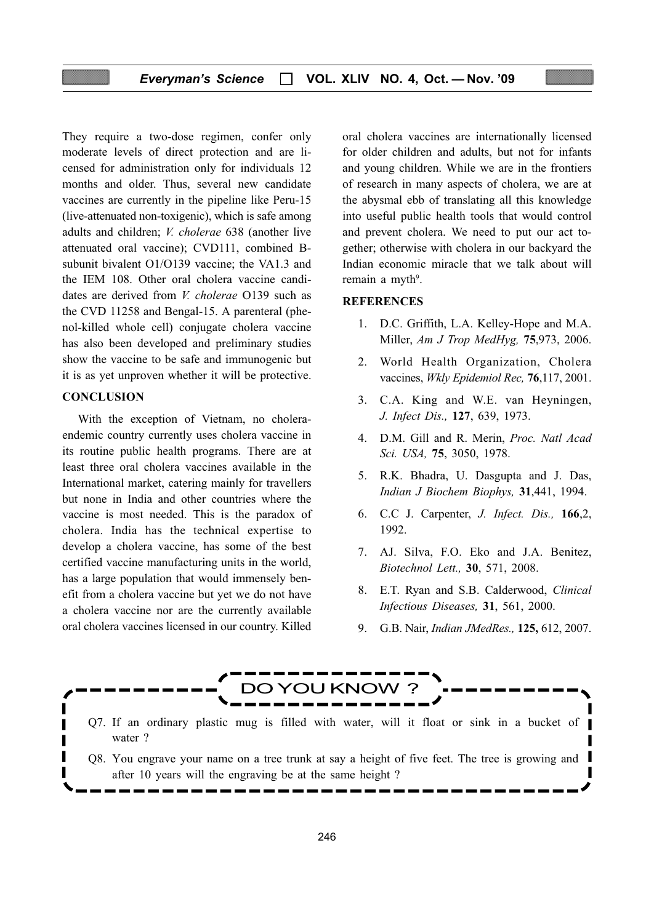They require a two-dose regimen, confer only moderate levels of direct protection and are licensed for administration only for individuals 12 months and older. Thus, several new candidate vaccines are currently in the pipeline like Peru-15 (live-attenuated non-toxigenic), which is safe among adults and children; V. cholerae 638 (another live attenuated oral vaccine); CVD111, combined Bsubunit bivalent O1/O139 vaccine; the VA1.3 and the IEM 108. Other oral cholera vaccine candidates are derived from *V. cholerae* O139 such as the CVD 11258 and Bengal-15. A parenteral (phenol-killed whole cell) conjugate cholera vaccine has also been developed and preliminary studies show the vaccine to be safe and immunogenic but it is as yet unproven whether it will be protective.

#### **CONCLUSION**

With the exception of Vietnam, no choleraendemic country currently uses cholera vaccine in its routine public health programs. There are at least three oral cholera vaccines available in the International market, catering mainly for travellers but none in India and other countries where the vaccine is most needed. This is the paradox of cholera. India has the technical expertise to develop a cholera vaccine, has some of the best certified vaccine manufacturing units in the world, has a large population that would immensely benefit from a cholera vaccine but yet we do not have a cholera vaccine nor are the currently available oral cholera vaccines licensed in our country. Killed

oral cholera vaccines are internationally licensed for older children and adults, but not for infants and young children. While we are in the frontiers of research in many aspects of cholera, we are at the abysmal ebb of translating all this knowledge into useful public health tools that would control and prevent cholera. We need to put our act together; otherwise with cholera in our backyard the Indian economic miracle that we talk about will remain a myth<sup>9</sup>.

#### **REFERENCES**

- 1. D.C. Griffith, L.A. Kelley-Hope and M.A. Miller, Am J Trop MedHyg, 75,973, 2006.
- 2. World Health Organization, Cholera vaccines, Wkly Epidemiol Rec, 76,117, 2001.
- 3. C.A. King and W.E. van Heyningen, J. Infect Dis., 127, 639, 1973.
- 4. D.M. Gill and R. Merin, Proc. Natl Acad Sci. USA, 75, 3050, 1978.
- 5. R.K. Bhadra, U. Dasgupta and J. Das, Indian J Biochem Biophys, 31,441, 1994.
- 6. C.C J. Carpenter, J. Infect. Dis., 166,2, 1992.
- 7. AJ. Silva, F.O. Eko and J.A. Benitez, Biotechnol Lett., 30, 571, 2008.
- 8. E.T. Ryan and S.B. Calderwood, Clinical Infectious Diseases, 31, 561, 2000.
- 9. G.B. Nair, Indian JMedRes., 125, 612, 2007.

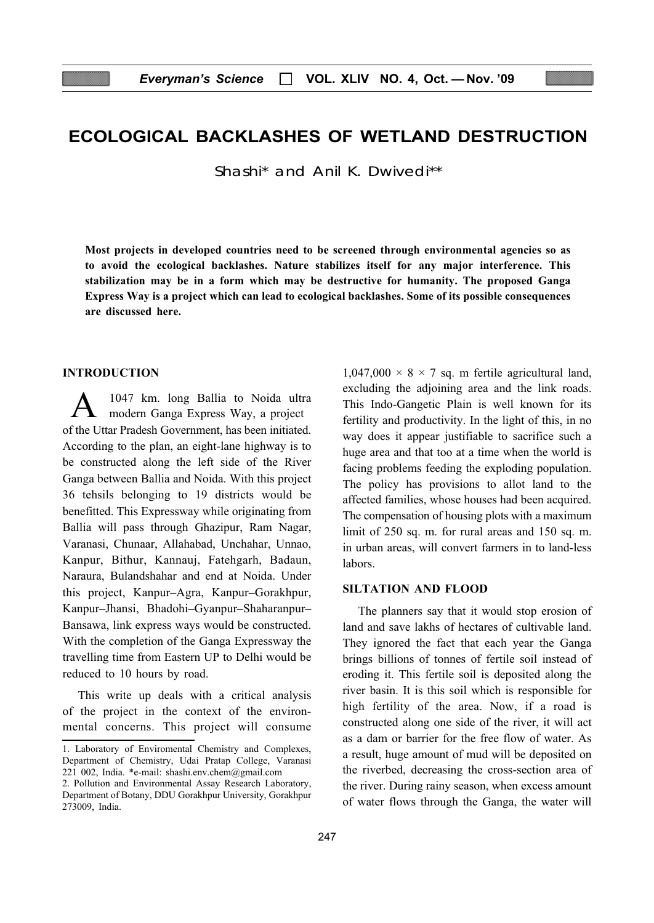# ECOLOGICAL BACKLASHES OF WETLAND DESTRUCTION

Shashi\* and Anil K. Dwivedi\*\*

Most projects in developed countries need to be screened through environmental agencies so as to avoid the ecological backlashes. Nature stabilizes itself for any major interference. This stabilization may be in a form which may be destructive for humanity. The proposed Ganga Express Way is a project which can lead to ecological backlashes. Some of its possible consequences are discussed here.

### INTRODUCTION

A 1047 km. long Ballia to Noida ultra modern Ganga Express Way, a project of the Uttar Pradesh Government, has been initiated. According to the plan, an eight-lane highway is to be constructed along the left side of the River Ganga between Ballia and Noida. With this project 36 tehsils belonging to 19 districts would be benefitted. This Expressway while originating from Ballia will pass through Ghazipur, Ram Nagar, Varanasi, Chunaar, Allahabad, Unchahar, Unnao, Kanpur, Bithur, Kannauj, Fatehgarh, Badaun, Naraura, Bulandshahar and end at Noida. Under this project, Kanpur–Agra, Kanpur–Gorakhpur, Kanpur–Jhansi, Bhadohi–Gyanpur–Shaharanpur– Bansawa, link express ways would be constructed. With the completion of the Ganga Expressway the travelling time from Eastern UP to Delhi would be reduced to 10 hours by road.

This write up deals with a critical analysis of the project in the context of the environmental concerns. This project will consume  $1,047,000 \times 8 \times 7$  sq. m fertile agricultural land, excluding the adjoining area and the link roads. This Indo-Gangetic Plain is well known for its fertility and productivity. In the light of this, in no way does it appear justifiable to sacrifice such a huge area and that too at a time when the world is facing problems feeding the exploding population. The policy has provisions to allot land to the affected families, whose houses had been acquired. The compensation of housing plots with a maximum limit of 250 sq. m. for rural areas and 150 sq. m. in urban areas, will convert farmers in to land-less labors.

#### SILTATION AND FLOOD

The planners say that it would stop erosion of land and save lakhs of hectares of cultivable land. They ignored the fact that each year the Ganga brings billions of tonnes of fertile soil instead of eroding it. This fertile soil is deposited along the river basin. It is this soil which is responsible for high fertility of the area. Now, if a road is constructed along one side of the river, it will act as a dam or barrier for the free flow of water. As a result, huge amount of mud will be deposited on the riverbed, decreasing the cross-section area of the river. During rainy season, when excess amount of water flows through the Ganga, the water will

<sup>1.</sup> Laboratory of Enviromental Chemistry and Complexes, Department of Chemistry, Udai Pratap College, Varanasi 221 002, India. \*e-mail: shashi.env.chem@gmail.com

<sup>2.</sup> Pollution and Environmental Assay Research Laboratory, Department of Botany, DDU Gorakhpur University, Gorakhpur 273009, India.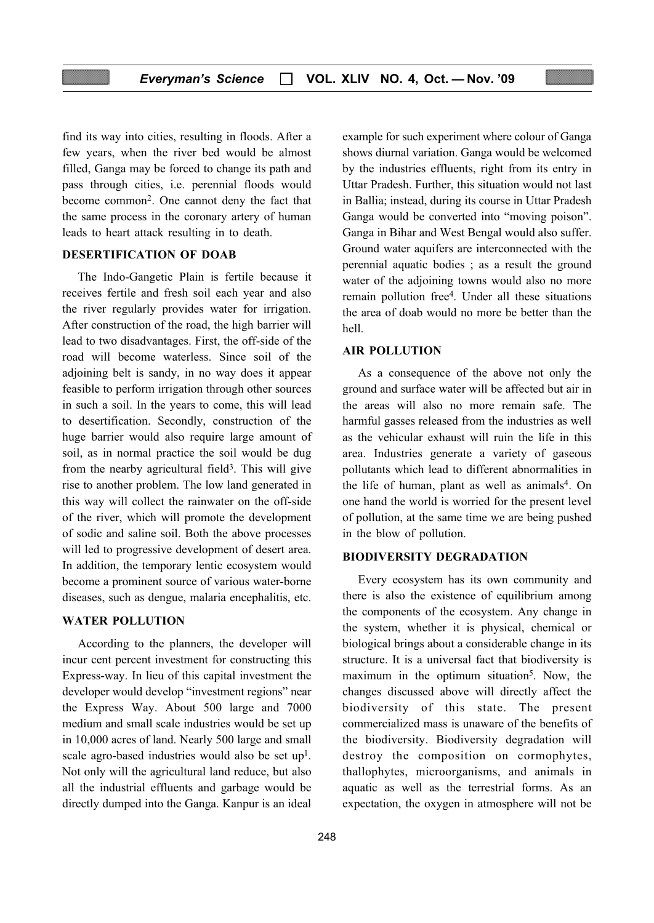find its way into cities, resulting in floods. After a few years, when the river bed would be almost filled, Ganga may be forced to change its path and pass through cities, i.e. perennial floods would become common2. One cannot deny the fact that the same process in the coronary artery of human leads to heart attack resulting in to death.

## DESERTIFICATION OF DOAB

The Indo-Gangetic Plain is fertile because it receives fertile and fresh soil each year and also the river regularly provides water for irrigation. After construction of the road, the high barrier will lead to two disadvantages. First, the off-side of the road will become waterless. Since soil of the adjoining belt is sandy, in no way does it appear feasible to perform irrigation through other sources in such a soil. In the years to come, this will lead to desertification. Secondly, construction of the huge barrier would also require large amount of soil, as in normal practice the soil would be dug from the nearby agricultural field<sup>3</sup>. This will give rise to another problem. The low land generated in this way will collect the rainwater on the off-side of the river, which will promote the development of sodic and saline soil. Both the above processes will led to progressive development of desert area. In addition, the temporary lentic ecosystem would become a prominent source of various water-borne diseases, such as dengue, malaria encephalitis, etc.

#### WATER POLLUTION

According to the planners, the developer will incur cent percent investment for constructing this Express-way. In lieu of this capital investment the developer would develop "investment regions" near the Express Way. About 500 large and 7000 medium and small scale industries would be set up in 10,000 acres of land. Nearly 500 large and small scale agro-based industries would also be set up<sup>1</sup>. Not only will the agricultural land reduce, but also all the industrial effluents and garbage would be directly dumped into the Ganga. Kanpur is an ideal

example for such experiment where colour of Ganga shows diurnal variation. Ganga would be welcomed by the industries effluents, right from its entry in Uttar Pradesh. Further, this situation would not last in Ballia; instead, during its course in Uttar Pradesh Ganga would be converted into "moving poison". Ganga in Bihar and West Bengal would also suffer. Ground water aquifers are interconnected with the perennial aquatic bodies ; as a result the ground water of the adjoining towns would also no more remain pollution free4. Under all these situations the area of doab would no more be better than the hell.

#### AIR POLLUTION

As a consequence of the above not only the ground and surface water will be affected but air in the areas will also no more remain safe. The harmful gasses released from the industries as well as the vehicular exhaust will ruin the life in this area. Industries generate a variety of gaseous pollutants which lead to different abnormalities in the life of human, plant as well as animals<sup>4</sup>. On one hand the world is worried for the present level of pollution, at the same time we are being pushed in the blow of pollution.

#### BIODIVERSITY DEGRADATION

Every ecosystem has its own community and there is also the existence of equilibrium among the components of the ecosystem. Any change in the system, whether it is physical, chemical or biological brings about a considerable change in its structure. It is a universal fact that biodiversity is maximum in the optimum situation<sup>5</sup>. Now, the changes discussed above will directly affect the biodiversity of this state. The present commercialized mass is unaware of the benefits of the biodiversity. Biodiversity degradation will destroy the composition on cormophytes, thallophytes, microorganisms, and animals in aquatic as well as the terrestrial forms. As an expectation, the oxygen in atmosphere will not be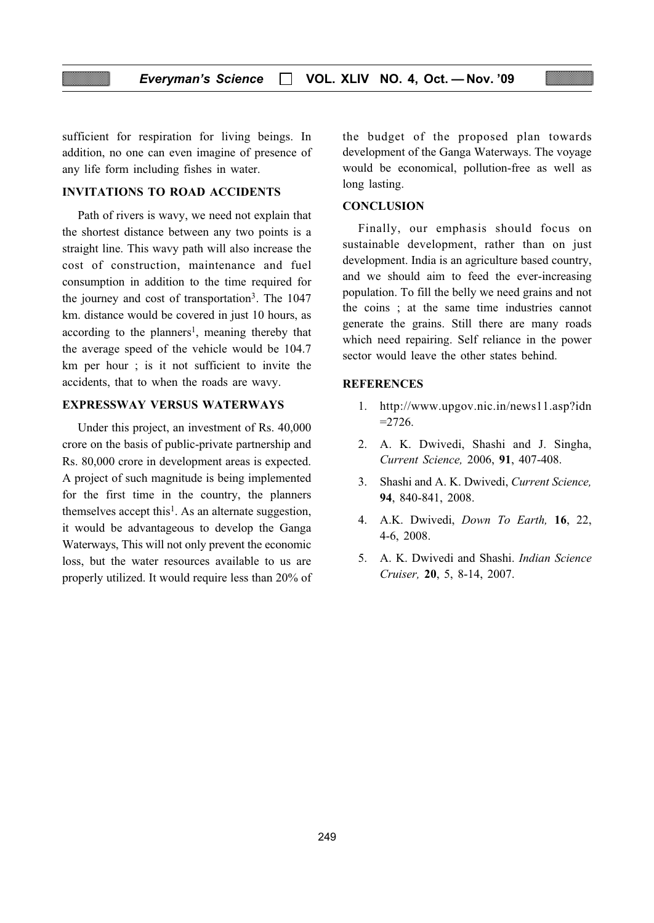sufficient for respiration for living beings. In addition, no one can even imagine of presence of any life form including fishes in water.

#### INVITATIONS TO ROAD ACCIDENTS

Path of rivers is wavy, we need not explain that the shortest distance between any two points is a straight line. This wavy path will also increase the cost of construction, maintenance and fuel consumption in addition to the time required for the journey and cost of transportation3. The 1047 km. distance would be covered in just 10 hours, as according to the planners<sup>1</sup>, meaning thereby that the average speed of the vehicle would be 104.7 km per hour ; is it not sufficient to invite the accidents, that to when the roads are wavy.

## EXPRESSWAY VERSUS WATERWAYS

Under this project, an investment of Rs. 40,000 crore on the basis of public-private partnership and Rs. 80,000 crore in development areas is expected. A project of such magnitude is being implemented for the first time in the country, the planners themselves accept this<sup>1</sup>. As an alternate suggestion, it would be advantageous to develop the Ganga Waterways, This will not only prevent the economic loss, but the water resources available to us are properly utilized. It would require less than 20% of the budget of the proposed plan towards development of the Ganga Waterways. The voyage would be economical, pollution-free as well as long lasting.

#### **CONCLUSION**

Finally, our emphasis should focus on sustainable development, rather than on just development. India is an agriculture based country, and we should aim to feed the ever-increasing population. To fill the belly we need grains and not the coins ; at the same time industries cannot generate the grains. Still there are many roads which need repairing. Self reliance in the power sector would leave the other states behind.

#### **REFERENCES**

- 1. http://www.upgov.nic.in/news11.asp?idn  $=2726.$
- 2. A. K. Dwivedi, Shashi and J. Singha, Current Science, 2006, 91, 407-408.
- 3. Shashi and A. K. Dwivedi, Current Science, 94, 840-841, 2008.
- 4. A.K. Dwivedi, Down To Earth, 16, 22, 4-6, 2008.
- 5. A. K. Dwivedi and Shashi. Indian Science Cruiser, 20, 5, 8-14, 2007.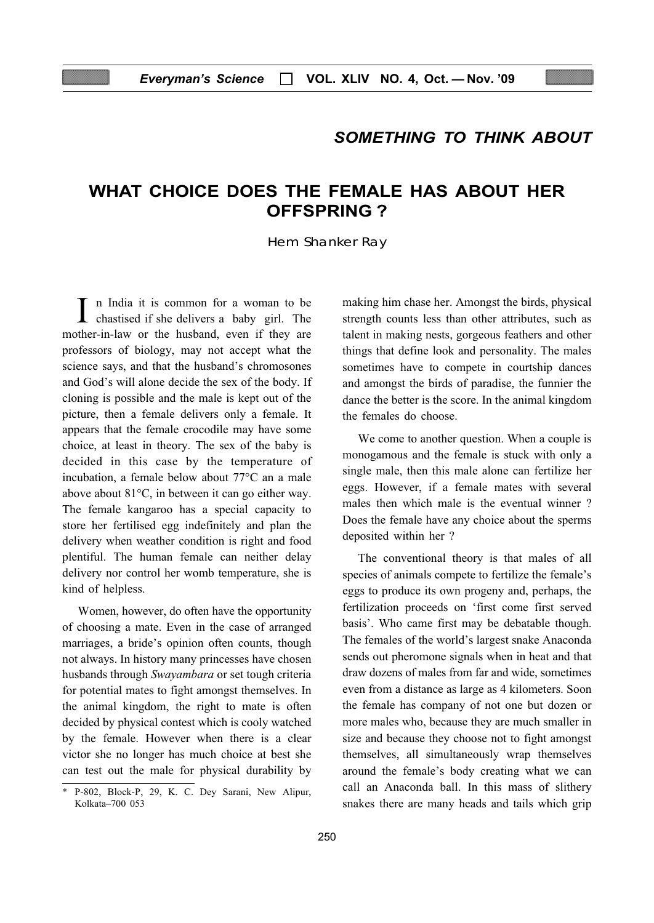# SOMETHING TO THINK ABOUT

# WHAT CHOICE DOES THE FEMALE HAS ABOUT HER OFFSPRING ?

Hem Shanker Ray

I n India it is common for a woman to be chastised if she delivers a baby girl. The mother-in-law or the husband, even if they are professors of biology, may not accept what the science says, and that the husband's chromosones and God's will alone decide the sex of the body. If cloning is possible and the male is kept out of the picture, then a female delivers only a female. It appears that the female crocodile may have some choice, at least in theory. The sex of the baby is decided in this case by the temperature of incubation, a female below about 77°C an a male above about 81°C, in between it can go either way. The female kangaroo has a special capacity to store her fertilised egg indefinitely and plan the delivery when weather condition is right and food plentiful. The human female can neither delay delivery nor control her womb temperature, she is kind of helpless.

Women, however, do often have the opportunity of choosing a mate. Even in the case of arranged marriages, a bride's opinion often counts, though not always. In history many princesses have chosen husbands through Swayambara or set tough criteria for potential mates to fight amongst themselves. In the animal kingdom, the right to mate is often decided by physical contest which is cooly watched by the female. However when there is a clear victor she no longer has much choice at best she can test out the male for physical durability by

making him chase her. Amongst the birds, physical strength counts less than other attributes, such as talent in making nests, gorgeous feathers and other things that define look and personality. The males sometimes have to compete in courtship dances and amongst the birds of paradise, the funnier the dance the better is the score. In the animal kingdom the females do choose.

We come to another question. When a couple is monogamous and the female is stuck with only a single male, then this male alone can fertilize her eggs. However, if a female mates with several males then which male is the eventual winner ? Does the female have any choice about the sperms deposited within her ?

The conventional theory is that males of all species of animals compete to fertilize the female's eggs to produce its own progeny and, perhaps, the fertilization proceeds on 'first come first served basis'. Who came first may be debatable though. The females of the world's largest snake Anaconda sends out pheromone signals when in heat and that draw dozens of males from far and wide, sometimes even from a distance as large as 4 kilometers. Soon the female has company of not one but dozen or more males who, because they are much smaller in size and because they choose not to fight amongst themselves, all simultaneously wrap themselves around the female's body creating what we can call an Anaconda ball. In this mass of slithery snakes there are many heads and tails which grip

<sup>\*</sup> P-802, Block-P, 29, K. C. Dey Sarani, New Alipur, Kolkata–700 053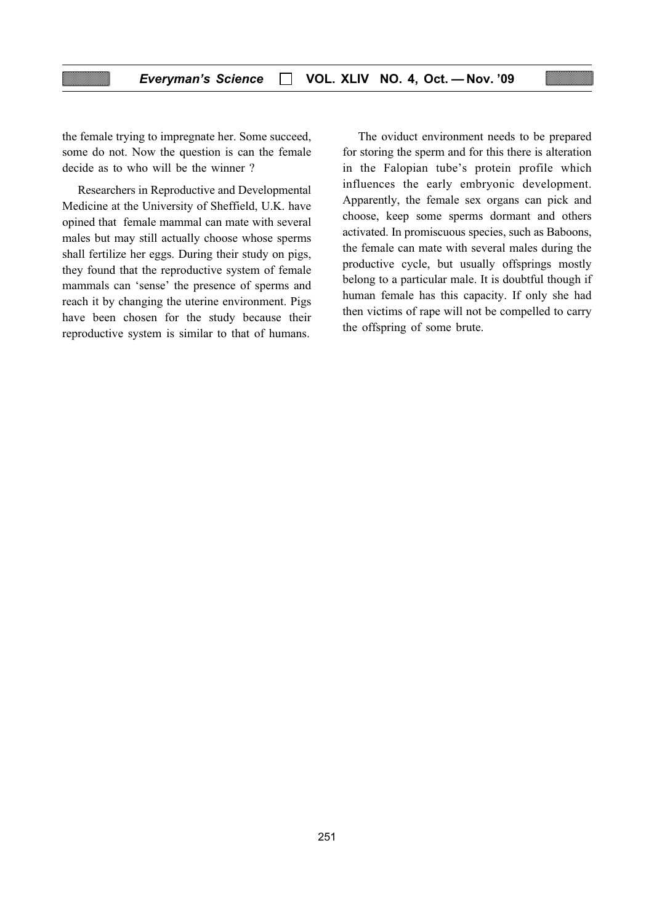the female trying to impregnate her. Some succeed, some do not. Now the question is can the female decide as to who will be the winner ?

Researchers in Reproductive and Developmental Medicine at the University of Sheffield, U.K. have opined that female mammal can mate with several males but may still actually choose whose sperms shall fertilize her eggs. During their study on pigs, they found that the reproductive system of female mammals can 'sense' the presence of sperms and reach it by changing the uterine environment. Pigs have been chosen for the study because their reproductive system is similar to that of humans.

The oviduct environment needs to be prepared for storing the sperm and for this there is alteration in the Falopian tube's protein profile which influences the early embryonic development. Apparently, the female sex organs can pick and choose, keep some sperms dormant and others activated. In promiscuous species, such as Baboons, the female can mate with several males during the productive cycle, but usually offsprings mostly belong to a particular male. It is doubtful though if human female has this capacity. If only she had then victims of rape will not be compelled to carry the offspring of some brute.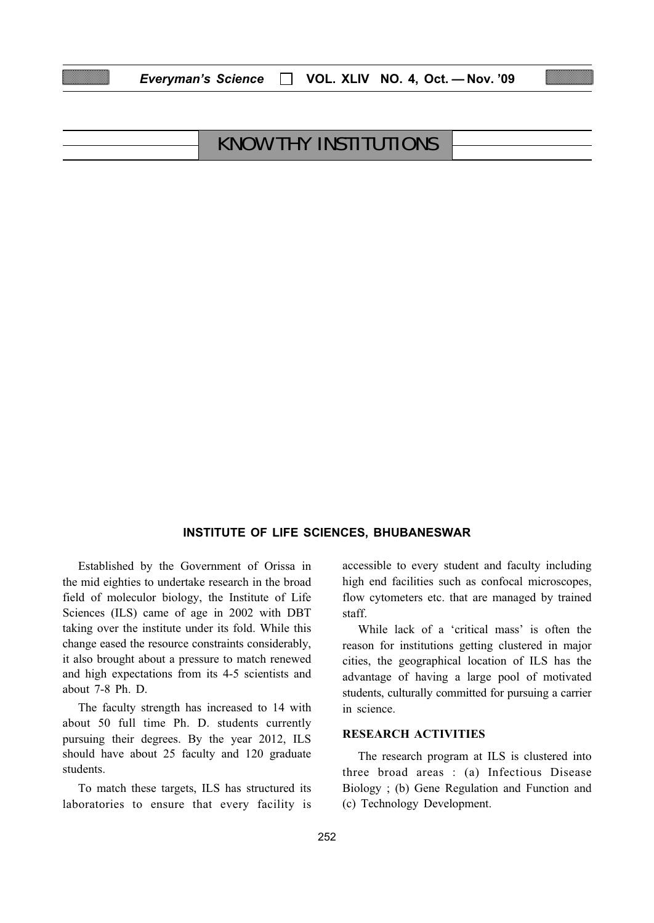| <b>KNOW THY INSTITUTIONS</b> |  |
|------------------------------|--|

Everyman's Science □ VOL. XLIV NO. 4, Oct. - Nov. '09

#### INSTITUTE OF LIFE SCIENCES, BHUBANESWAR

Established by the Government of Orissa in the mid eighties to undertake research in the broad field of moleculor biology, the Institute of Life Sciences (ILS) came of age in 2002 with DBT taking over the institute under its fold. While this change eased the resource constraints considerably, it also brought about a pressure to match renewed and high expectations from its 4-5 scientists and about 7-8 Ph. D.

The faculty strength has increased to 14 with about 50 full time Ph. D. students currently pursuing their degrees. By the year 2012, ILS should have about 25 faculty and 120 graduate students.

To match these targets, ILS has structured its laboratories to ensure that every facility is accessible to every student and faculty including high end facilities such as confocal microscopes, flow cytometers etc. that are managed by trained staff.

While lack of a 'critical mass' is often the reason for institutions getting clustered in major cities, the geographical location of ILS has the advantage of having a large pool of motivated students, culturally committed for pursuing a carrier in science.

#### RESEARCH ACTIVITIES

The research program at ILS is clustered into three broad areas : (a) Infectious Disease Biology ; (b) Gene Regulation and Function and (c) Technology Development.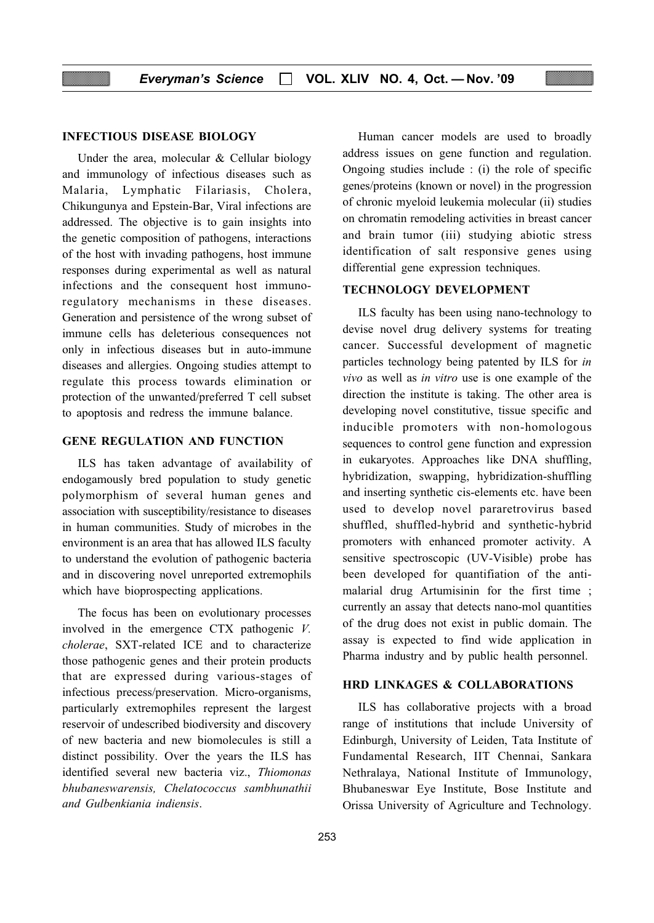#### INFECTIOUS DISEASE BIOLOGY

Under the area, molecular & Cellular biology and immunology of infectious diseases such as Malaria, Lymphatic Filariasis, Cholera, Chikungunya and Epstein-Bar, Viral infections are addressed. The objective is to gain insights into the genetic composition of pathogens, interactions of the host with invading pathogens, host immune responses during experimental as well as natural infections and the consequent host immunoregulatory mechanisms in these diseases. Generation and persistence of the wrong subset of immune cells has deleterious consequences not only in infectious diseases but in auto-immune diseases and allergies. Ongoing studies attempt to regulate this process towards elimination or protection of the unwanted/preferred T cell subset to apoptosis and redress the immune balance.

### GENE REGULATION AND FUNCTION

ILS has taken advantage of availability of endogamously bred population to study genetic polymorphism of several human genes and association with susceptibility/resistance to diseases in human communities. Study of microbes in the environment is an area that has allowed ILS faculty to understand the evolution of pathogenic bacteria and in discovering novel unreported extremophils which have bioprospecting applications.

The focus has been on evolutionary processes involved in the emergence CTX pathogenic V. cholerae, SXT-related ICE and to characterize those pathogenic genes and their protein products that are expressed during various-stages of infectious precess/preservation. Micro-organisms, particularly extremophiles represent the largest reservoir of undescribed biodiversity and discovery of new bacteria and new biomolecules is still a distinct possibility. Over the years the ILS has identified several new bacteria viz., Thiomonas bhubaneswarensis, Chelatococcus sambhunathii and Gulbenkiania indiensis.

Human cancer models are used to broadly address issues on gene function and regulation. Ongoing studies include : (i) the role of specific genes/proteins (known or novel) in the progression of chronic myeloid leukemia molecular (ii) studies on chromatin remodeling activities in breast cancer and brain tumor (iii) studying abiotic stress identification of salt responsive genes using differential gene expression techniques.

## TECHNOLOGY DEVELOPMENT

ILS faculty has been using nano-technology to devise novel drug delivery systems for treating cancer. Successful development of magnetic particles technology being patented by ILS for in vivo as well as in vitro use is one example of the direction the institute is taking. The other area is developing novel constitutive, tissue specific and inducible promoters with non-homologous sequences to control gene function and expression in eukaryotes. Approaches like DNA shuffling, hybridization, swapping, hybridization-shuffling and inserting synthetic cis-elements etc. have been used to develop novel pararetrovirus based shuffled, shuffled-hybrid and synthetic-hybrid promoters with enhanced promoter activity. A sensitive spectroscopic (UV-Visible) probe has been developed for quantifiation of the antimalarial drug Artumisinin for the first time ; currently an assay that detects nano-mol quantities of the drug does not exist in public domain. The assay is expected to find wide application in Pharma industry and by public health personnel.

#### HRD LINKAGES & COLLABORATIONS

ILS has collaborative projects with a broad range of institutions that include University of Edinburgh, University of Leiden, Tata Institute of Fundamental Research, IIT Chennai, Sankara Nethralaya, National Institute of Immunology, Bhubaneswar Eye Institute, Bose Institute and Orissa University of Agriculture and Technology.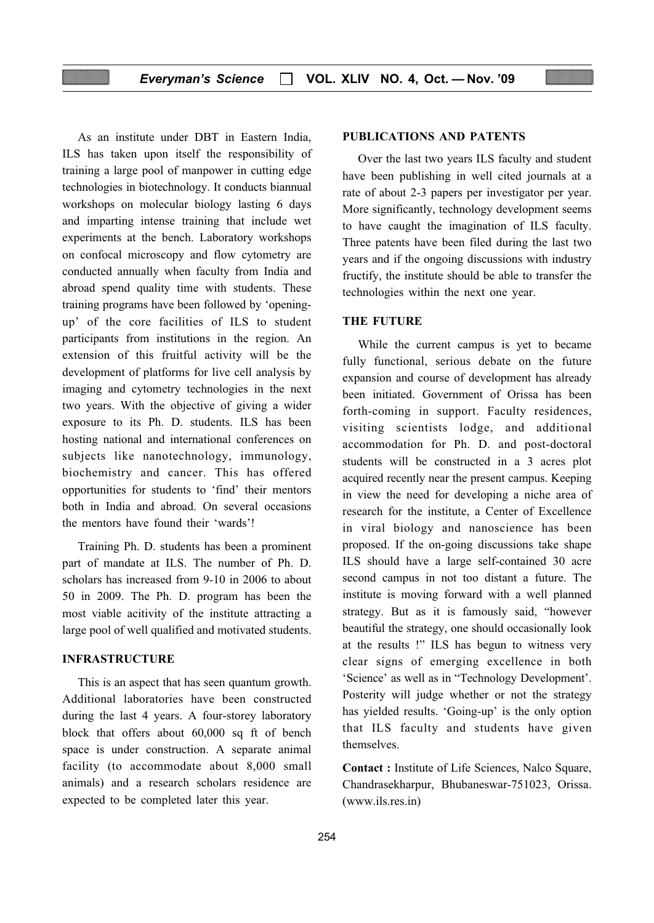As an institute under DBT in Eastern India, ILS has taken upon itself the responsibility of training a large pool of manpower in cutting edge technologies in biotechnology. It conducts biannual workshops on molecular biology lasting 6 days and imparting intense training that include wet experiments at the bench. Laboratory workshops on confocal microscopy and flow cytometry are conducted annually when faculty from India and abroad spend quality time with students. These training programs have been followed by 'openingup' of the core facilities of ILS to student participants from institutions in the region. An extension of this fruitful activity will be the development of platforms for live cell analysis by imaging and cytometry technologies in the next two years. With the objective of giving a wider exposure to its Ph. D. students. ILS has been hosting national and international conferences on subjects like nanotechnology, immunology, biochemistry and cancer. This has offered opportunities for students to 'find' their mentors both in India and abroad. On several occasions the mentors have found their 'wards'!

Training Ph. D. students has been a prominent part of mandate at ILS. The number of Ph. D. scholars has increased from 9-10 in 2006 to about 50 in 2009. The Ph. D. program has been the most viable acitivity of the institute attracting a large pool of well qualified and motivated students.

# INFRASTRUCTURE

This is an aspect that has seen quantum growth. Additional laboratories have been constructed during the last 4 years. A four-storey laboratory block that offers about 60,000 sq ft of bench space is under construction. A separate animal facility (to accommodate about 8,000 small animals) and a research scholars residence are expected to be completed later this year.

#### PUBLICATIONS AND PATENTS

Over the last two years ILS faculty and student have been publishing in well cited journals at a rate of about 2-3 papers per investigator per year. More significantly, technology development seems to have caught the imagination of ILS faculty. Three patents have been filed during the last two years and if the ongoing discussions with industry fructify, the institute should be able to transfer the technologies within the next one year.

#### THE FUTURE

While the current campus is yet to became fully functional, serious debate on the future expansion and course of development has already been initiated. Government of Orissa has been forth-coming in support. Faculty residences, visiting scientists lodge, and additional accommodation for Ph. D. and post-doctoral students will be constructed in a 3 acres plot acquired recently near the present campus. Keeping in view the need for developing a niche area of research for the institute, a Center of Excellence in viral biology and nanoscience has been proposed. If the on-going discussions take shape ILS should have a large self-contained 30 acre second campus in not too distant a future. The institute is moving forward with a well planned strategy. But as it is famously said, "however beautiful the strategy, one should occasionally look at the results !" ILS has begun to witness very clear signs of emerging excellence in both 'Science' as well as in "Technology Development'. Posterity will judge whether or not the strategy has yielded results. 'Going-up' is the only option that ILS faculty and students have given themselves.

Contact : Institute of Life Sciences, Nalco Square, Chandrasekharpur, Bhubaneswar-751023, Orissa. (www.ils.res.in)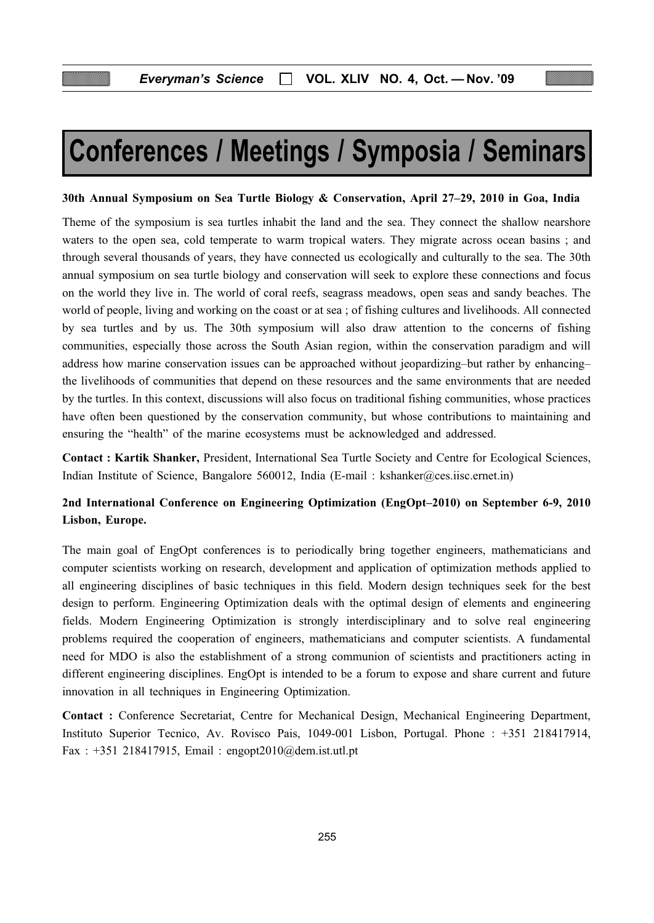# Conferences / Meetings / Symposia / Seminars

#### 30th Annual Symposium on Sea Turtle Biology & Conservation, April 27–29, 2010 in Goa, India

Theme of the symposium is sea turtles inhabit the land and the sea. They connect the shallow nearshore waters to the open sea, cold temperate to warm tropical waters. They migrate across ocean basins ; and through several thousands of years, they have connected us ecologically and culturally to the sea. The 30th annual symposium on sea turtle biology and conservation will seek to explore these connections and focus on the world they live in. The world of coral reefs, seagrass meadows, open seas and sandy beaches. The world of people, living and working on the coast or at sea ; of fishing cultures and livelihoods. All connected by sea turtles and by us. The 30th symposium will also draw attention to the concerns of fishing communities, especially those across the South Asian region, within the conservation paradigm and will address how marine conservation issues can be approached without jeopardizing–but rather by enhancing– the livelihoods of communities that depend on these resources and the same environments that are needed by the turtles. In this context, discussions will also focus on traditional fishing communities, whose practices have often been questioned by the conservation community, but whose contributions to maintaining and ensuring the "health" of the marine ecosystems must be acknowledged and addressed.

Contact : Kartik Shanker, President, International Sea Turtle Society and Centre for Ecological Sciences, Indian Institute of Science, Bangalore 560012, India (E-mail : kshanker@ces.iisc.ernet.in)

# 2nd International Conference on Engineering Optimization (EngOpt–2010) on September 6-9, 2010 Lisbon, Europe.

The main goal of EngOpt conferences is to periodically bring together engineers, mathematicians and computer scientists working on research, development and application of optimization methods applied to all engineering disciplines of basic techniques in this field. Modern design techniques seek for the best design to perform. Engineering Optimization deals with the optimal design of elements and engineering fields. Modern Engineering Optimization is strongly interdisciplinary and to solve real engineering problems required the cooperation of engineers, mathematicians and computer scientists. A fundamental need for MDO is also the establishment of a strong communion of scientists and practitioners acting in different engineering disciplines. EngOpt is intended to be a forum to expose and share current and future innovation in all techniques in Engineering Optimization.

Contact : Conference Secretariat, Centre for Mechanical Design, Mechanical Engineering Department, Instituto Superior Tecnico, Av. Rovisco Pais, 1049-001 Lisbon, Portugal. Phone : +351 218417914, Fax : +351 218417915, Email : engopt2010@dem.ist.utl.pt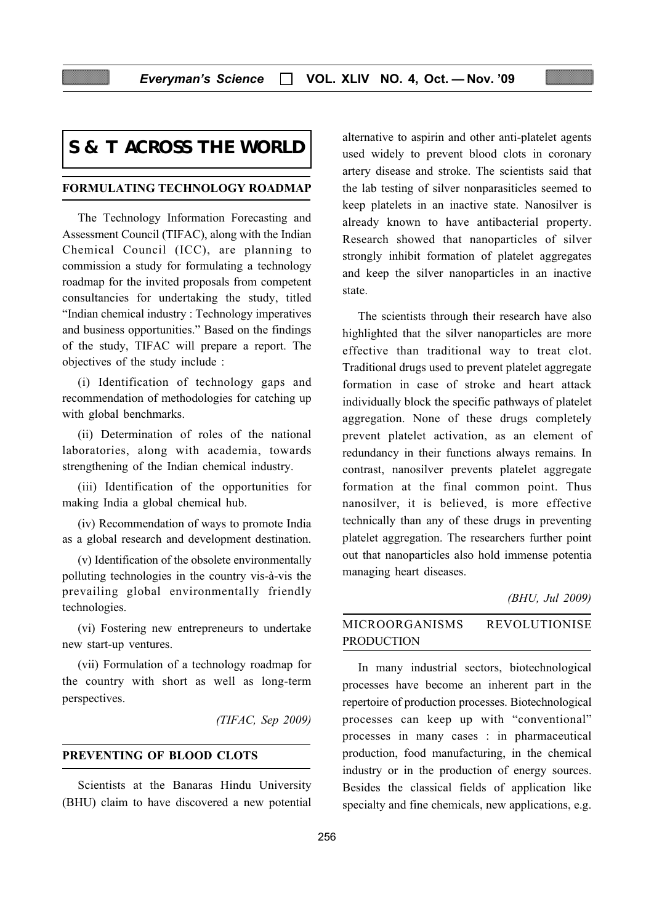# **S & T ACROSS THE WORLD**

#### FORMULATING TECHNOLOGY ROADMAP

The Technology Information Forecasting and Assessment Council (TIFAC), along with the Indian Chemical Council (ICC), are planning to commission a study for formulating a technology roadmap for the invited proposals from competent consultancies for undertaking the study, titled "Indian chemical industry : Technology imperatives and business opportunities." Based on the findings of the study, TIFAC will prepare a report. The objectives of the study include :

(i) Identification of technology gaps and recommendation of methodologies for catching up with global benchmarks.

(ii) Determination of roles of the national laboratories, along with academia, towards strengthening of the Indian chemical industry.

(iii) Identification of the opportunities for making India a global chemical hub.

(iv) Recommendation of ways to promote India as a global research and development destination.

(v) Identification of the obsolete environmentally polluting technologies in the country vis-à-vis the prevailing global environmentally friendly technologies.

(vi) Fostering new entrepreneurs to undertake new start-up ventures.

(vii) Formulation of a technology roadmap for the country with short as well as long-term perspectives.

(TIFAC, Sep 2009)

## PREVENTING OF BLOOD CLOTS

Scientists at the Banaras Hindu University (BHU) claim to have discovered a new potential alternative to aspirin and other anti-platelet agents used widely to prevent blood clots in coronary artery disease and stroke. The scientists said that the lab testing of silver nonparasiticles seemed to keep platelets in an inactive state. Nanosilver is already known to have antibacterial property. Research showed that nanoparticles of silver strongly inhibit formation of platelet aggregates and keep the silver nanoparticles in an inactive state.

The scientists through their research have also highlighted that the silver nanoparticles are more effective than traditional way to treat clot. Traditional drugs used to prevent platelet aggregate formation in case of stroke and heart attack individually block the specific pathways of platelet aggregation. None of these drugs completely prevent platelet activation, as an element of redundancy in their functions always remains. In contrast, nanosilver prevents platelet aggregate formation at the final common point. Thus nanosilver, it is believed, is more effective technically than any of these drugs in preventing platelet aggregation. The researchers further point out that nanoparticles also hold immense potentia managing heart diseases.

#### (BHU, Jul 2009)

# MICROORGANISMS REVOLUTIONISE PRODUCTION

In many industrial sectors, biotechnological processes have become an inherent part in the repertoire of production processes. Biotechnological processes can keep up with "conventional" processes in many cases : in pharmaceutical production, food manufacturing, in the chemical industry or in the production of energy sources. Besides the classical fields of application like specialty and fine chemicals, new applications, e.g.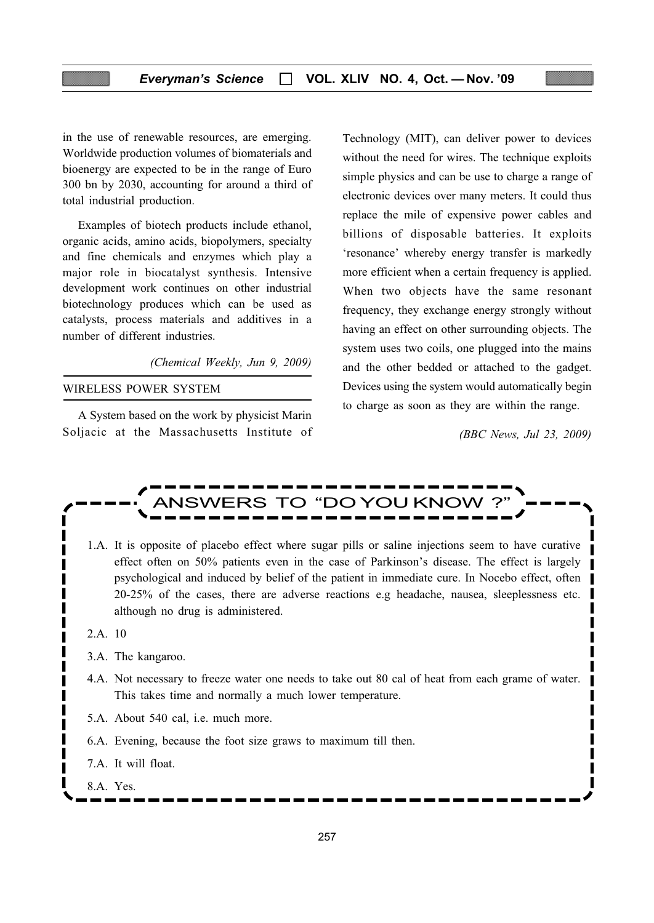in the use of renewable resources, are emerging. Worldwide production volumes of biomaterials and bioenergy are expected to be in the range of Euro 300 bn by 2030, accounting for around a third of total industrial production.

Examples of biotech products include ethanol, organic acids, amino acids, biopolymers, specialty and fine chemicals and enzymes which play a major role in biocatalyst synthesis. Intensive development work continues on other industrial biotechnology produces which can be used as catalysts, process materials and additives in a number of different industries.

(Chemical Weekly, Jun 9, 2009)

## WIRELESS POWER SYSTEM

A System based on the work by physicist Marin Soljacic at the Massachusetts Institute of Technology (MIT), can deliver power to devices without the need for wires. The technique exploits simple physics and can be use to charge a range of electronic devices over many meters. It could thus replace the mile of expensive power cables and billions of disposable batteries. It exploits 'resonance' whereby energy transfer is markedly more efficient when a certain frequency is applied. When two objects have the same resonant frequency, they exchange energy strongly without having an effect on other surrounding objects. The system uses two coils, one plugged into the mains and the other bedded or attached to the gadget. Devices using the system would automatically begin to charge as soon as they are within the range.

(BBC News, Jul 23, 2009)

I



- 1.A. It is opposite of placebo effect where sugar pills or saline injections seem to have curative effect often on 50% patients even in the case of Parkinson's disease. The effect is largely psychological and induced by belief of the patient in immediate cure. In Nocebo effect, often 20-25% of the cases, there are adverse reactions e.g headache, nausea, sleeplessness etc. although no drug is administered.
- 2.A. 10
- 3.A. The kangaroo.
- 4.A. Not necessary to freeze water one needs to take out 80 cal of heat from each grame of water. This takes time and normally a much lower temperature.
- 5.A. About 540 cal, i.e. much more.
- 6.A. Evening, because the foot size graws to maximum till then.
- 7.A. It will float.
- 8.A. Yes.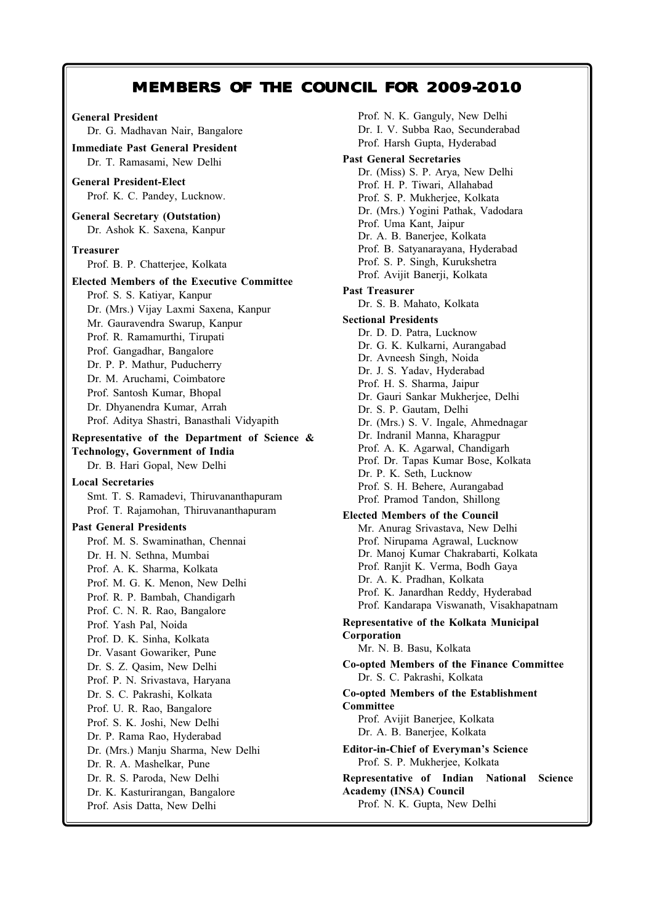# MEMBERS OF THE COUNCIL FOR 2009-2010

# General President Dr. G. Madhavan Nair, Bangalore Immediate Past General President Dr. T. Ramasami, New Delhi General President-Elect Prof. K. C. Pandey, Lucknow. General Secretary (Outstation) Dr. Ashok K. Saxena, Kanpur Treasurer Prof. B. P. Chatterjee, Kolkata Elected Members of the Executive Committee Prof. S. S. Katiyar, Kanpur Dr. (Mrs.) Vijay Laxmi Saxena, Kanpur Mr. Gauravendra Swarup, Kanpur Prof. R. Ramamurthi, Tirupati Prof. Gangadhar, Bangalore Dr. P. P. Mathur, Puducherry Dr. M. Aruchami, Coimbatore Prof. Santosh Kumar, Bhopal Dr. Dhyanendra Kumar, Arrah Prof. Aditya Shastri, Banasthali Vidyapith Representative of the Department of Science & Technology, Government of India Dr. B. Hari Gopal, New Delhi Local Secretaries Smt. T. S. Ramadevi, Thiruvananthapuram Prof. T. Rajamohan, Thiruvananthapuram Past General Presidents Prof. M. S. Swaminathan, Chennai Dr. H. N. Sethna, Mumbai Prof. A. K. Sharma, Kolkata Prof. M. G. K. Menon, New Delhi Prof. R. P. Bambah, Chandigarh Prof. C. N. R. Rao, Bangalore

Prof. Yash Pal, Noida Prof. D. K. Sinha, Kolkata Dr. Vasant Gowariker, Pune Dr. S. Z. Qasim, New Delhi Prof. P. N. Srivastava, Haryana Dr. S. C. Pakrashi, Kolkata Prof. U. R. Rao, Bangalore Prof. S. K. Joshi, New Delhi Dr. P. Rama Rao, Hyderabad Dr. (Mrs.) Manju Sharma, New Delhi Dr. R. A. Mashelkar, Pune Dr. R. S. Paroda, New Delhi Dr. K. Kasturirangan, Bangalore

Prof. Asis Datta, New Delhi

Prof. N. K. Ganguly, New Delhi Dr. I. V. Subba Rao, Secunderabad Prof. Harsh Gupta, Hyderabad Past General Secretaries Dr. (Miss) S. P. Arya, New Delhi Prof. H. P. Tiwari, Allahabad Prof. S. P. Mukherjee, Kolkata Dr. (Mrs.) Yogini Pathak, Vadodara Prof. Uma Kant, Jaipur Dr. A. B. Banerjee, Kolkata Prof. B. Satyanarayana, Hyderabad Prof. S. P. Singh, Kurukshetra Prof. Avijit Banerji, Kolkata Past Treasurer Dr. S. B. Mahato, Kolkata Sectional Presidents Dr. D. D. Patra, Lucknow Dr. G. K. Kulkarni, Aurangabad Dr. Avneesh Singh, Noida Dr. J. S. Yadav, Hyderabad Prof. H. S. Sharma, Jaipur Dr. Gauri Sankar Mukherjee, Delhi Dr. S. P. Gautam, Delhi Dr. (Mrs.) S. V. Ingale, Ahmednagar Dr. Indranil Manna, Kharagpur Prof. A. K. Agarwal, Chandigarh Prof. Dr. Tapas Kumar Bose, Kolkata Dr. P. K. Seth, Lucknow Prof. S. H. Behere, Aurangabad Prof. Pramod Tandon, Shillong Elected Members of the Council Mr. Anurag Srivastava, New Delhi Prof. Nirupama Agrawal, Lucknow Dr. Manoj Kumar Chakrabarti, Kolkata Prof. Ranjit K. Verma, Bodh Gaya Dr. A. K. Pradhan, Kolkata Prof. K. Janardhan Reddy, Hyderabad Prof. Kandarapa Viswanath, Visakhapatnam Representative of the Kolkata Municipal Corporation Mr. N. B. Basu, Kolkata Co-opted Members of the Finance Committee Dr. S. C. Pakrashi, Kolkata Co-opted Members of the Establishment Committee Prof. Avijit Banerjee, Kolkata Dr. A. B. Banerjee, Kolkata Editor-in-Chief of Everyman's Science Prof. S. P. Mukherjee, Kolkata Representative of Indian National Science Academy (INSA) Council Prof. N. K. Gupta, New Delhi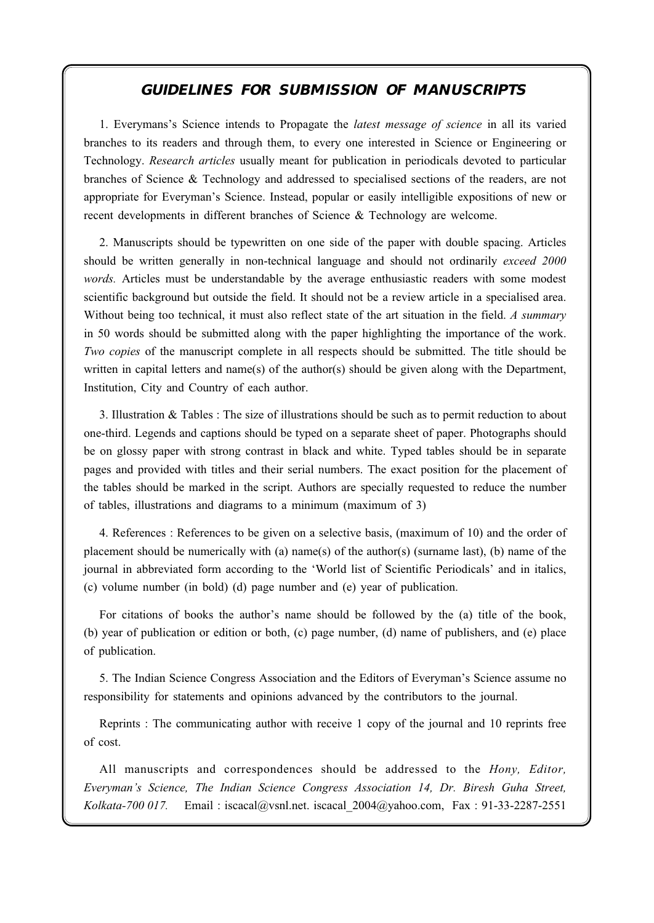#### $\sum_{i=1}^{n}$ **GUIDELINES FOR SUBMISSION OF MANUSCRIPTS**

1. Everymans's Science intends to Propagate the *latest message of science* in all its varied branches to its readers and through them, to every one interested in Science or Engineering or Technology. Research articles usually meant for publication in periodicals devoted to particular branches of Science & Technology and addressed to specialised sections of the readers, are not appropriate for Everyman's Science. Instead, popular or easily intelligible expositions of new or recent developments in different branches of Science & Technology are welcome.

2. Manuscripts should be typewritten on one side of the paper with double spacing. Articles should be written generally in non-technical language and should not ordinarily exceed 2000 words. Articles must be understandable by the average enthusiastic readers with some modest scientific background but outside the field. It should not be a review article in a specialised area. Without being too technical, it must also reflect state of the art situation in the field. A summary in 50 words should be submitted along with the paper highlighting the importance of the work. Two copies of the manuscript complete in all respects should be submitted. The title should be written in capital letters and name(s) of the author(s) should be given along with the Department, Institution, City and Country of each author.

3. Illustration & Tables : The size of illustrations should be such as to permit reduction to about one-third. Legends and captions should be typed on a separate sheet of paper. Photographs should be on glossy paper with strong contrast in black and white. Typed tables should be in separate pages and provided with titles and their serial numbers. The exact position for the placement of the tables should be marked in the script. Authors are specially requested to reduce the number of tables, illustrations and diagrams to a minimum (maximum of 3)

4. References : References to be given on a selective basis, (maximum of 10) and the order of placement should be numerically with (a) name(s) of the author(s) (surname last), (b) name of the journal in abbreviated form according to the 'World list of Scientific Periodicals' and in italics, (c) volume number (in bold) (d) page number and (e) year of publication.

For citations of books the author's name should be followed by the (a) title of the book, (b) year of publication or edition or both, (c) page number, (d) name of publishers, and (e) place of publication.

5. The Indian Science Congress Association and the Editors of Everyman's Science assume no responsibility for statements and opinions advanced by the contributors to the journal.

Reprints : The communicating author with receive 1 copy of the journal and 10 reprints free of cost.

All manuscripts and correspondences should be addressed to the *Hony*, Editor, Everyman's Science, The Indian Science Congress Association 14, Dr. Biresh Guha Street, Kolkata-700 017. Email : iscacal@vsnl.net. iscacal\_2004@yahoo.com, Fax : 91-33-2287-2551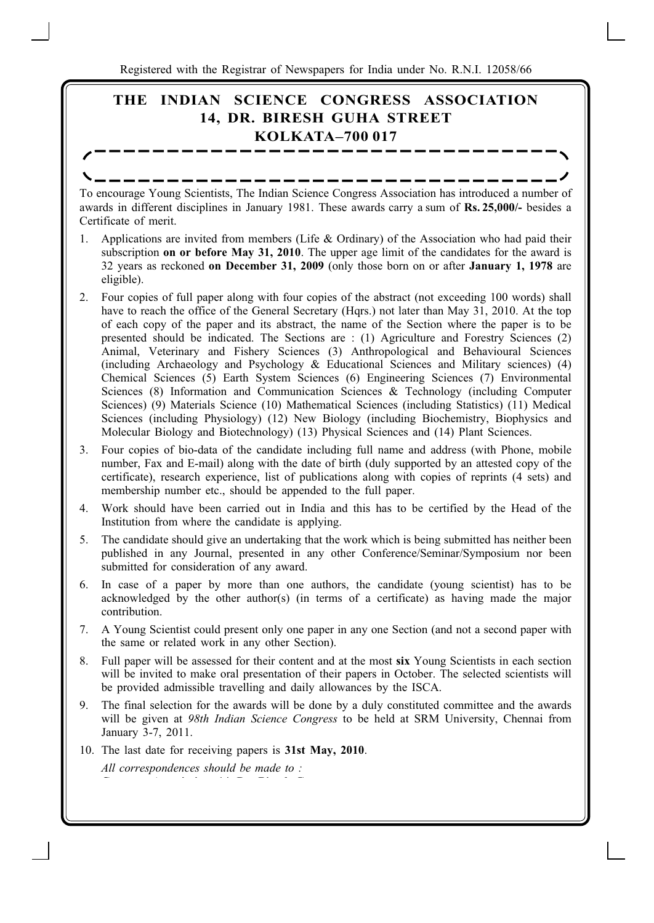Every man are suggesting to strong papers for mean and only one are not one of Registered with the Registrar of Newspapers for India under No. R.N.I. 12058/66

# THE INDIAN SCIENCE CONGRESS ASSOCIATION 14, DR. BIRESH GUHA STREET KOLKATA–700 017

To encourage Young Scientists, The Indian Science Congress Association has introduced a number of awards in different disciplines in January 1981. These awards carry a sum of Rs. 25,000/- besides a Certificate of merit.

- 1. Applications are invited from members (Life & Ordinary) of the Association who had paid their subscription **on or before May 31, 2010**. The upper age limit of the candidates for the award is 32 years as reckoned on December 31, 2009 (only those born on or after January 1, 1978 are eligible).
- 2. Four copies of full paper along with four copies of the abstract (not exceeding 100 words) shall have to reach the office of the General Secretary (Hqrs.) not later than May 31, 2010. At the top of each copy of the paper and its abstract, the name of the Section where the paper is to be presented should be indicated. The Sections are : (1) Agriculture and Forestry Sciences (2) Animal, Veterinary and Fishery Sciences (3) Anthropological and Behavioural Sciences (including Archaeology and Psychology & Educational Sciences and Military sciences) (4) Chemical Sciences (5) Earth System Sciences (6) Engineering Sciences (7) Environmental Sciences (8) Information and Communication Sciences & Technology (including Computer Sciences) (9) Materials Science (10) Mathematical Sciences (including Statistics) (11) Medical Sciences (including Physiology) (12) New Biology (including Biochemistry, Biophysics and Molecular Biology and Biotechnology) (13) Physical Sciences and (14) Plant Sciences.
- 3. Four copies of bio-data of the candidate including full name and address (with Phone, mobile number, Fax and E-mail) along with the date of birth (duly supported by an attested copy of the certificate), research experience, list of publications along with copies of reprints (4 sets) and membership number etc., should be appended to the full paper.
- 4. Work should have been carried out in India and this has to be certified by the Head of the Institution from where the candidate is applying.
- 5. The candidate should give an undertaking that the work which is being submitted has neither been published in any Journal, presented in any other Conference/Seminar/Symposium nor been submitted for consideration of any award.
- 6. In case of a paper by more than one authors, the candidate (young scientist) has to be acknowledged by the other author(s) (in terms of a certificate) as having made the major contribution.
- 7. A Young Scientist could present only one paper in any one Section (and not a second paper with the same or related work in any other Section).
- 8. Full paper will be assessed for their content and at the most six Young Scientists in each section will be invited to make oral presentation of their papers in October. The selected scientists will be provided admissible travelling and daily allowances by the ISCA.
- 9. The final selection for the awards will be done by a duly constituted committee and the awards will be given at 98th Indian Science Congress to be held at SRM University, Chennai from January 3-7, 2011.
- 10. The last date for receiving papers is 31st May, 2010. All correspondences should be made to :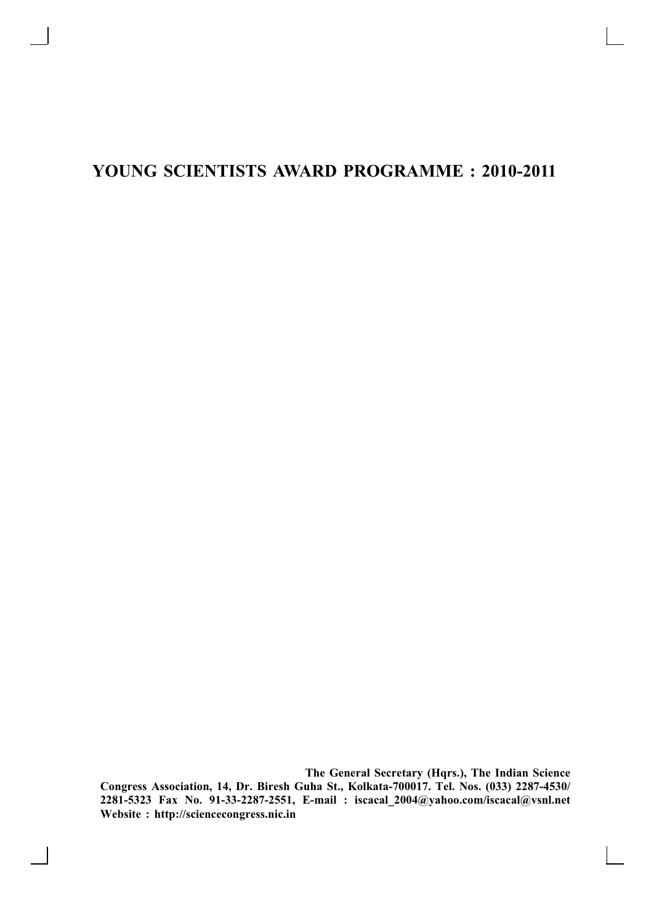# YOUNG SCIENTISTS AWARD PROGRAMME : 2010-2011

The General Secretary (Hqrs.), The Indian Science Congress Association, 14, Dr. Biresh Guha St., Kolkata-700017. Tel. Nos. (033) 2287-4530/ 2281-5323 Fax No. 91-33-2287-2551, E-mail : iscacal\_2004@yahoo.com/iscacal@vsnl.net Website : http://sciencecongress.nic.in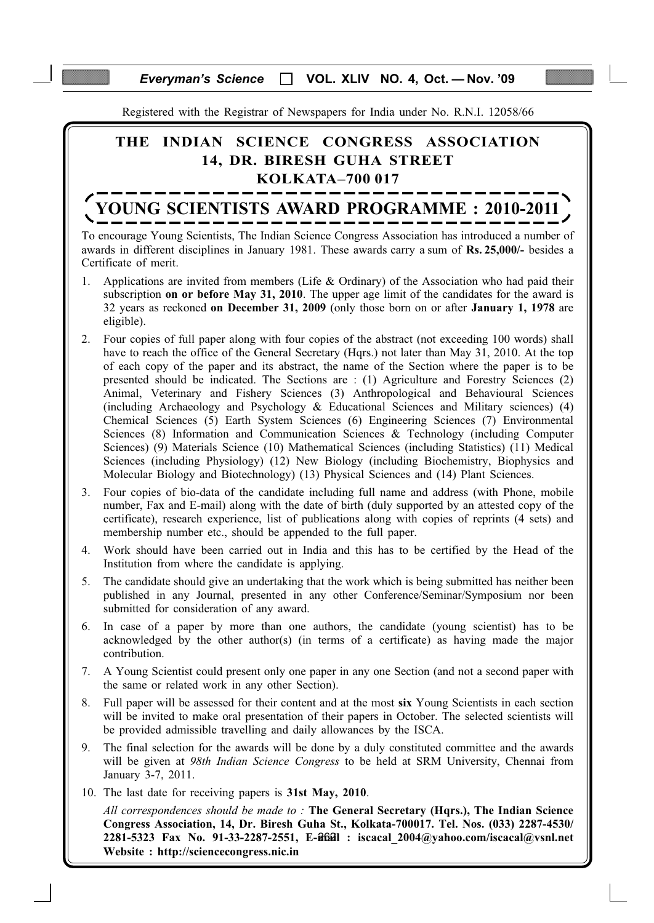## Everyman's Science  $\Box$  VOL. XLIV NO. 4, Oct. - Nov. '09

Registered with the Registrar of Newspapers for India under No. R.N.I. 12058/66

# THE INDIAN SCIENCE CONGRESS ASSOCIATION 14, DR. BIRESH GUHA STREET KOLKATA–700 017

# YOUNG SCIENTISTS AWARD PROGRAMME : 2010-2011

To encourage Young Scientists, The Indian Science Congress Association has introduced a number of awards in different disciplines in January 1981. These awards carry a sum of Rs. 25,000/- besides a Certificate of merit.

- 1. Applications are invited from members (Life & Ordinary) of the Association who had paid their subscription **on or before May 31, 2010**. The upper age limit of the candidates for the award is 32 years as reckoned on December 31, 2009 (only those born on or after January 1, 1978 are eligible).
- 2. Four copies of full paper along with four copies of the abstract (not exceeding 100 words) shall have to reach the office of the General Secretary (Hqrs.) not later than May 31, 2010. At the top of each copy of the paper and its abstract, the name of the Section where the paper is to be presented should be indicated. The Sections are : (1) Agriculture and Forestry Sciences (2) Animal, Veterinary and Fishery Sciences (3) Anthropological and Behavioural Sciences (including Archaeology and Psychology & Educational Sciences and Military sciences) (4) Chemical Sciences (5) Earth System Sciences (6) Engineering Sciences (7) Environmental Sciences (8) Information and Communication Sciences & Technology (including Computer Sciences) (9) Materials Science (10) Mathematical Sciences (including Statistics) (11) Medical Sciences (including Physiology) (12) New Biology (including Biochemistry, Biophysics and Molecular Biology and Biotechnology) (13) Physical Sciences and (14) Plant Sciences.
- 3. Four copies of bio-data of the candidate including full name and address (with Phone, mobile number, Fax and E-mail) along with the date of birth (duly supported by an attested copy of the certificate), research experience, list of publications along with copies of reprints (4 sets) and membership number etc., should be appended to the full paper.
- 4. Work should have been carried out in India and this has to be certified by the Head of the Institution from where the candidate is applying.
- 5. The candidate should give an undertaking that the work which is being submitted has neither been published in any Journal, presented in any other Conference/Seminar/Symposium nor been submitted for consideration of any award.
- 6. In case of a paper by more than one authors, the candidate (young scientist) has to be acknowledged by the other author(s) (in terms of a certificate) as having made the major contribution.
- 7. A Young Scientist could present only one paper in any one Section (and not a second paper with the same or related work in any other Section).
- 8. Full paper will be assessed for their content and at the most six Young Scientists in each section will be invited to make oral presentation of their papers in October. The selected scientists will be provided admissible travelling and daily allowances by the ISCA.
- 9. The final selection for the awards will be done by a duly constituted committee and the awards will be given at 98th Indian Science Congress to be held at SRM University, Chennai from January 3-7, 2011.
- 10. The last date for receiving papers is 31st May, 2010.

2281-5323 Fax No. 91-33-2287-2551, E-2622l : iscacal\_2004@yahoo.com/iscacal@vsnl.net All correspondences should be made to : The General Secretary (Hqrs.), The Indian Science Congress Association, 14, Dr. Biresh Guha St., Kolkata-700017. Tel. Nos. (033) 2287-4530/ Website : http://sciencecongress.nic.in